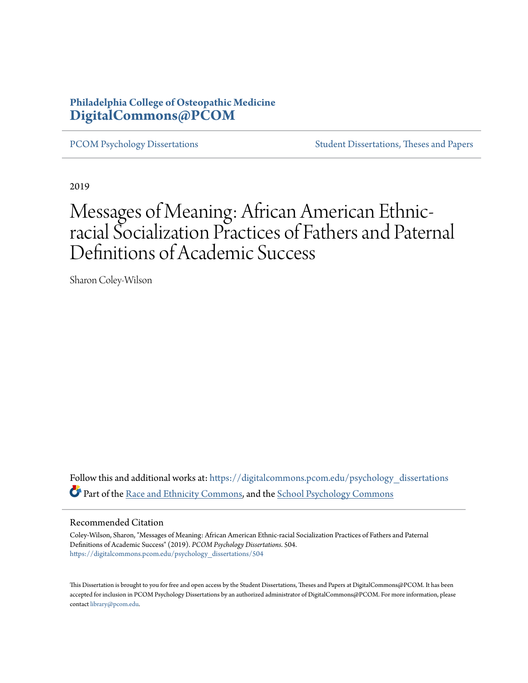# **Philadelphia College of Osteopathic Medicine [DigitalCommons@PCOM](https://digitalcommons.pcom.edu?utm_source=digitalcommons.pcom.edu%2Fpsychology_dissertations%2F504&utm_medium=PDF&utm_campaign=PDFCoverPages)**

[PCOM Psychology Dissertations](https://digitalcommons.pcom.edu/psychology_dissertations?utm_source=digitalcommons.pcom.edu%2Fpsychology_dissertations%2F504&utm_medium=PDF&utm_campaign=PDFCoverPages) [Student Dissertations, Theses and Papers](https://digitalcommons.pcom.edu/etds?utm_source=digitalcommons.pcom.edu%2Fpsychology_dissertations%2F504&utm_medium=PDF&utm_campaign=PDFCoverPages)

2019

# Messages of Meaning: African American Ethnicracial Socialization Practices of Fathers and Paternal Definitions of Academic Success

Sharon Coley-Wilson

Follow this and additional works at: [https://digitalcommons.pcom.edu/psychology\\_dissertations](https://digitalcommons.pcom.edu/psychology_dissertations?utm_source=digitalcommons.pcom.edu%2Fpsychology_dissertations%2F504&utm_medium=PDF&utm_campaign=PDFCoverPages) Part of the [Race and Ethnicity Commons,](http://network.bepress.com/hgg/discipline/426?utm_source=digitalcommons.pcom.edu%2Fpsychology_dissertations%2F504&utm_medium=PDF&utm_campaign=PDFCoverPages) and the [School Psychology Commons](http://network.bepress.com/hgg/discipline/1072?utm_source=digitalcommons.pcom.edu%2Fpsychology_dissertations%2F504&utm_medium=PDF&utm_campaign=PDFCoverPages)

#### Recommended Citation

Coley-Wilson, Sharon, "Messages of Meaning: African American Ethnic-racial Socialization Practices of Fathers and Paternal Definitions of Academic Success" (2019). *PCOM Psychology Dissertations*. 504. [https://digitalcommons.pcom.edu/psychology\\_dissertations/504](https://digitalcommons.pcom.edu/psychology_dissertations/504?utm_source=digitalcommons.pcom.edu%2Fpsychology_dissertations%2F504&utm_medium=PDF&utm_campaign=PDFCoverPages)

This Dissertation is brought to you for free and open access by the Student Dissertations, Theses and Papers at DigitalCommons@PCOM. It has been accepted for inclusion in PCOM Psychology Dissertations by an authorized administrator of DigitalCommons@PCOM. For more information, please contact [library@pcom.edu.](mailto:library@pcom.edu)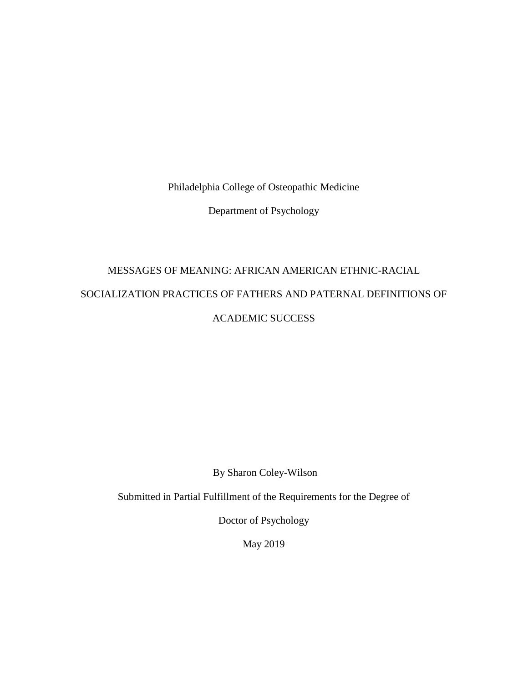Philadelphia College of Osteopathic Medicine

Department of Psychology

# MESSAGES OF MEANING: AFRICAN AMERICAN ETHNIC-RACIAL SOCIALIZATION PRACTICES OF FATHERS AND PATERNAL DEFINITIONS OF ACADEMIC SUCCESS

By Sharon Coley-Wilson

Submitted in Partial Fulfillment of the Requirements for the Degree of

Doctor of Psychology

May 2019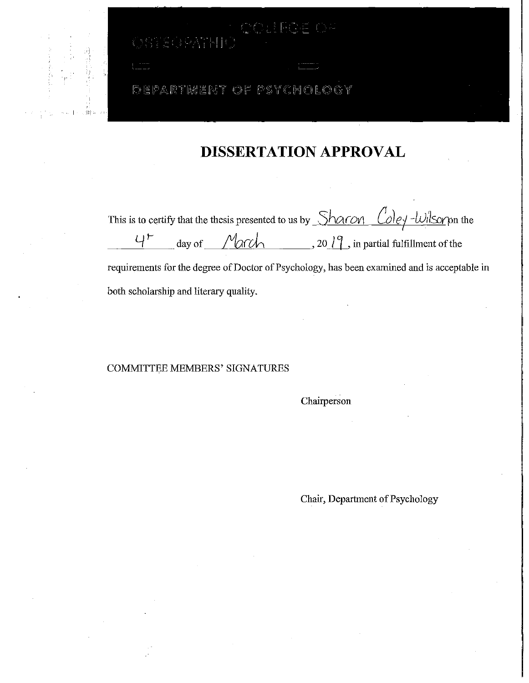# DEPARTMENT OF PSYCHOLOGY

 $SO(9N+10)$ 

•I

# **DISSERTATION APPROVAL**

ROF OF

This is to certify that the thesis presented to us by *Sharon Coley-Wilsory* on the  $\frac{U^+}{I^-}$  day of  $\frac{1}{\sqrt{2\pi}}$   $\frac{1}{\sqrt{2\pi}}$ , 20  $\frac{1}{\sqrt{2}}$ , in partial fulfillment of the requirements for the degree of Doctor of Psychology, has been examined and is acceptable in both scholarship and literary quality.

# COMMITTEE MEMBERS' SIGNATURES

Chairperson

Chair, Department of Psychology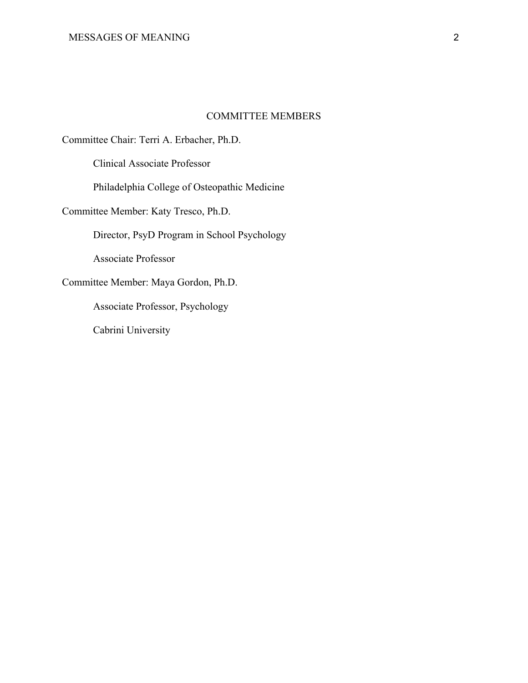# COMMITTEE MEMBERS

Committee Chair: Terri A. Erbacher, Ph.D.

Clinical Associate Professor

Philadelphia College of Osteopathic Medicine

Committee Member: Katy Tresco, Ph.D.

Director, PsyD Program in School Psychology

Associate Professor

Committee Member: Maya Gordon, Ph.D.

Associate Professor, Psychology

Cabrini University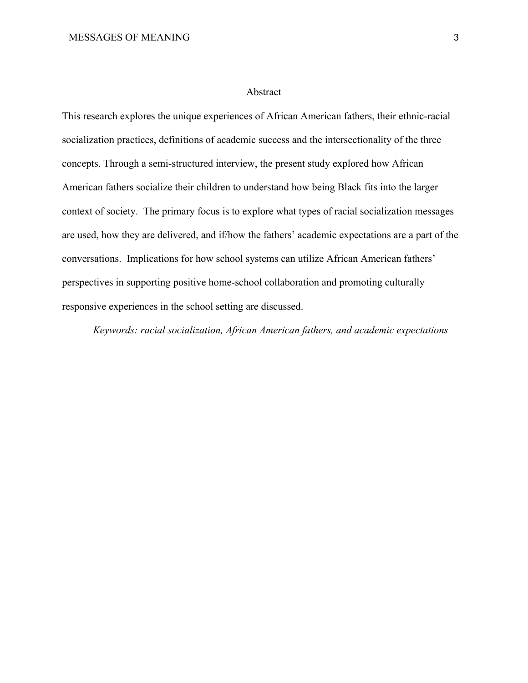# Abstract

This research explores the unique experiences of African American fathers, their ethnic-racial socialization practices, definitions of academic success and the intersectionality of the three concepts. Through a semi-structured interview, the present study explored how African American fathers socialize their children to understand how being Black fits into the larger context of society. The primary focus is to explore what types of racial socialization messages are used, how they are delivered, and if/how the fathers' academic expectations are a part of the conversations. Implications for how school systems can utilize African American fathers' perspectives in supporting positive home-school collaboration and promoting culturally responsive experiences in the school setting are discussed.

*Keywords: racial socialization, African American fathers, and academic expectations*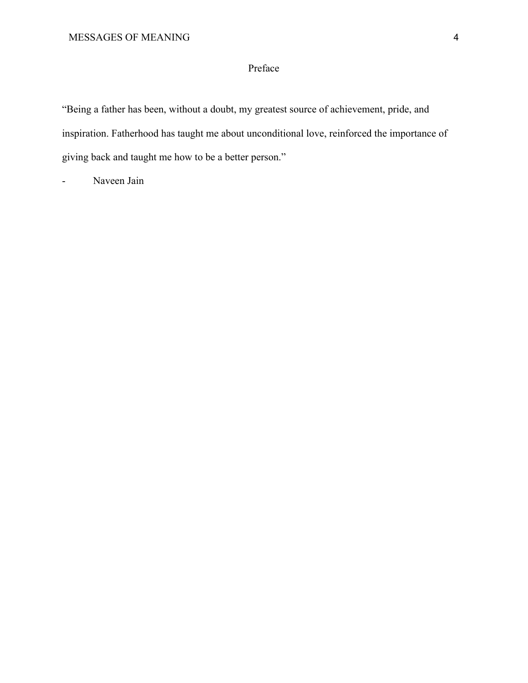# Preface

"Being a father has been, without a doubt, my greatest source of achievement, pride, and inspiration. Fatherhood has taught me about unconditional love, reinforced the importance of giving back and taught me how to be a better person."

Naveen Jain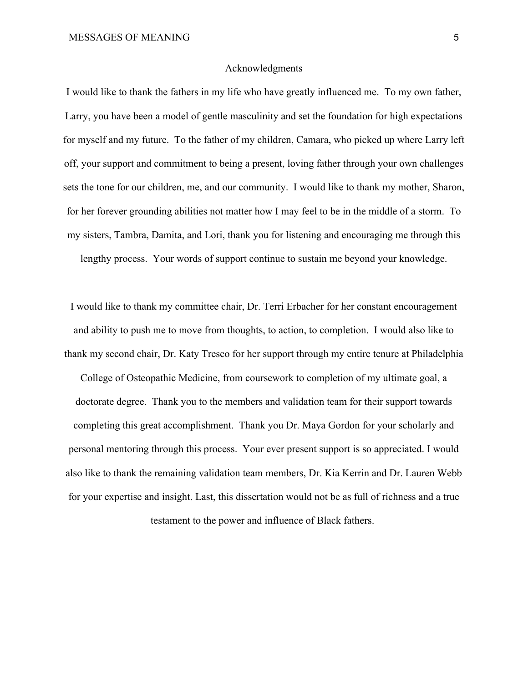# Acknowledgments

I would like to thank the fathers in my life who have greatly influenced me. To my own father, Larry, you have been a model of gentle masculinity and set the foundation for high expectations for myself and my future. To the father of my children, Camara, who picked up where Larry left off, your support and commitment to being a present, loving father through your own challenges sets the tone for our children, me, and our community. I would like to thank my mother, Sharon, for her forever grounding abilities not matter how I may feel to be in the middle of a storm. To my sisters, Tambra, Damita, and Lori, thank you for listening and encouraging me through this lengthy process. Your words of support continue to sustain me beyond your knowledge.

I would like to thank my committee chair, Dr. Terri Erbacher for her constant encouragement and ability to push me to move from thoughts, to action, to completion. I would also like to thank my second chair, Dr. Katy Tresco for her support through my entire tenure at Philadelphia College of Osteopathic Medicine, from coursework to completion of my ultimate goal, a doctorate degree. Thank you to the members and validation team for their support towards completing this great accomplishment. Thank you Dr. Maya Gordon for your scholarly and personal mentoring through this process. Your ever present support is so appreciated. I would also like to thank the remaining validation team members, Dr. Kia Kerrin and Dr. Lauren Webb for your expertise and insight. Last, this dissertation would not be as full of richness and a true testament to the power and influence of Black fathers.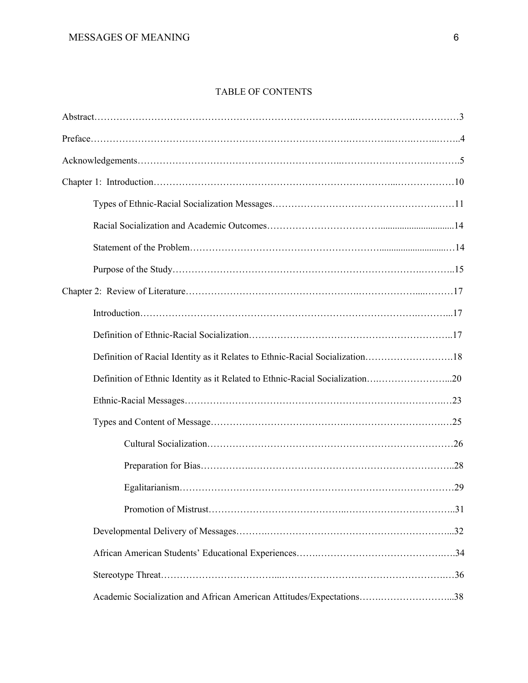# TABLE OF CONTENTS

| Definition of Racial Identity as it Relates to Ethnic-Racial Socialization18 |  |
|------------------------------------------------------------------------------|--|
| Definition of Ethnic Identity as it Related to Ethnic-Racial Socialization20 |  |
|                                                                              |  |
|                                                                              |  |
|                                                                              |  |
|                                                                              |  |
|                                                                              |  |
|                                                                              |  |
|                                                                              |  |
|                                                                              |  |
|                                                                              |  |
| Academic Socialization and African American Attitudes/Expectations38         |  |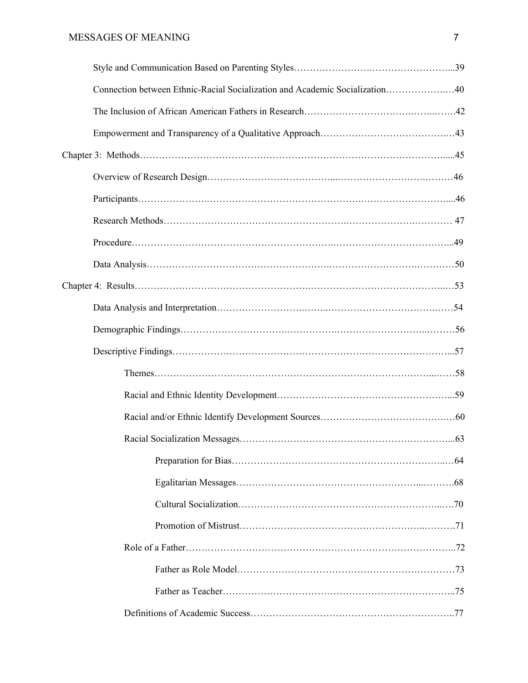| Connection between Ethnic-Racial Socialization and Academic Socialization40 |  |
|-----------------------------------------------------------------------------|--|
|                                                                             |  |
|                                                                             |  |
|                                                                             |  |
|                                                                             |  |
|                                                                             |  |
|                                                                             |  |
|                                                                             |  |
|                                                                             |  |
|                                                                             |  |
|                                                                             |  |
|                                                                             |  |
|                                                                             |  |
|                                                                             |  |
|                                                                             |  |
|                                                                             |  |
|                                                                             |  |
|                                                                             |  |
|                                                                             |  |
|                                                                             |  |
|                                                                             |  |
|                                                                             |  |
|                                                                             |  |
|                                                                             |  |
|                                                                             |  |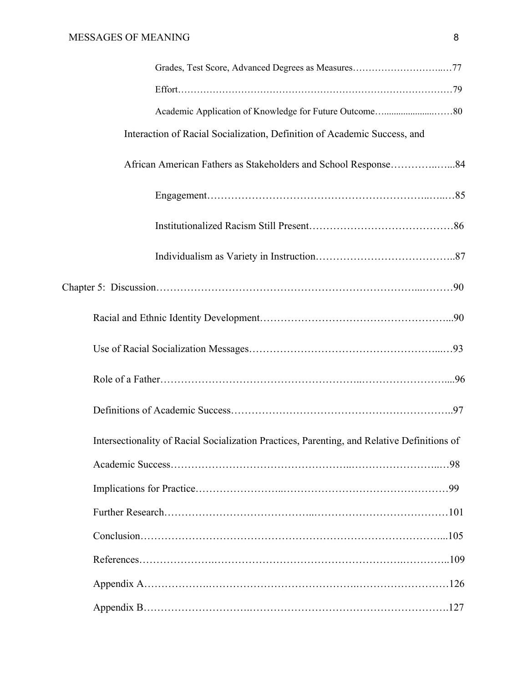| Grades, Test Score, Advanced Degrees as Measures77                                          |
|---------------------------------------------------------------------------------------------|
|                                                                                             |
|                                                                                             |
| Interaction of Racial Socialization, Definition of Academic Success, and                    |
|                                                                                             |
|                                                                                             |
|                                                                                             |
|                                                                                             |
|                                                                                             |
|                                                                                             |
|                                                                                             |
|                                                                                             |
|                                                                                             |
| Intersectionality of Racial Socialization Practices, Parenting, and Relative Definitions of |
|                                                                                             |
|                                                                                             |
|                                                                                             |
|                                                                                             |
|                                                                                             |
|                                                                                             |
|                                                                                             |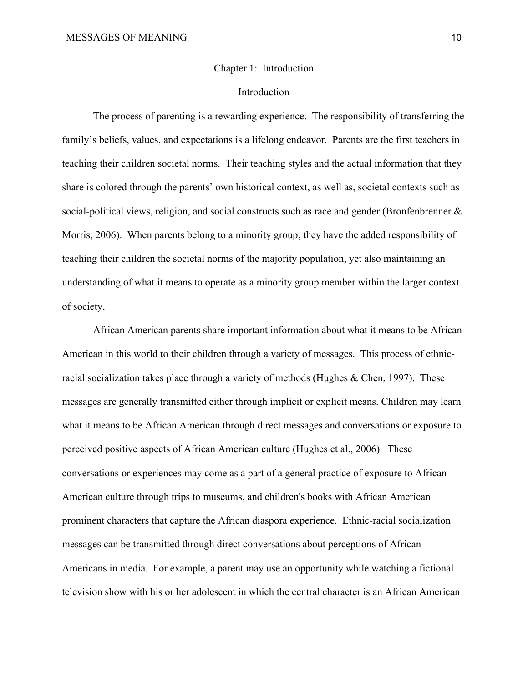### Chapter 1: Introduction

# Introduction

The process of parenting is a rewarding experience. The responsibility of transferring the family's beliefs, values, and expectations is a lifelong endeavor. Parents are the first teachers in teaching their children societal norms. Their teaching styles and the actual information that they share is colored through the parents' own historical context, as well as, societal contexts such as social-political views, religion, and social constructs such as race and gender (Bronfenbrenner & Morris, 2006). When parents belong to a minority group, they have the added responsibility of teaching their children the societal norms of the majority population, yet also maintaining an understanding of what it means to operate as a minority group member within the larger context of society.

African American parents share important information about what it means to be African American in this world to their children through a variety of messages. This process of ethnicracial socialization takes place through a variety of methods (Hughes & Chen, 1997). These messages are generally transmitted either through implicit or explicit means. Children may learn what it means to be African American through direct messages and conversations or exposure to perceived positive aspects of African American culture (Hughes et al., 2006). These conversations or experiences may come as a part of a general practice of exposure to African American culture through trips to museums, and children's books with African American prominent characters that capture the African diaspora experience. Ethnic-racial socialization messages can be transmitted through direct conversations about perceptions of African Americans in media. For example, a parent may use an opportunity while watching a fictional television show with his or her adolescent in which the central character is an African American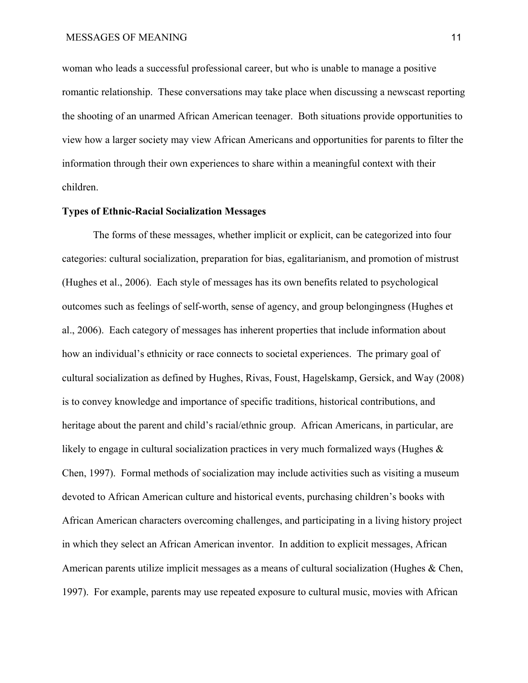woman who leads a successful professional career, but who is unable to manage a positive romantic relationship. These conversations may take place when discussing a newscast reporting the shooting of an unarmed African American teenager. Both situations provide opportunities to view how a larger society may view African Americans and opportunities for parents to filter the information through their own experiences to share within a meaningful context with their children.

# **Types of Ethnic-Racial Socialization Messages**

The forms of these messages, whether implicit or explicit, can be categorized into four categories: cultural socialization, preparation for bias, egalitarianism, and promotion of mistrust (Hughes et al., 2006). Each style of messages has its own benefits related to psychological outcomes such as feelings of self-worth, sense of agency, and group belongingness (Hughes et al., 2006). Each category of messages has inherent properties that include information about how an individual's ethnicity or race connects to societal experiences. The primary goal of cultural socialization as defined by Hughes, Rivas, Foust, Hagelskamp, Gersick, and Way (2008) is to convey knowledge and importance of specific traditions, historical contributions, and heritage about the parent and child's racial/ethnic group. African Americans, in particular, are likely to engage in cultural socialization practices in very much formalized ways (Hughes  $\&$ Chen, 1997). Formal methods of socialization may include activities such as visiting a museum devoted to African American culture and historical events, purchasing children's books with African American characters overcoming challenges, and participating in a living history project in which they select an African American inventor. In addition to explicit messages, African American parents utilize implicit messages as a means of cultural socialization (Hughes & Chen, 1997). For example, parents may use repeated exposure to cultural music, movies with African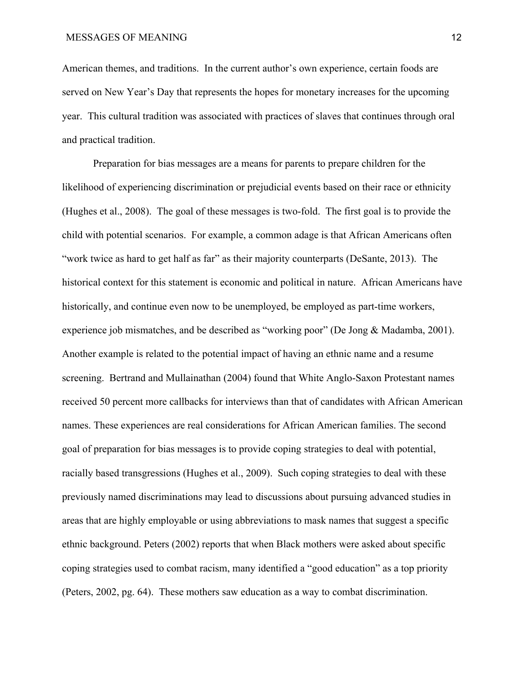American themes, and traditions. In the current author's own experience, certain foods are served on New Year's Day that represents the hopes for monetary increases for the upcoming year. This cultural tradition was associated with practices of slaves that continues through oral and practical tradition.

Preparation for bias messages are a means for parents to prepare children for the likelihood of experiencing discrimination or prejudicial events based on their race or ethnicity (Hughes et al., 2008). The goal of these messages is two-fold. The first goal is to provide the child with potential scenarios. For example, a common adage is that African Americans often "work twice as hard to get half as far" as their majority counterparts (DeSante, 2013). The historical context for this statement is economic and political in nature. African Americans have historically, and continue even now to be unemployed, be employed as part-time workers, experience job mismatches, and be described as "working poor" (De Jong & Madamba, 2001). Another example is related to the potential impact of having an ethnic name and a resume screening. Bertrand and Mullainathan (2004) found that White Anglo-Saxon Protestant names received 50 percent more callbacks for interviews than that of candidates with African American names. These experiences are real considerations for African American families. The second goal of preparation for bias messages is to provide coping strategies to deal with potential, racially based transgressions (Hughes et al., 2009). Such coping strategies to deal with these previously named discriminations may lead to discussions about pursuing advanced studies in areas that are highly employable or using abbreviations to mask names that suggest a specific ethnic background. Peters (2002) reports that when Black mothers were asked about specific coping strategies used to combat racism, many identified a "good education" as a top priority (Peters, 2002, pg. 64). These mothers saw education as a way to combat discrimination.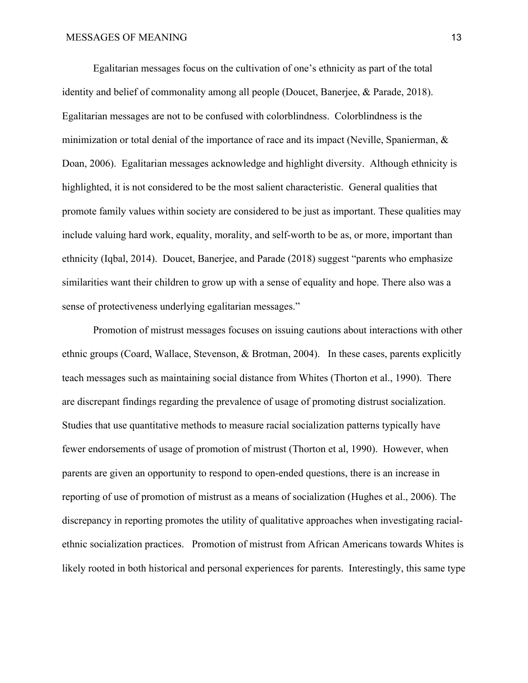Egalitarian messages focus on the cultivation of one's ethnicity as part of the total identity and belief of commonality among all people (Doucet, Banerjee, & Parade, 2018). Egalitarian messages are not to be confused with colorblindness. Colorblindness is the minimization or total denial of the importance of race and its impact (Neville, Spanierman, & Doan, 2006). Egalitarian messages acknowledge and highlight diversity. Although ethnicity is highlighted, it is not considered to be the most salient characteristic. General qualities that promote family values within society are considered to be just as important. These qualities may include valuing hard work, equality, morality, and self-worth to be as, or more, important than ethnicity (Iqbal, 2014). Doucet, Banerjee, and Parade (2018) suggest "parents who emphasize similarities want their children to grow up with a sense of equality and hope. There also was a sense of protectiveness underlying egalitarian messages."

Promotion of mistrust messages focuses on issuing cautions about interactions with other ethnic groups (Coard, Wallace, Stevenson, & Brotman, 2004). In these cases, parents explicitly teach messages such as maintaining social distance from Whites (Thorton et al., 1990). There are discrepant findings regarding the prevalence of usage of promoting distrust socialization. Studies that use quantitative methods to measure racial socialization patterns typically have fewer endorsements of usage of promotion of mistrust (Thorton et al, 1990). However, when parents are given an opportunity to respond to open-ended questions, there is an increase in reporting of use of promotion of mistrust as a means of socialization (Hughes et al., 2006). The discrepancy in reporting promotes the utility of qualitative approaches when investigating racialethnic socialization practices. Promotion of mistrust from African Americans towards Whites is likely rooted in both historical and personal experiences for parents. Interestingly, this same type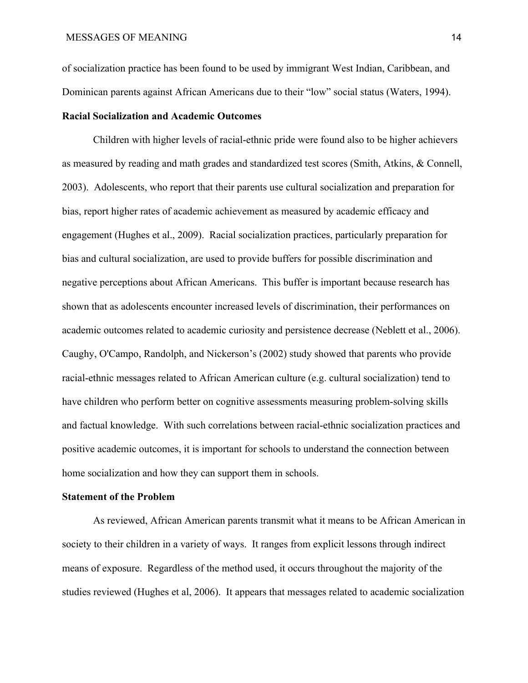of socialization practice has been found to be used by immigrant West Indian, Caribbean, and Dominican parents against African Americans due to their "low" social status (Waters, 1994).

# **Racial Socialization and Academic Outcomes**

Children with higher levels of racial-ethnic pride were found also to be higher achievers as measured by reading and math grades and standardized test scores (Smith, Atkins, & Connell, 2003). Adolescents, who report that their parents use cultural socialization and preparation for bias, report higher rates of academic achievement as measured by academic efficacy and engagement (Hughes et al., 2009). Racial socialization practices, particularly preparation for bias and cultural socialization, are used to provide buffers for possible discrimination and negative perceptions about African Americans. This buffer is important because research has shown that as adolescents encounter increased levels of discrimination, their performances on academic outcomes related to academic curiosity and persistence decrease (Neblett et al., 2006). Caughy, O'Campo, Randolph, and Nickerson's (2002) study showed that parents who provide racial-ethnic messages related to African American culture (e.g. cultural socialization) tend to have children who perform better on cognitive assessments measuring problem-solving skills and factual knowledge. With such correlations between racial-ethnic socialization practices and positive academic outcomes, it is important for schools to understand the connection between home socialization and how they can support them in schools.

# **Statement of the Problem**

As reviewed, African American parents transmit what it means to be African American in society to their children in a variety of ways. It ranges from explicit lessons through indirect means of exposure. Regardless of the method used, it occurs throughout the majority of the studies reviewed (Hughes et al, 2006). It appears that messages related to academic socialization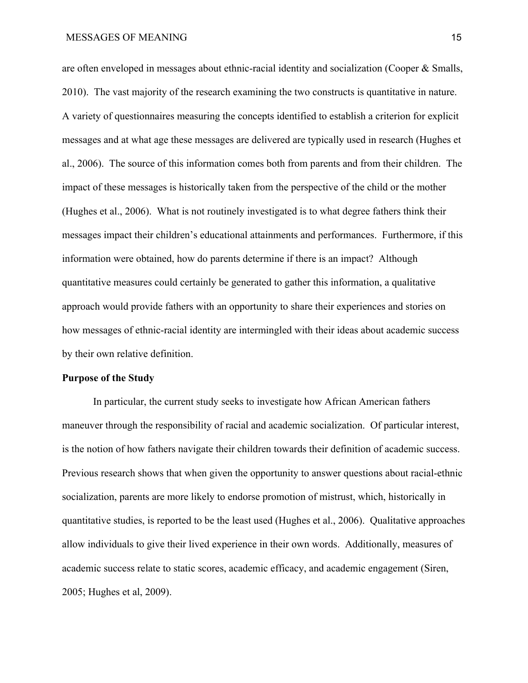# MESSAGES OF MEANING 15

are often enveloped in messages about ethnic-racial identity and socialization (Cooper & Smalls, 2010). The vast majority of the research examining the two constructs is quantitative in nature. A variety of questionnaires measuring the concepts identified to establish a criterion for explicit messages and at what age these messages are delivered are typically used in research (Hughes et al., 2006). The source of this information comes both from parents and from their children. The impact of these messages is historically taken from the perspective of the child or the mother (Hughes et al., 2006). What is not routinely investigated is to what degree fathers think their messages impact their children's educational attainments and performances. Furthermore, if this information were obtained, how do parents determine if there is an impact? Although quantitative measures could certainly be generated to gather this information, a qualitative approach would provide fathers with an opportunity to share their experiences and stories on how messages of ethnic-racial identity are intermingled with their ideas about academic success by their own relative definition. **Purpose of the Study**

In particular, the current study seeks to investigate how African American fathers maneuver through the responsibility of racial and academic socialization. Of particular interest, is the notion of how fathers navigate their children towards their definition of academic success. Previous research shows that when given the opportunity to answer questions about racial-ethnic socialization, parents are more likely to endorse promotion of mistrust, which, historically in quantitative studies, is reported to be the least used (Hughes et al., 2006). Qualitative approaches allow individuals to give their lived experience in their own words. Additionally, measures of academic success relate to static scores, academic efficacy, and academic engagement (Siren, 2005; Hughes et al, 2009).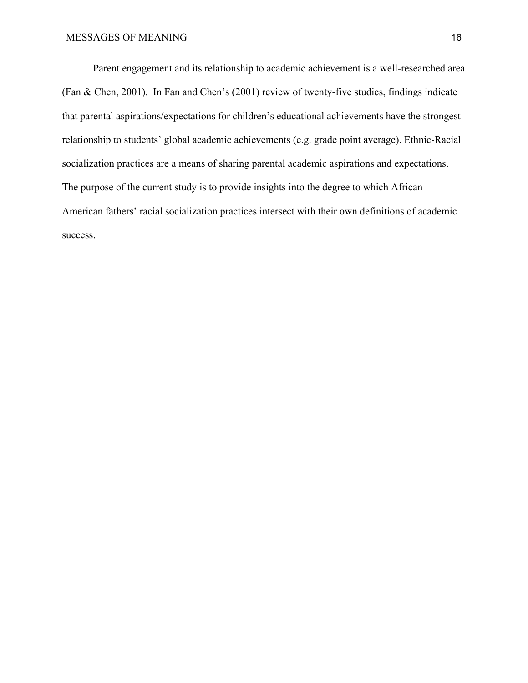Parent engagement and its relationship to academic achievement is a well-researched area (Fan & Chen, 2001). In Fan and Chen's (2001) review of twenty-five studies, findings indicate that parental aspirations/expectations for children's educational achievements have the strongest relationship to students' global academic achievements (e.g. grade point average). Ethnic-Racial socialization practices are a means of sharing parental academic aspirations and expectations. The purpose of the current study is to provide insights into the degree to which African American fathers' racial socialization practices intersect with their own definitions of academic success.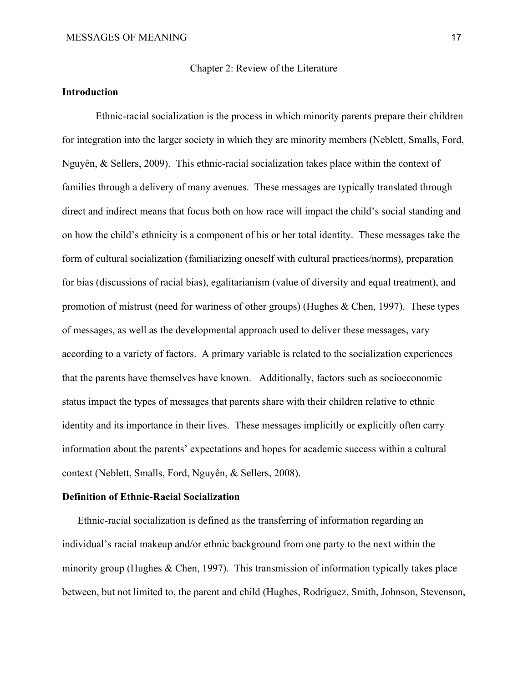Chapter 2: Review of the Literature

# **Introduction**

 Ethnic-racial socialization is the process in which minority parents prepare their children for integration into the larger society in which they are minority members (Neblett, Smalls, Ford, Nguyên, & Sellers, 2009). This ethnic-racial socialization takes place within the context of families through a delivery of many avenues. These messages are typically translated through direct and indirect means that focus both on how race will impact the child's social standing and on how the child's ethnicity is a component of his or her total identity. These messages take the form of cultural socialization (familiarizing oneself with cultural practices/norms), preparation for bias (discussions of racial bias), egalitarianism (value of diversity and equal treatment), and promotion of mistrust (need for wariness of other groups) (Hughes & Chen, 1997). These types of messages, as well as the developmental approach used to deliver these messages, vary according to a variety of factors. A primary variable is related to the socialization experiences that the parents have themselves have known. Additionally, factors such as socioeconomic status impact the types of messages that parents share with their children relative to ethnic identity and its importance in their lives. These messages implicitly or explicitly often carry information about the parents' expectations and hopes for academic success within a cultural context (Neblett, Smalls, Ford, Nguyên, & Sellers, 2008).

# **Definition of Ethnic-Racial Socialization**

Ethnic-racial socialization is defined as the transferring of information regarding an individual's racial makeup and/or ethnic background from one party to the next within the minority group (Hughes & Chen, 1997). This transmission of information typically takes place between, but not limited to, the parent and child (Hughes, Rodriguez, Smith, Johnson, Stevenson,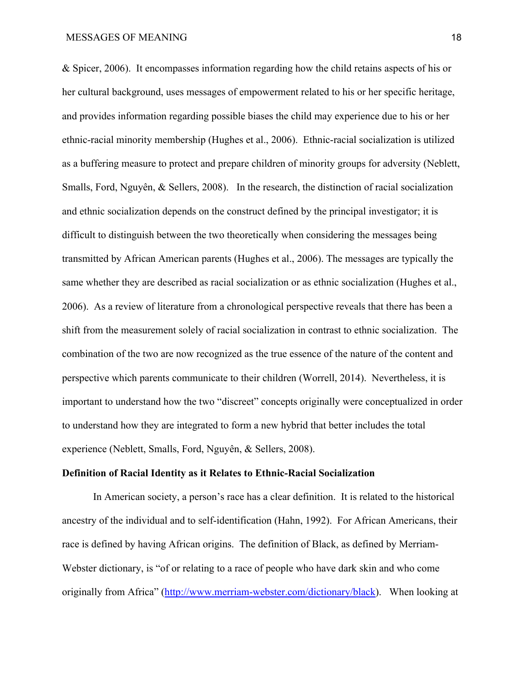& Spicer, 2006). It encompasses information regarding how the child retains aspects of his or her cultural background, uses messages of empowerment related to his or her specific heritage, and provides information regarding possible biases the child may experience due to his or her ethnic-racial minority membership (Hughes et al., 2006). Ethnic-racial socialization is utilized as a buffering measure to protect and prepare children of minority groups for adversity (Neblett, Smalls, Ford, Nguyên, & Sellers, 2008). In the research, the distinction of racial socialization and ethnic socialization depends on the construct defined by the principal investigator; it is difficult to distinguish between the two theoretically when considering the messages being transmitted by African American parents (Hughes et al., 2006). The messages are typically the same whether they are described as racial socialization or as ethnic socialization (Hughes et al., 2006). As a review of literature from a chronological perspective reveals that there has been a shift from the measurement solely of racial socialization in contrast to ethnic socialization. The combination of the two are now recognized as the true essence of the nature of the content and perspective which parents communicate to their children (Worrell, 2014). Nevertheless, it is important to understand how the two "discreet" concepts originally were conceptualized in order to understand how they are integrated to form a new hybrid that better includes the total experience (Neblett, Smalls, Ford, Nguyên, & Sellers, 2008).

# **Definition of Racial Identity as it Relates to Ethnic-Racial Socialization**

In American society, a person's race has a clear definition. It is related to the historical ancestry of the individual and to self-identification (Hahn, 1992). For African Americans, their race is defined by having African origins. The definition of Black, as defined by Merriam-Webster dictionary, is "of or relating to a race of people who have dark skin and who come originally from Africa" ([http://www.merriam-webster.com/dictionary/black\)](http://www.merriam-webster.com/dictionary/black). When looking at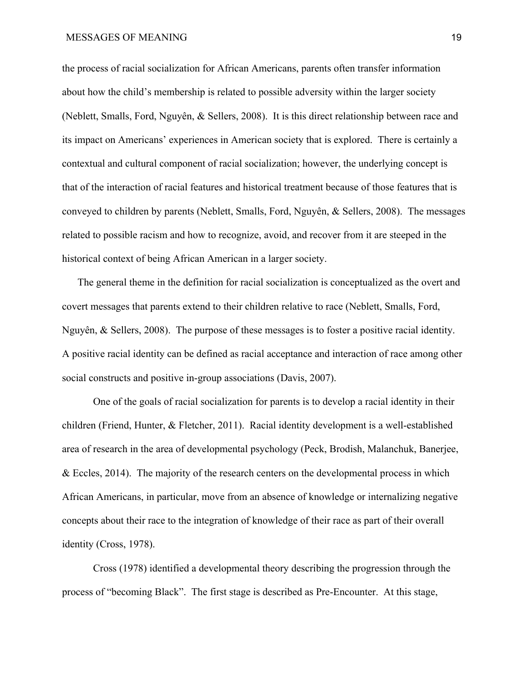# MESSAGES OF MEANING 19

the process of racial socialization for African Americans, parents often transfer information about how the child's membership is related to possible adversity within the larger society (Neblett, Smalls, Ford, Nguyên, & Sellers, 2008). It is this direct relationship between race and its impact on Americans' experiences in American society that is explored. There is certainly a contextual and cultural component of racial socialization; however, the underlying concept is that of the interaction of racial features and historical treatment because of those features that is conveyed to children by parents (Neblett, Smalls, Ford, Nguyên, & Sellers, 2008). The messages related to possible racism and how to recognize, avoid, and recover from it are steeped in the historical context of being African American in a larger society.

The general theme in the definition for racial socialization is conceptualized as the overt and covert messages that parents extend to their children relative to race (Neblett, Smalls, Ford, Nguyên, & Sellers, 2008). The purpose of these messages is to foster a positive racial identity. A positive racial identity can be defined as racial acceptance and interaction of race among other social constructs and positive in-group associations (Davis, 2007).

One of the goals of racial socialization for parents is to develop a racial identity in their children (Friend, Hunter, & Fletcher, 2011). Racial identity development is a well-established area of research in the area of developmental psychology (Peck, Brodish, Malanchuk, Banerjee, & Eccles, 2014). The majority of the research centers on the developmental process in which African Americans, in particular, move from an absence of knowledge or internalizing negative concepts about their race to the integration of knowledge of their race as part of their overall identity (Cross, 1978).

Cross (1978) identified a developmental theory describing the progression through the process of "becoming Black". The first stage is described as Pre-Encounter. At this stage,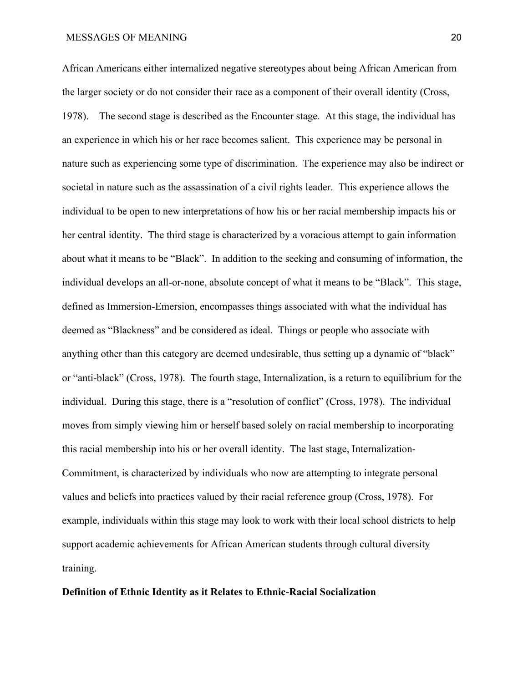African Americans either internalized negative stereotypes about being African American from the larger society or do not consider their race as a component of their overall identity (Cross, 1978). The second stage is described as the Encounter stage. At this stage, the individual has an experience in which his or her race becomes salient. This experience may be personal in nature such as experiencing some type of discrimination. The experience may also be indirect or societal in nature such as the assassination of a civil rights leader. This experience allows the individual to be open to new interpretations of how his or her racial membership impacts his or her central identity. The third stage is characterized by a voracious attempt to gain information about what it means to be "Black". In addition to the seeking and consuming of information, the individual develops an all-or-none, absolute concept of what it means to be "Black". This stage, defined as Immersion-Emersion, encompasses things associated with what the individual has deemed as "Blackness" and be considered as ideal. Things or people who associate with anything other than this category are deemed undesirable, thus setting up a dynamic of "black" or "anti-black" (Cross, 1978). The fourth stage, Internalization, is a return to equilibrium for the individual. During this stage, there is a "resolution of conflict" (Cross, 1978). The individual moves from simply viewing him or herself based solely on racial membership to incorporating this racial membership into his or her overall identity. The last stage, Internalization-Commitment, is characterized by individuals who now are attempting to integrate personal values and beliefs into practices valued by their racial reference group (Cross, 1978). For example, individuals within this stage may look to work with their local school districts to help support academic achievements for African American students through cultural diversity training.

#### **Definition of Ethnic Identity as it Relates to Ethnic-Racial Socialization**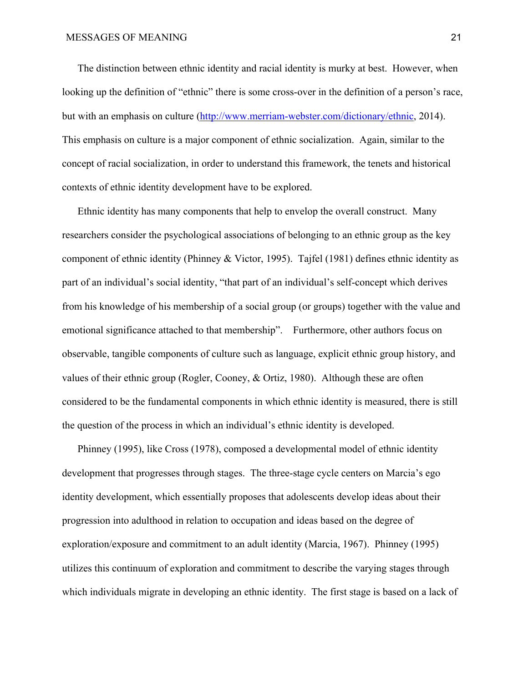The distinction between ethnic identity and racial identity is murky at best. However, when looking up the definition of "ethnic" there is some cross-over in the definition of a person's race, but with an emphasis on culture ([http://www.merriam-webster.com/dictionary/ethnic,](http://www.merriam-webster.com/dictionary/ethnic) 2014). This emphasis on culture is a major component of ethnic socialization. Again, similar to the concept of racial socialization, in order to understand this framework, the tenets and historical contexts of ethnic identity development have to be explored.

Ethnic identity has many components that help to envelop the overall construct. Many researchers consider the psychological associations of belonging to an ethnic group as the key component of ethnic identity (Phinney & Victor, 1995). Tajfel (1981) defines ethnic identity as part of an individual's social identity, "that part of an individual's self-concept which derives from his knowledge of his membership of a social group (or groups) together with the value and emotional significance attached to that membership". Furthermore, other authors focus on observable, tangible components of culture such as language, explicit ethnic group history, and values of their ethnic group (Rogler, Cooney, & Ortiz, 1980). Although these are often considered to be the fundamental components in which ethnic identity is measured, there is still the question of the process in which an individual's ethnic identity is developed.

Phinney (1995), like Cross (1978), composed a developmental model of ethnic identity development that progresses through stages. The three-stage cycle centers on Marcia's ego identity development, which essentially proposes that adolescents develop ideas about their progression into adulthood in relation to occupation and ideas based on the degree of exploration/exposure and commitment to an adult identity (Marcia, 1967). Phinney (1995) utilizes this continuum of exploration and commitment to describe the varying stages through which individuals migrate in developing an ethnic identity. The first stage is based on a lack of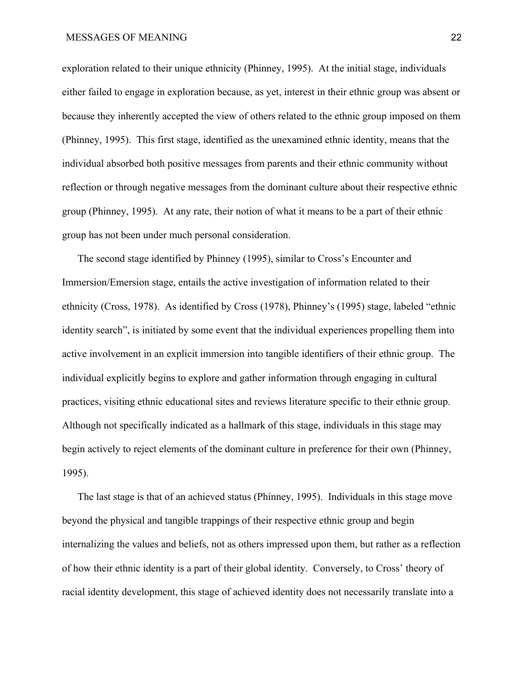# MESSAGES OF MEANING 22

exploration related to their unique ethnicity (Phinney, 1995). At the initial stage, individuals either failed to engage in exploration because, as yet, interest in their ethnic group was absent or because they inherently accepted the view of others related to the ethnic group imposed on them (Phinney, 1995). This first stage, identified as the unexamined ethnic identity, means that the individual absorbed both positive messages from parents and their ethnic community without reflection or through negative messages from the dominant culture about their respective ethnic group (Phinney, 1995). At any rate, their notion of what it means to be a part of their ethnic group has not been under much personal consideration.

The second stage identified by Phinney (1995), similar to Cross's Encounter and Immersion/Emersion stage, entails the active investigation of information related to their ethnicity (Cross, 1978). As identified by Cross (1978), Phinney's (1995) stage, labeled "ethnic identity search", is initiated by some event that the individual experiences propelling them into active involvement in an explicit immersion into tangible identifiers of their ethnic group. The individual explicitly begins to explore and gather information through engaging in cultural practices, visiting ethnic educational sites and reviews literature specific to their ethnic group. Although not specifically indicated as a hallmark of this stage, individuals in this stage may begin actively to reject elements of the dominant culture in preference for their own (Phinney, 1995).

The last stage is that of an achieved status (Phinney, 1995). Individuals in this stage move beyond the physical and tangible trappings of their respective ethnic group and begin internalizing the values and beliefs, not as others impressed upon them, but rather as a reflection of how their ethnic identity is a part of their global identity. Conversely, to Cross' theory of racial identity development, this stage of achieved identity does not necessarily translate into a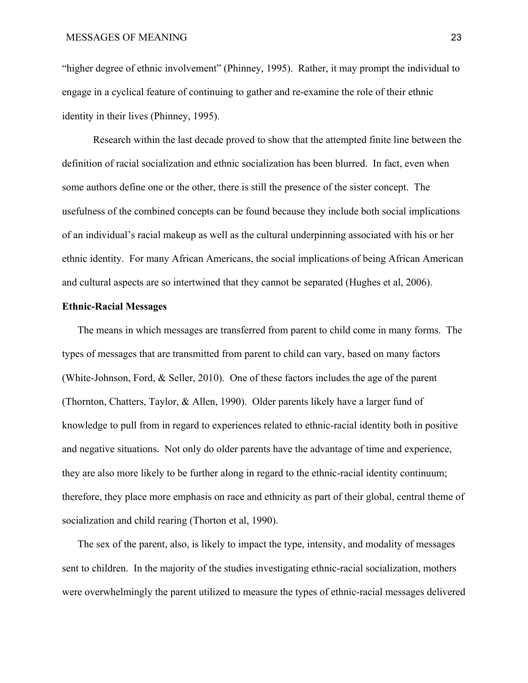"higher degree of ethnic involvement" (Phinney, 1995). Rather, it may prompt the individual to engage in a cyclical feature of continuing to gather and re-examine the role of their ethnic identity in their lives (Phinney, 1995).

Research within the last decade proved to show that the attempted finite line between the definition of racial socialization and ethnic socialization has been blurred. In fact, even when some authors define one or the other, there is still the presence of the sister concept. The usefulness of the combined concepts can be found because they include both social implications of an individual's racial makeup as well as the cultural underpinning associated with his or her ethnic identity. For many African Americans, the social implications of being African American and cultural aspects are so intertwined that they cannot be separated (Hughes et al, 2006).

# **Ethnic-Racial Messages**

The means in which messages are transferred from parent to child come in many forms. The types of messages that are transmitted from parent to child can vary, based on many factors (White-Johnson, Ford, & Seller, 2010). One of these factors includes the age of the parent (Thornton, Chatters, Taylor, & Allen, 1990). Older parents likely have a larger fund of knowledge to pull from in regard to experiences related to ethnic-racial identity both in positive and negative situations. Not only do older parents have the advantage of time and experience, they are also more likely to be further along in regard to the ethnic-racial identity continuum; therefore, they place more emphasis on race and ethnicity as part of their global, central theme of socialization and child rearing (Thorton et al, 1990).

The sex of the parent, also, is likely to impact the type, intensity, and modality of messages sent to children. In the majority of the studies investigating ethnic-racial socialization, mothers were overwhelmingly the parent utilized to measure the types of ethnic-racial messages delivered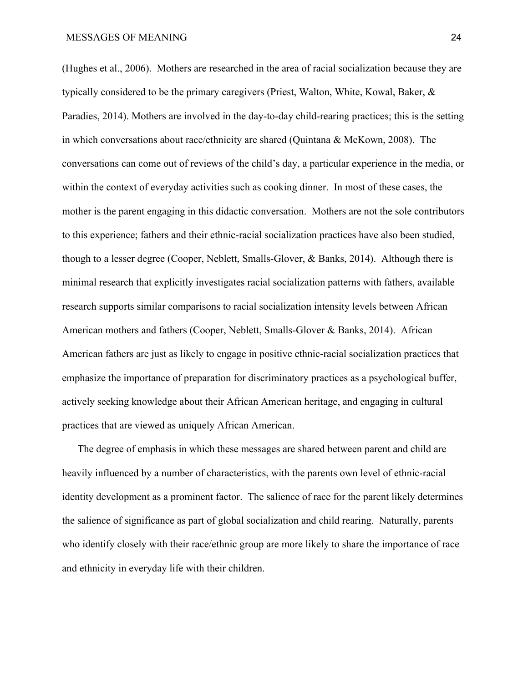(Hughes et al., 2006). Mothers are researched in the area of racial socialization because they are typically considered to be the primary caregivers (Priest, Walton, White, Kowal, Baker, & Paradies, 2014). Mothers are involved in the day-to-day child-rearing practices; this is the setting in which conversations about race/ethnicity are shared (Quintana & McKown, 2008). The conversations can come out of reviews of the child's day, a particular experience in the media, or within the context of everyday activities such as cooking dinner. In most of these cases, the mother is the parent engaging in this didactic conversation. Mothers are not the sole contributors to this experience; fathers and their ethnic-racial socialization practices have also been studied, though to a lesser degree (Cooper, Neblett, Smalls-Glover, & Banks, 2014). Although there is minimal research that explicitly investigates racial socialization patterns with fathers, available research supports similar comparisons to racial socialization intensity levels between African American mothers and fathers (Cooper, Neblett, Smalls-Glover & Banks, 2014). African American fathers are just as likely to engage in positive ethnic-racial socialization practices that emphasize the importance of preparation for discriminatory practices as a psychological buffer, actively seeking knowledge about their African American heritage, and engaging in cultural practices that are viewed as uniquely African American.

The degree of emphasis in which these messages are shared between parent and child are heavily influenced by a number of characteristics, with the parents own level of ethnic-racial identity development as a prominent factor. The salience of race for the parent likely determines the salience of significance as part of global socialization and child rearing. Naturally, parents who identify closely with their race/ethnic group are more likely to share the importance of race and ethnicity in everyday life with their children.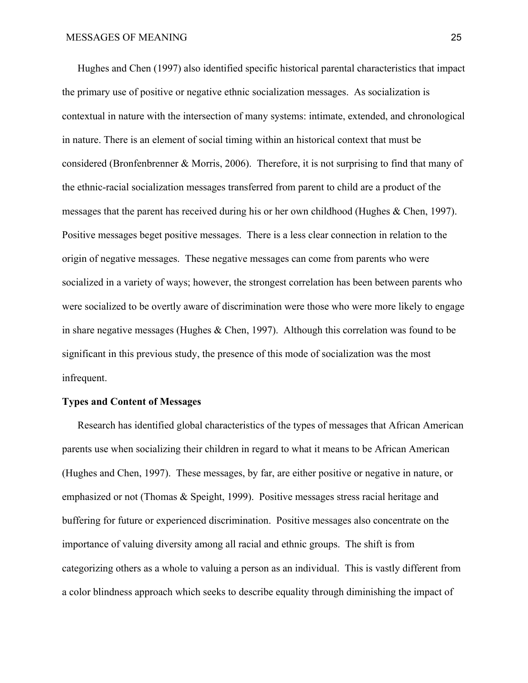Hughes and Chen (1997) also identified specific historical parental characteristics that impact the primary use of positive or negative ethnic socialization messages. As socialization is contextual in nature with the intersection of many systems: intimate, extended, and chronological in nature. There is an element of social timing within an historical context that must be considered (Bronfenbrenner & Morris, 2006). Therefore, it is not surprising to find that many of the ethnic-racial socialization messages transferred from parent to child are a product of the messages that the parent has received during his or her own childhood (Hughes & Chen, 1997). Positive messages beget positive messages. There is a less clear connection in relation to the origin of negative messages. These negative messages can come from parents who were socialized in a variety of ways; however, the strongest correlation has been between parents who were socialized to be overtly aware of discrimination were those who were more likely to engage in share negative messages (Hughes & Chen, 1997). Although this correlation was found to be significant in this previous study, the presence of this mode of socialization was the most infrequent.

# **Types and Content of Messages**

Research has identified global characteristics of the types of messages that African American parents use when socializing their children in regard to what it means to be African American (Hughes and Chen, 1997). These messages, by far, are either positive or negative in nature, or emphasized or not (Thomas & Speight, 1999). Positive messages stress racial heritage and buffering for future or experienced discrimination. Positive messages also concentrate on the importance of valuing diversity among all racial and ethnic groups. The shift is from categorizing others as a whole to valuing a person as an individual. This is vastly different from a color blindness approach which seeks to describe equality through diminishing the impact of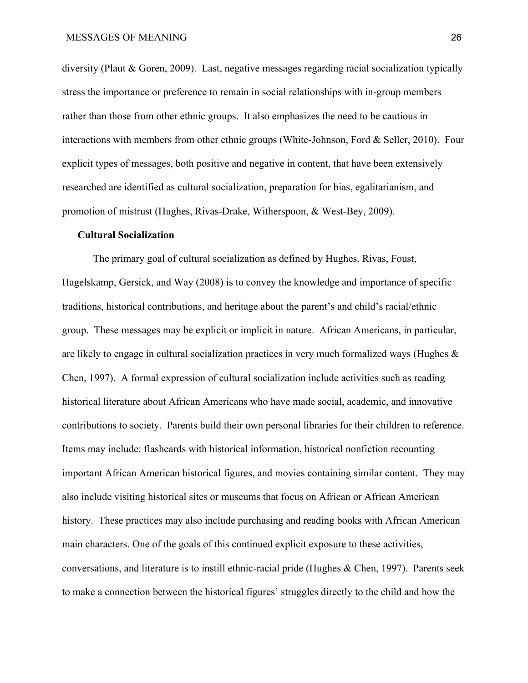diversity (Plaut & Goren, 2009). Last, negative messages regarding racial socialization typically stress the importance or preference to remain in social relationships with in-group members rather than those from other ethnic groups. It also emphasizes the need to be cautious in interactions with members from other ethnic groups (White-Johnson, Ford & Seller, 2010). Four explicit types of messages, both positive and negative in content, that have been extensively researched are identified as cultural socialization, preparation for bias, egalitarianism, and promotion of mistrust (Hughes, Rivas-Drake, Witherspoon, & West-Bey, 2009).

#### **Cultural Socialization**

The primary goal of cultural socialization as defined by Hughes, Rivas, Foust, Hagelskamp, Gersick, and Way (2008) is to convey the knowledge and importance of specific traditions, historical contributions, and heritage about the parent's and child's racial/ethnic group. These messages may be explicit or implicit in nature. African Americans, in particular, are likely to engage in cultural socialization practices in very much formalized ways (Hughes & Chen, 1997). A formal expression of cultural socialization include activities such as reading historical literature about African Americans who have made social, academic, and innovative contributions to society. Parents build their own personal libraries for their children to reference. Items may include: flashcards with historical information, historical nonfiction recounting important African American historical figures, and movies containing similar content. They may also include visiting historical sites or museums that focus on African or African American history. These practices may also include purchasing and reading books with African American main characters. One of the goals of this continued explicit exposure to these activities, conversations, and literature is to instill ethnic-racial pride (Hughes & Chen, 1997). Parents seek to make a connection between the historical figures' struggles directly to the child and how the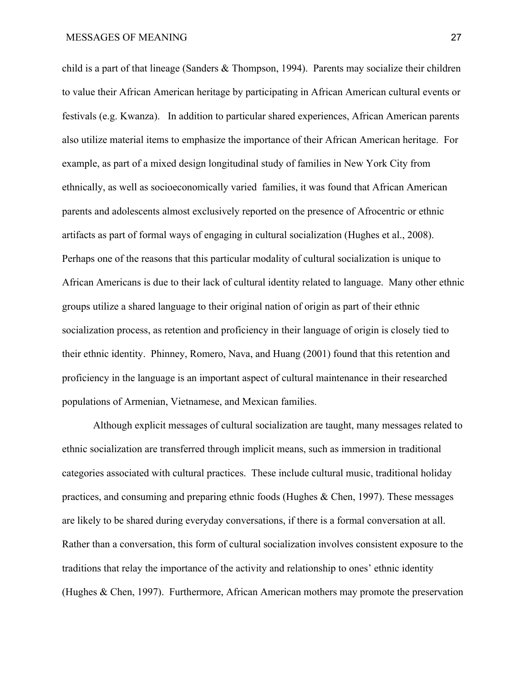child is a part of that lineage (Sanders & Thompson, 1994). Parents may socialize their children to value their African American heritage by participating in African American cultural events or festivals (e.g. Kwanza). In addition to particular shared experiences, African American parents also utilize material items to emphasize the importance of their African American heritage. For example, as part of a mixed design longitudinal study of families in New York City from ethnically, as well as socioeconomically varied families, it was found that African American parents and adolescents almost exclusively reported on the presence of Afrocentric or ethnic artifacts as part of formal ways of engaging in cultural socialization (Hughes et al., 2008). Perhaps one of the reasons that this particular modality of cultural socialization is unique to African Americans is due to their lack of cultural identity related to language. Many other ethnic groups utilize a shared language to their original nation of origin as part of their ethnic socialization process, as retention and proficiency in their language of origin is closely tied to their ethnic identity. Phinney, Romero, Nava, and Huang (2001) found that this retention and proficiency in the language is an important aspect of cultural maintenance in their researched populations of Armenian, Vietnamese, and Mexican families.

Although explicit messages of cultural socialization are taught, many messages related to ethnic socialization are transferred through implicit means, such as immersion in traditional categories associated with cultural practices. These include cultural music, traditional holiday practices, and consuming and preparing ethnic foods (Hughes & Chen, 1997). These messages are likely to be shared during everyday conversations, if there is a formal conversation at all. Rather than a conversation, this form of cultural socialization involves consistent exposure to the traditions that relay the importance of the activity and relationship to ones' ethnic identity (Hughes & Chen, 1997). Furthermore, African American mothers may promote the preservation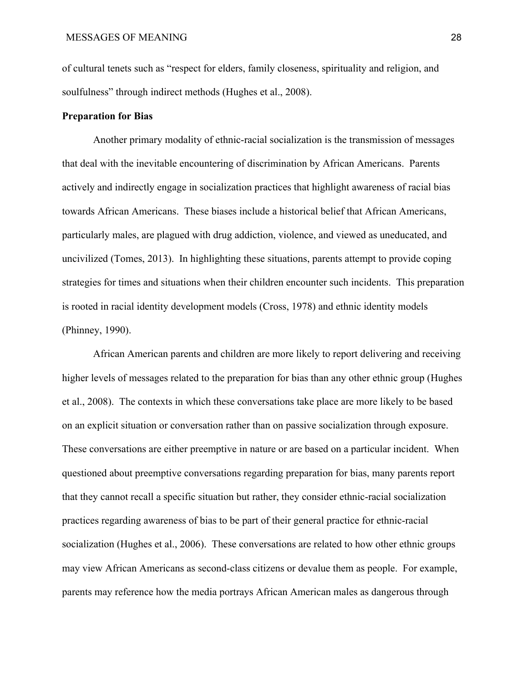of cultural tenets such as "respect for elders, family closeness, spirituality and religion, and soulfulness" through indirect methods (Hughes et al., 2008).

# **Preparation for Bias**

Another primary modality of ethnic-racial socialization is the transmission of messages that deal with the inevitable encountering of discrimination by African Americans. Parents actively and indirectly engage in socialization practices that highlight awareness of racial bias towards African Americans. These biases include a historical belief that African Americans, particularly males, are plagued with drug addiction, violence, and viewed as uneducated, and uncivilized (Tomes, 2013). In highlighting these situations, parents attempt to provide coping strategies for times and situations when their children encounter such incidents. This preparation is rooted in racial identity development models (Cross, 1978) and ethnic identity models (Phinney, 1990).

African American parents and children are more likely to report delivering and receiving higher levels of messages related to the preparation for bias than any other ethnic group (Hughes et al., 2008). The contexts in which these conversations take place are more likely to be based on an explicit situation or conversation rather than on passive socialization through exposure. These conversations are either preemptive in nature or are based on a particular incident. When questioned about preemptive conversations regarding preparation for bias, many parents report that they cannot recall a specific situation but rather, they consider ethnic-racial socialization practices regarding awareness of bias to be part of their general practice for ethnic-racial socialization (Hughes et al., 2006). These conversations are related to how other ethnic groups may view African Americans as second-class citizens or devalue them as people. For example, parents may reference how the media portrays African American males as dangerous through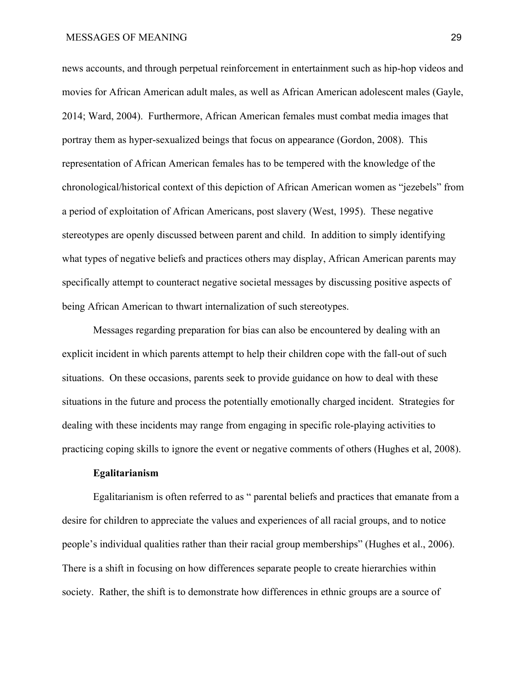# MESSAGES OF MEANING 29

news accounts, and through perpetual reinforcement in entertainment such as hip-hop videos and movies for African American adult males, as well as African American adolescent males (Gayle, 2014; Ward, 2004). Furthermore, African American females must combat media images that portray them as hyper-sexualized beings that focus on appearance (Gordon, 2008). This representation of African American females has to be tempered with the knowledge of the chronological/historical context of this depiction of African American women as "jezebels" from a period of exploitation of African Americans, post slavery (West, 1995). These negative stereotypes are openly discussed between parent and child. In addition to simply identifying what types of negative beliefs and practices others may display, African American parents may specifically attempt to counteract negative societal messages by discussing positive aspects of being African American to thwart internalization of such stereotypes.

Messages regarding preparation for bias can also be encountered by dealing with an explicit incident in which parents attempt to help their children cope with the fall-out of such situations. On these occasions, parents seek to provide guidance on how to deal with these situations in the future and process the potentially emotionally charged incident. Strategies for dealing with these incidents may range from engaging in specific role-playing activities to practicing coping skills to ignore the event or negative comments of others (Hughes et al, 2008).

# **Egalitarianism**

Egalitarianism is often referred to as " parental beliefs and practices that emanate from a desire for children to appreciate the values and experiences of all racial groups, and to notice people's individual qualities rather than their racial group memberships" (Hughes et al., 2006). There is a shift in focusing on how differences separate people to create hierarchies within society. Rather, the shift is to demonstrate how differences in ethnic groups are a source of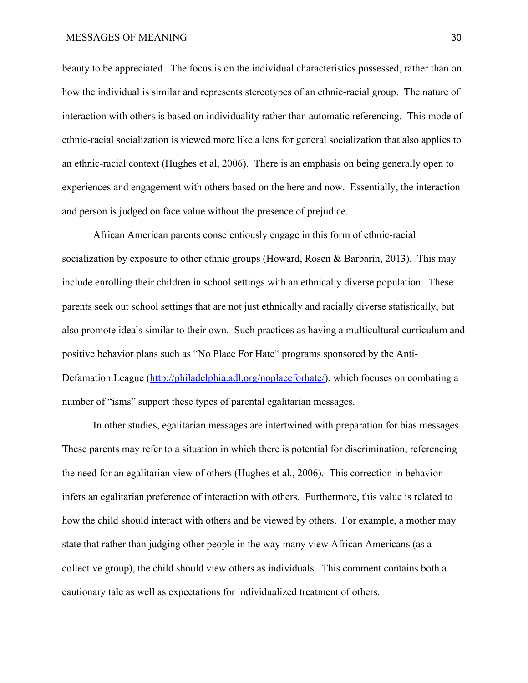# MESSAGES OF MEANING 30

beauty to be appreciated. The focus is on the individual characteristics possessed, rather than on how the individual is similar and represents stereotypes of an ethnic-racial group. The nature of interaction with others is based on individuality rather than automatic referencing. This mode of ethnic-racial socialization is viewed more like a lens for general socialization that also applies to an ethnic-racial context (Hughes et al, 2006). There is an emphasis on being generally open to experiences and engagement with others based on the here and now. Essentially, the interaction and person is judged on face value without the presence of prejudice.

African American parents conscientiously engage in this form of ethnic-racial socialization by exposure to other ethnic groups (Howard, Rosen & Barbarin, 2013). This may include enrolling their children in school settings with an ethnically diverse population. These parents seek out school settings that are not just ethnically and racially diverse statistically, but also promote ideals similar to their own. Such practices as having a multicultural curriculum and positive behavior plans such as "No Place For Hate" programs sponsored by the Anti-Defamation League ([http://philadelphia.adl.org/noplaceforhate/\)](http://philadelphia.adl.org/noplaceforhate/), which focuses on combating a number of "isms" support these types of parental egalitarian messages.

In other studies, egalitarian messages are intertwined with preparation for bias messages. These parents may refer to a situation in which there is potential for discrimination, referencing the need for an egalitarian view of others (Hughes et al., 2006). This correction in behavior infers an egalitarian preference of interaction with others. Furthermore, this value is related to how the child should interact with others and be viewed by others. For example, a mother may state that rather than judging other people in the way many view African Americans (as a collective group), the child should view others as individuals. This comment contains both a cautionary tale as well as expectations for individualized treatment of others.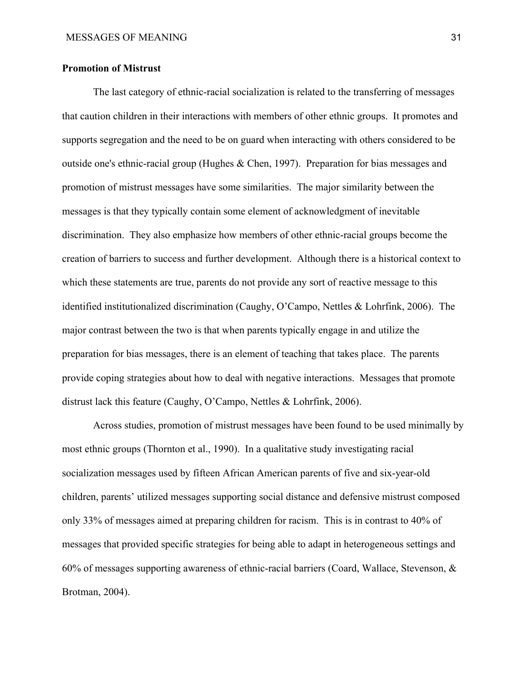# **Promotion of Mistrust**

The last category of ethnic-racial socialization is related to the transferring of messages that caution children in their interactions with members of other ethnic groups. It promotes and supports segregation and the need to be on guard when interacting with others considered to be outside one's ethnic-racial group (Hughes & Chen, 1997). Preparation for bias messages and promotion of mistrust messages have some similarities. The major similarity between the messages is that they typically contain some element of acknowledgment of inevitable discrimination. They also emphasize how members of other ethnic-racial groups become the creation of barriers to success and further development. Although there is a historical context to which these statements are true, parents do not provide any sort of reactive message to this identified institutionalized discrimination (Caughy, O'Campo, Nettles & Lohrfink, 2006). The major contrast between the two is that when parents typically engage in and utilize the preparation for bias messages, there is an element of teaching that takes place. The parents provide coping strategies about how to deal with negative interactions. Messages that promote distrust lack this feature (Caughy, O'Campo, Nettles & Lohrfink, 2006).

Across studies, promotion of mistrust messages have been found to be used minimally by most ethnic groups (Thornton et al., 1990). In a qualitative study investigating racial socialization messages used by fifteen African American parents of five and six-year-old children, parents' utilized messages supporting social distance and defensive mistrust composed only 33% of messages aimed at preparing children for racism. This is in contrast to 40% of messages that provided specific strategies for being able to adapt in heterogeneous settings and 60% of messages supporting awareness of ethnic-racial barriers (Coard, Wallace, Stevenson, & Brotman, 2004).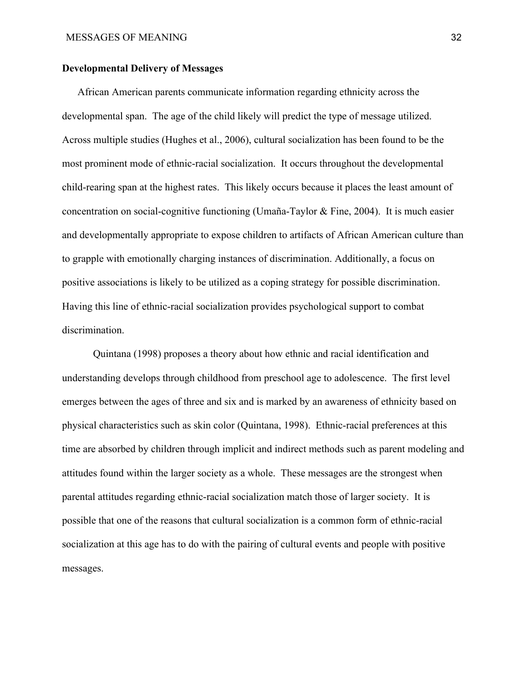# **Developmental Delivery of Messages**

African American parents communicate information regarding ethnicity across the developmental span. The age of the child likely will predict the type of message utilized. Across multiple studies (Hughes et al., 2006), cultural socialization has been found to be the most prominent mode of ethnic-racial socialization. It occurs throughout the developmental child-rearing span at the highest rates. This likely occurs because it places the least amount of concentration on social-cognitive functioning (Umaña-Taylor & Fine, 2004). It is much easier and developmentally appropriate to expose children to artifacts of African American culture than to grapple with emotionally charging instances of discrimination. Additionally, a focus on positive associations is likely to be utilized as a coping strategy for possible discrimination. Having this line of ethnic-racial socialization provides psychological support to combat discrimination.

Quintana (1998) proposes a theory about how ethnic and racial identification and understanding develops through childhood from preschool age to adolescence. The first level emerges between the ages of three and six and is marked by an awareness of ethnicity based on physical characteristics such as skin color (Quintana, 1998). Ethnic-racial preferences at this time are absorbed by children through implicit and indirect methods such as parent modeling and attitudes found within the larger society as a whole. These messages are the strongest when parental attitudes regarding ethnic-racial socialization match those of larger society. It is possible that one of the reasons that cultural socialization is a common form of ethnic-racial socialization at this age has to do with the pairing of cultural events and people with positive messages.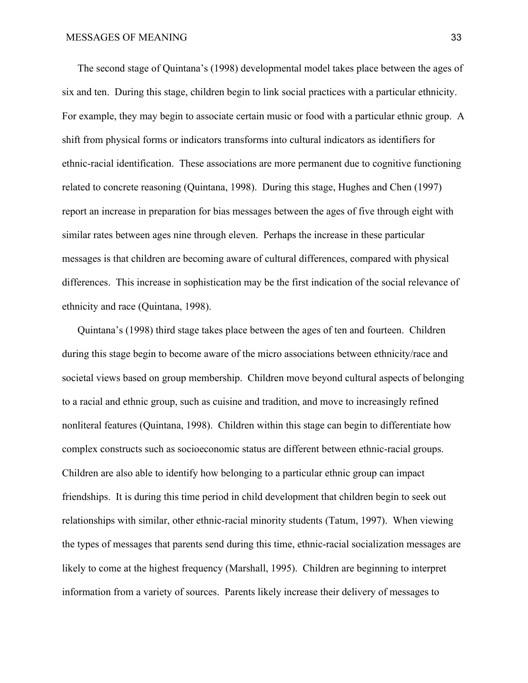The second stage of Quintana's (1998) developmental model takes place between the ages of six and ten. During this stage, children begin to link social practices with a particular ethnicity. For example, they may begin to associate certain music or food with a particular ethnic group. A shift from physical forms or indicators transforms into cultural indicators as identifiers for ethnic-racial identification. These associations are more permanent due to cognitive functioning related to concrete reasoning (Quintana, 1998). During this stage, Hughes and Chen (1997) report an increase in preparation for bias messages between the ages of five through eight with similar rates between ages nine through eleven. Perhaps the increase in these particular messages is that children are becoming aware of cultural differences, compared with physical differences. This increase in sophistication may be the first indication of the social relevance of ethnicity and race (Quintana, 1998).

Quintana's (1998) third stage takes place between the ages of ten and fourteen. Children during this stage begin to become aware of the micro associations between ethnicity/race and societal views based on group membership. Children move beyond cultural aspects of belonging to a racial and ethnic group, such as cuisine and tradition, and move to increasingly refined nonliteral features (Quintana, 1998). Children within this stage can begin to differentiate how complex constructs such as socioeconomic status are different between ethnic-racial groups. Children are also able to identify how belonging to a particular ethnic group can impact friendships. It is during this time period in child development that children begin to seek out relationships with similar, other ethnic-racial minority students (Tatum, 1997). When viewing the types of messages that parents send during this time, ethnic-racial socialization messages are likely to come at the highest frequency (Marshall, 1995). Children are beginning to interpret information from a variety of sources. Parents likely increase their delivery of messages to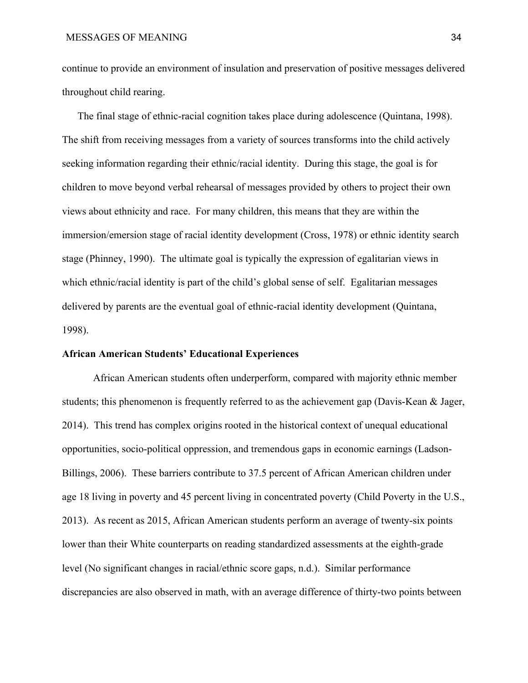continue to provide an environment of insulation and preservation of positive messages delivered throughout child rearing.

The final stage of ethnic-racial cognition takes place during adolescence (Quintana, 1998). The shift from receiving messages from a variety of sources transforms into the child actively seeking information regarding their ethnic/racial identity. During this stage, the goal is for children to move beyond verbal rehearsal of messages provided by others to project their own views about ethnicity and race. For many children, this means that they are within the immersion/emersion stage of racial identity development (Cross, 1978) or ethnic identity search stage (Phinney, 1990). The ultimate goal is typically the expression of egalitarian views in which ethnic/racial identity is part of the child's global sense of self. Egalitarian messages delivered by parents are the eventual goal of ethnic-racial identity development (Quintana, 1998).

# **African American Students' Educational Experiences**

African American students often underperform, compared with majority ethnic member students; this phenomenon is frequently referred to as the achievement gap (Davis-Kean & Jager, 2014). This trend has complex origins rooted in the historical context of unequal educational opportunities, socio-political oppression, and tremendous gaps in economic earnings (Ladson-Billings, 2006). These barriers contribute to 37.5 percent of African American children under age 18 living in poverty and 45 percent living in concentrated poverty (Child Poverty in the U.S., 2013). As recent as 2015, African American students perform an average of twenty-six points lower than their White counterparts on reading standardized assessments at the eighth-grade level (No significant changes in racial/ethnic score gaps, n.d.). Similar performance discrepancies are also observed in math, with an average difference of thirty-two points between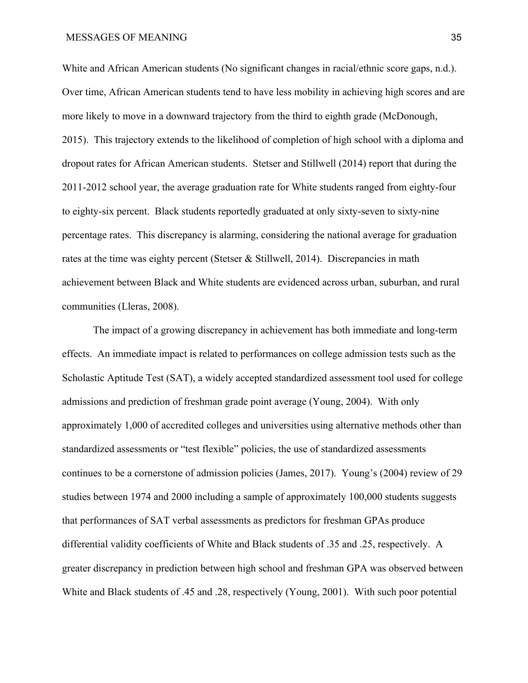White and African American students (No significant changes in racial/ethnic score gaps, n.d.). Over time, African American students tend to have less mobility in achieving high scores and are more likely to move in a downward trajectory from the third to eighth grade (McDonough, 2015). This trajectory extends to the likelihood of completion of high school with a diploma and dropout rates for African American students. Stetser and Stillwell (2014) report that during the 2011-2012 school year, the average graduation rate for White students ranged from eighty-four to eighty-six percent. Black students reportedly graduated at only sixty-seven to sixty-nine percentage rates. This discrepancy is alarming, considering the national average for graduation rates at the time was eighty percent (Stetser & Stillwell, 2014). Discrepancies in math achievement between Black and White students are evidenced across urban, suburban, and rural communities (Lleras, 2008).

The impact of a growing discrepancy in achievement has both immediate and long-term effects. An immediate impact is related to performances on college admission tests such as the Scholastic Aptitude Test (SAT), a widely accepted standardized assessment tool used for college admissions and prediction of freshman grade point average (Young, 2004). With only approximately 1,000 of accredited colleges and universities using alternative methods other than standardized assessments or "test flexible" policies, the use of standardized assessments continues to be a cornerstone of admission policies (James, 2017). Young's (2004) review of 29 studies between 1974 and 2000 including a sample of approximately 100,000 students suggests that performances of SAT verbal assessments as predictors for freshman GPAs produce differential validity coefficients of White and Black students of .35 and .25, respectively. A greater discrepancy in prediction between high school and freshman GPA was observed between White and Black students of .45 and .28, respectively (Young, 2001). With such poor potential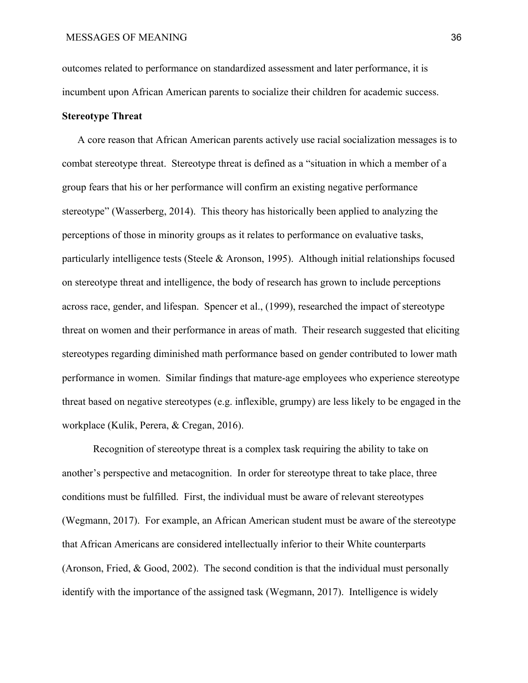outcomes related to performance on standardized assessment and later performance, it is incumbent upon African American parents to socialize their children for academic success.

# **Stereotype Threat**

A core reason that African American parents actively use racial socialization messages is to combat stereotype threat. Stereotype threat is defined as a "situation in which a member of a group fears that his or her performance will confirm an existing negative performance stereotype" (Wasserberg, 2014). This theory has historically been applied to analyzing the perceptions of those in minority groups as it relates to performance on evaluative tasks, particularly intelligence tests (Steele & Aronson, 1995). Although initial relationships focused on stereotype threat and intelligence, the body of research has grown to include perceptions across race, gender, and lifespan. Spencer et al., (1999), researched the impact of stereotype threat on women and their performance in areas of math. Their research suggested that eliciting stereotypes regarding diminished math performance based on gender contributed to lower math performance in women. Similar findings that mature-age employees who experience stereotype threat based on negative stereotypes (e.g. inflexible, grumpy) are less likely to be engaged in the workplace (Kulik, Perera, & Cregan, 2016).

Recognition of stereotype threat is a complex task requiring the ability to take on another's perspective and metacognition. In order for stereotype threat to take place, three conditions must be fulfilled. First, the individual must be aware of relevant stereotypes (Wegmann, 2017). For example, an African American student must be aware of the stereotype that African Americans are considered intellectually inferior to their White counterparts (Aronson, Fried, & Good, 2002). The second condition is that the individual must personally identify with the importance of the assigned task (Wegmann, 2017). Intelligence is widely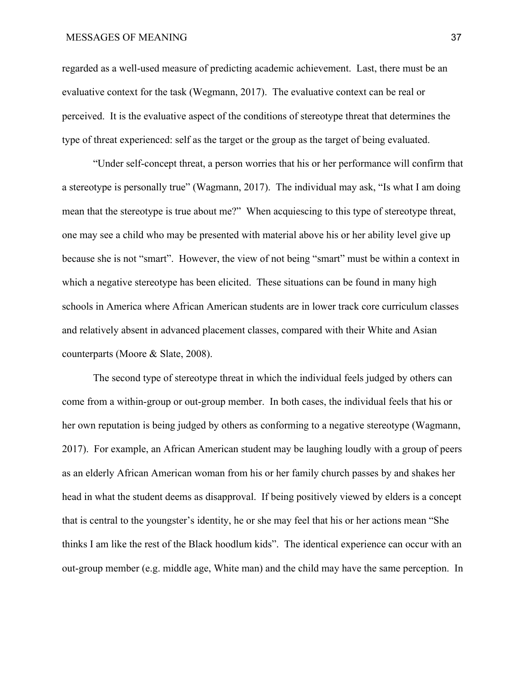regarded as a well-used measure of predicting academic achievement. Last, there must be an evaluative context for the task (Wegmann, 2017). The evaluative context can be real or perceived. It is the evaluative aspect of the conditions of stereotype threat that determines the type of threat experienced: self as the target or the group as the target of being evaluated.

"Under self-concept threat, a person worries that his or her performance will confirm that a stereotype is personally true" (Wagmann, 2017). The individual may ask, "Is what I am doing mean that the stereotype is true about me?" When acquiescing to this type of stereotype threat, one may see a child who may be presented with material above his or her ability level give up because she is not "smart". However, the view of not being "smart" must be within a context in which a negative stereotype has been elicited. These situations can be found in many high schools in America where African American students are in lower track core curriculum classes and relatively absent in advanced placement classes, compared with their White and Asian counterparts (Moore & Slate, 2008).

The second type of stereotype threat in which the individual feels judged by others can come from a within-group or out-group member. In both cases, the individual feels that his or her own reputation is being judged by others as conforming to a negative stereotype (Wagmann, 2017). For example, an African American student may be laughing loudly with a group of peers as an elderly African American woman from his or her family church passes by and shakes her head in what the student deems as disapproval. If being positively viewed by elders is a concept that is central to the youngster's identity, he or she may feel that his or her actions mean "She thinks I am like the rest of the Black hoodlum kids". The identical experience can occur with an out-group member (e.g. middle age, White man) and the child may have the same perception. In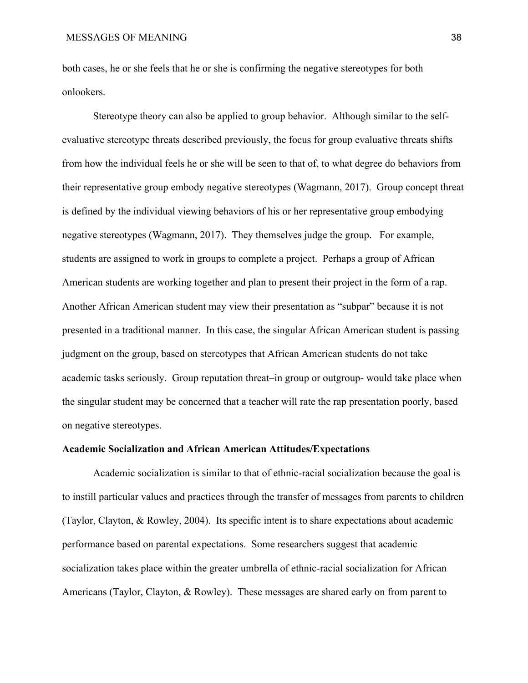both cases, he or she feels that he or she is confirming the negative stereotypes for both onlookers.

Stereotype theory can also be applied to group behavior. Although similar to the selfevaluative stereotype threats described previously, the focus for group evaluative threats shifts from how the individual feels he or she will be seen to that of, to what degree do behaviors from their representative group embody negative stereotypes (Wagmann, 2017). Group concept threat is defined by the individual viewing behaviors of his or her representative group embodying negative stereotypes (Wagmann, 2017). They themselves judge the group. For example, students are assigned to work in groups to complete a project. Perhaps a group of African American students are working together and plan to present their project in the form of a rap. Another African American student may view their presentation as "subpar" because it is not presented in a traditional manner. In this case, the singular African American student is passing judgment on the group, based on stereotypes that African American students do not take academic tasks seriously. Group reputation threat–in group or outgroup- would take place when the singular student may be concerned that a teacher will rate the rap presentation poorly, based on negative stereotypes.

#### **Academic Socialization and African American Attitudes/Expectations**

Academic socialization is similar to that of ethnic-racial socialization because the goal is to instill particular values and practices through the transfer of messages from parents to children (Taylor, Clayton, & Rowley, 2004). Its specific intent is to share expectations about academic performance based on parental expectations. Some researchers suggest that academic socialization takes place within the greater umbrella of ethnic-racial socialization for African Americans (Taylor, Clayton, & Rowley). These messages are shared early on from parent to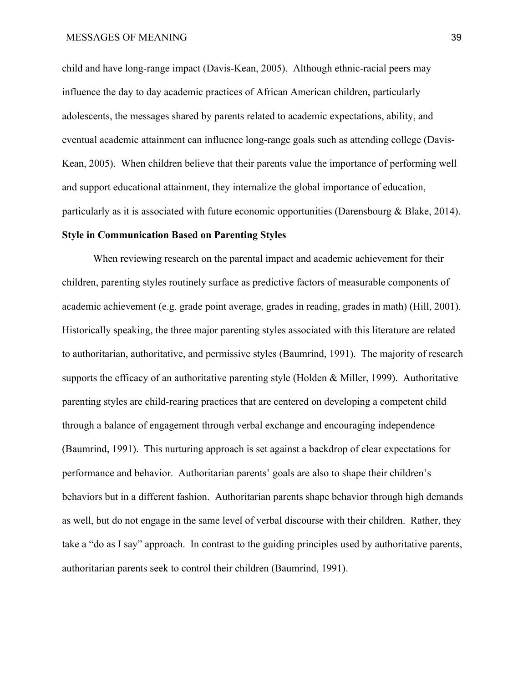child and have long-range impact (Davis-Kean, 2005). Although ethnic-racial peers may influence the day to day academic practices of African American children, particularly adolescents, the messages shared by parents related to academic expectations, ability, and eventual academic attainment can influence long-range goals such as attending college (Davis-Kean, 2005). When children believe that their parents value the importance of performing well and support educational attainment, they internalize the global importance of education, particularly as it is associated with future economic opportunities (Darensbourg & Blake, 2014). **Style in Communication Based on Parenting Styles**

When reviewing research on the parental impact and academic achievement for their children, parenting styles routinely surface as predictive factors of measurable components of academic achievement (e.g. grade point average, grades in reading, grades in math) (Hill, 2001). Historically speaking, the three major parenting styles associated with this literature are related to authoritarian, authoritative, and permissive styles (Baumrind, 1991). The majority of research supports the efficacy of an authoritative parenting style (Holden & Miller, 1999). Authoritative parenting styles are child-rearing practices that are centered on developing a competent child through a balance of engagement through verbal exchange and encouraging independence (Baumrind, 1991). This nurturing approach is set against a backdrop of clear expectations for performance and behavior. Authoritarian parents' goals are also to shape their children's behaviors but in a different fashion. Authoritarian parents shape behavior through high demands as well, but do not engage in the same level of verbal discourse with their children. Rather, they take a "do as I say" approach. In contrast to the guiding principles used by authoritative parents, authoritarian parents seek to control their children (Baumrind, 1991).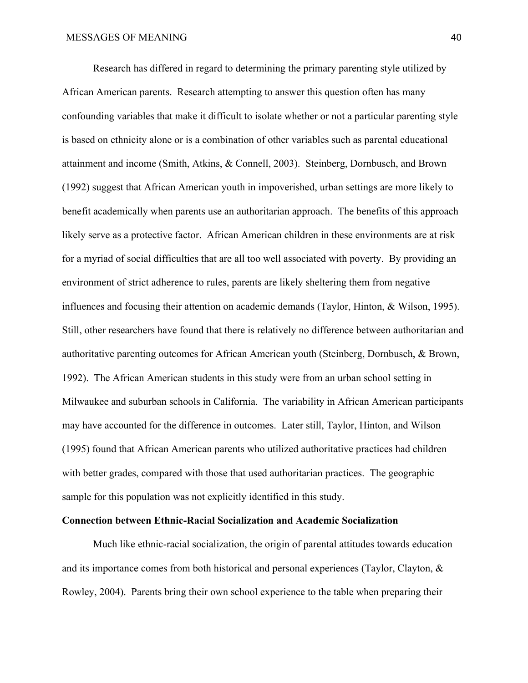Research has differed in regard to determining the primary parenting style utilized by African American parents. Research attempting to answer this question often has many confounding variables that make it difficult to isolate whether or not a particular parenting style is based on ethnicity alone or is a combination of other variables such as parental educational attainment and income (Smith, Atkins, & Connell, 2003). Steinberg, Dornbusch, and Brown (1992) suggest that African American youth in impoverished, urban settings are more likely to benefit academically when parents use an authoritarian approach. The benefits of this approach likely serve as a protective factor. African American children in these environments are at risk for a myriad of social difficulties that are all too well associated with poverty. By providing an environment of strict adherence to rules, parents are likely sheltering them from negative influences and focusing their attention on academic demands (Taylor, Hinton, & Wilson, 1995). Still, other researchers have found that there is relatively no difference between authoritarian and authoritative parenting outcomes for African American youth (Steinberg, Dornbusch, & Brown, 1992). The African American students in this study were from an urban school setting in Milwaukee and suburban schools in California. The variability in African American participants may have accounted for the difference in outcomes. Later still, Taylor, Hinton, and Wilson (1995) found that African American parents who utilized authoritative practices had children with better grades, compared with those that used authoritarian practices. The geographic sample for this population was not explicitly identified in this study.

## **Connection between Ethnic-Racial Socialization and Academic Socialization**

Much like ethnic-racial socialization, the origin of parental attitudes towards education and its importance comes from both historical and personal experiences (Taylor, Clayton, & Rowley, 2004). Parents bring their own school experience to the table when preparing their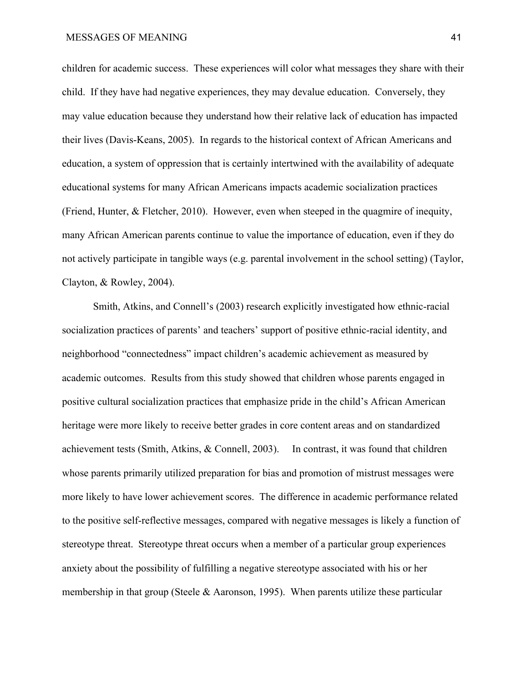children for academic success. These experiences will color what messages they share with their child. If they have had negative experiences, they may devalue education. Conversely, they may value education because they understand how their relative lack of education has impacted their lives (Davis-Keans, 2005). In regards to the historical context of African Americans and education, a system of oppression that is certainly intertwined with the availability of adequate educational systems for many African Americans impacts academic socialization practices (Friend, Hunter, & Fletcher, 2010). However, even when steeped in the quagmire of inequity, many African American parents continue to value the importance of education, even if they do not actively participate in tangible ways (e.g. parental involvement in the school setting) (Taylor, Clayton, & Rowley, 2004).

Smith, Atkins, and Connell's (2003) research explicitly investigated how ethnic-racial socialization practices of parents' and teachers' support of positive ethnic-racial identity, and neighborhood "connectedness" impact children's academic achievement as measured by academic outcomes. Results from this study showed that children whose parents engaged in positive cultural socialization practices that emphasize pride in the child's African American heritage were more likely to receive better grades in core content areas and on standardized achievement tests (Smith, Atkins, & Connell, 2003). In contrast, it was found that children whose parents primarily utilized preparation for bias and promotion of mistrust messages were more likely to have lower achievement scores. The difference in academic performance related to the positive self-reflective messages, compared with negative messages is likely a function of stereotype threat. Stereotype threat occurs when a member of a particular group experiences anxiety about the possibility of fulfilling a negative stereotype associated with his or her membership in that group (Steele & Aaronson, 1995). When parents utilize these particular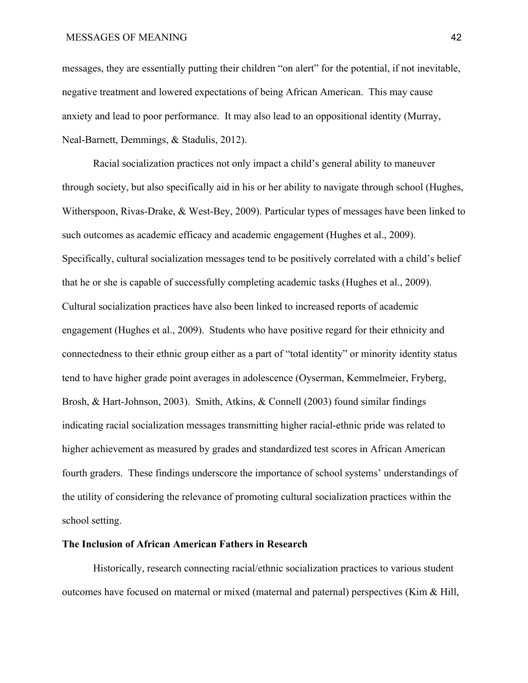messages, they are essentially putting their children "on alert" for the potential, if not inevitable, negative treatment and lowered expectations of being African American. This may cause anxiety and lead to poor performance. It may also lead to an oppositional identity (Murray, Neal-Barnett, Demmings, & Stadulis, 2012).

Racial socialization practices not only impact a child's general ability to maneuver through society, but also specifically aid in his or her ability to navigate through school (Hughes, Witherspoon, Rivas-Drake, & West-Bey, 2009). Particular types of messages have been linked to such outcomes as academic efficacy and academic engagement (Hughes et al., 2009). Specifically, cultural socialization messages tend to be positively correlated with a child's belief that he or she is capable of successfully completing academic tasks (Hughes et al., 2009). Cultural socialization practices have also been linked to increased reports of academic engagement (Hughes et al., 2009). Students who have positive regard for their ethnicity and connectedness to their ethnic group either as a part of "total identity" or minority identity status tend to have higher grade point averages in adolescence (Oyserman, Kemmelmeier, Fryberg, Brosh, & Hart-Johnson, 2003). Smith, Atkins, & Connell (2003) found similar findings indicating racial socialization messages transmitting higher racial-ethnic pride was related to higher achievement as measured by grades and standardized test scores in African American fourth graders. These findings underscore the importance of school systems' understandings of the utility of considering the relevance of promoting cultural socialization practices within the school setting.

## **The Inclusion of African American Fathers in Research**

Historically, research connecting racial/ethnic socialization practices to various student outcomes have focused on maternal or mixed (maternal and paternal) perspectives (Kim  $\&$  Hill,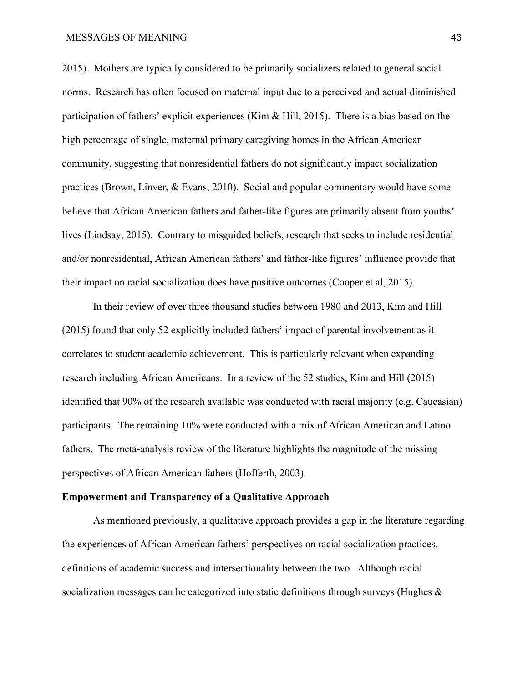2015). Mothers are typically considered to be primarily socializers related to general social norms. Research has often focused on maternal input due to a perceived and actual diminished participation of fathers' explicit experiences (Kim  $\&$  Hill, 2015). There is a bias based on the high percentage of single, maternal primary caregiving homes in the African American community, suggesting that nonresidential fathers do not significantly impact socialization practices (Brown, Linver, & Evans, 2010). Social and popular commentary would have some believe that African American fathers and father-like figures are primarily absent from youths' lives (Lindsay, 2015). Contrary to misguided beliefs, research that seeks to include residential and/or nonresidential, African American fathers' and father-like figures' influence provide that their impact on racial socialization does have positive outcomes (Cooper et al, 2015).

In their review of over three thousand studies between 1980 and 2013, Kim and Hill (2015) found that only 52 explicitly included fathers' impact of parental involvement as it correlates to student academic achievement. This is particularly relevant when expanding research including African Americans. In a review of the 52 studies, Kim and Hill (2015) identified that 90% of the research available was conducted with racial majority (e.g. Caucasian) participants. The remaining 10% were conducted with a mix of African American and Latino fathers. The meta-analysis review of the literature highlights the magnitude of the missing perspectives of African American fathers (Hofferth, 2003).

### **Empowerment and Transparency of a Qualitative Approach**

As mentioned previously, a qualitative approach provides a gap in the literature regarding the experiences of African American fathers' perspectives on racial socialization practices, definitions of academic success and intersectionality between the two. Although racial socialization messages can be categorized into static definitions through surveys (Hughes &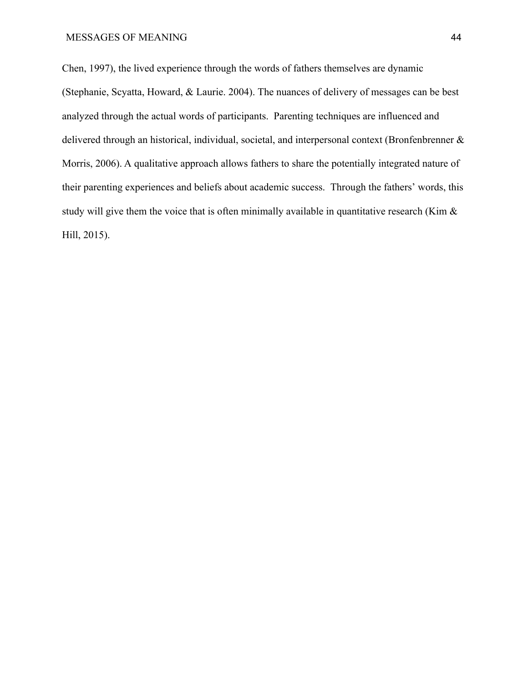Chen, 1997), the lived experience through the words of fathers themselves are dynamic (Stephanie, Scyatta, Howard, & Laurie. 2004). The nuances of delivery of messages can be best analyzed through the actual words of participants. Parenting techniques are influenced and delivered through an historical, individual, societal, and interpersonal context (Bronfenbrenner & Morris, 2006). A qualitative approach allows fathers to share the potentially integrated nature of their parenting experiences and beliefs about academic success. Through the fathers' words, this study will give them the voice that is often minimally available in quantitative research (Kim  $\&$ Hill, 2015).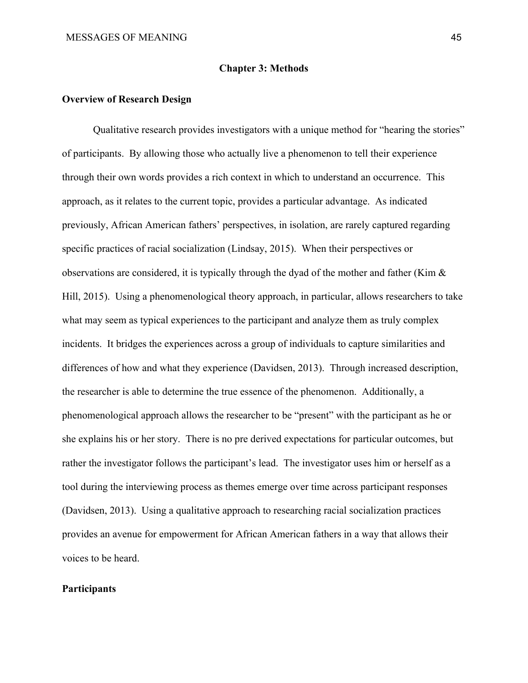## **Chapter 3: Methods**

## **Overview of Research Design**

Qualitative research provides investigators with a unique method for "hearing the stories" of participants. By allowing those who actually live a phenomenon to tell their experience through their own words provides a rich context in which to understand an occurrence. This approach, as it relates to the current topic, provides a particular advantage. As indicated previously, African American fathers' perspectives, in isolation, are rarely captured regarding specific practices of racial socialization (Lindsay, 2015). When their perspectives or observations are considered, it is typically through the dyad of the mother and father (Kim & Hill, 2015). Using a phenomenological theory approach, in particular, allows researchers to take what may seem as typical experiences to the participant and analyze them as truly complex incidents. It bridges the experiences across a group of individuals to capture similarities and differences of how and what they experience (Davidsen, 2013). Through increased description, the researcher is able to determine the true essence of the phenomenon. Additionally, a phenomenological approach allows the researcher to be "present" with the participant as he or she explains his or her story. There is no pre derived expectations for particular outcomes, but rather the investigator follows the participant's lead. The investigator uses him or herself as a tool during the interviewing process as themes emerge over time across participant responses (Davidsen, 2013). Using a qualitative approach to researching racial socialization practices provides an avenue for empowerment for African American fathers in a way that allows their voices to be heard.

# **Participants**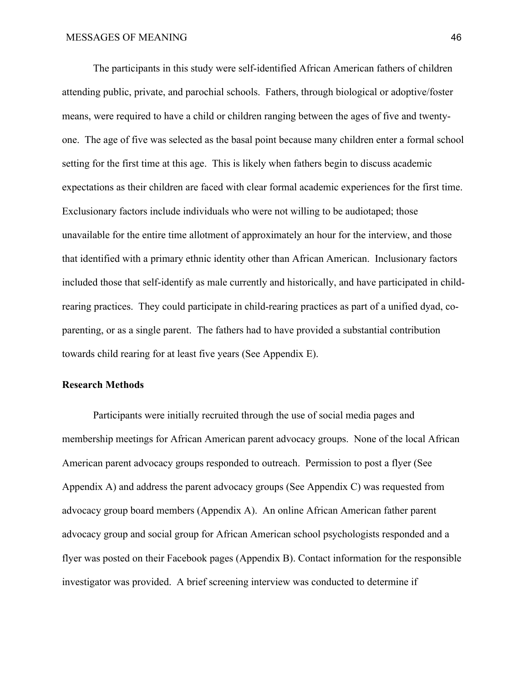The participants in this study were self-identified African American fathers of children attending public, private, and parochial schools. Fathers, through biological or adoptive/foster means, were required to have a child or children ranging between the ages of five and twentyone. The age of five was selected as the basal point because many children enter a formal school setting for the first time at this age. This is likely when fathers begin to discuss academic expectations as their children are faced with clear formal academic experiences for the first time. Exclusionary factors include individuals who were not willing to be audiotaped; those unavailable for the entire time allotment of approximately an hour for the interview, and those that identified with a primary ethnic identity other than African American. Inclusionary factors included those that self-identify as male currently and historically, and have participated in childrearing practices. They could participate in child-rearing practices as part of a unified dyad, coparenting, or as a single parent. The fathers had to have provided a substantial contribution towards child rearing for at least five years (See Appendix E).

# **Research Methods**

Participants were initially recruited through the use of social media pages and membership meetings for African American parent advocacy groups. None of the local African American parent advocacy groups responded to outreach. Permission to post a flyer (See Appendix A) and address the parent advocacy groups (See Appendix C) was requested from advocacy group board members (Appendix A). An online African American father parent advocacy group and social group for African American school psychologists responded and a flyer was posted on their Facebook pages (Appendix B). Contact information for the responsible investigator was provided. A brief screening interview was conducted to determine if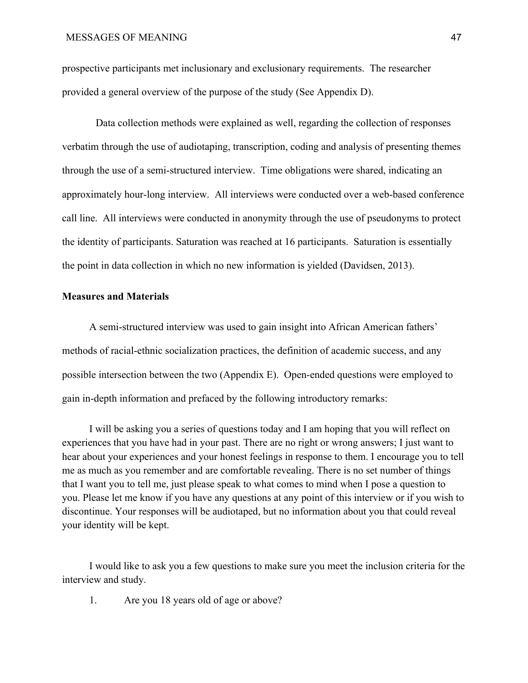prospective participants met inclusionary and exclusionary requirements. The researcher provided a general overview of the purpose of the study (See Appendix D).

Data collection methods were explained as well, regarding the collection of responses verbatim through the use of audiotaping, transcription, coding and analysis of presenting themes through the use of a semi-structured interview. Time obligations were shared, indicating an approximately hour-long interview. All interviews were conducted over a web-based conference call line. All interviews were conducted in anonymity through the use of pseudonyms to protect the identity of participants. Saturation was reached at 16 participants. Saturation is essentially the point in data collection in which no new information is yielded (Davidsen, 2013).

# **Measures and Materials**

A semi-structured interview was used to gain insight into African American fathers' methods of racial-ethnic socialization practices, the definition of academic success, and any possible intersection between the two (Appendix E). Open-ended questions were employed to gain in-depth information and prefaced by the following introductory remarks:

I will be asking you a series of questions today and I am hoping that you will reflect on experiences that you have had in your past. There are no right or wrong answers; I just want to hear about your experiences and your honest feelings in response to them. I encourage you to tell me as much as you remember and are comfortable revealing. There is no set number of things that I want you to tell me, just please speak to what comes to mind when I pose a question to you. Please let me know if you have any questions at any point of this interview or if you wish to discontinue. Your responses will be audiotaped, but no information about you that could reveal your identity will be kept.

I would like to ask you a few questions to make sure you meet the inclusion criteria for the interview and study.

1. Are you 18 years old of age or above?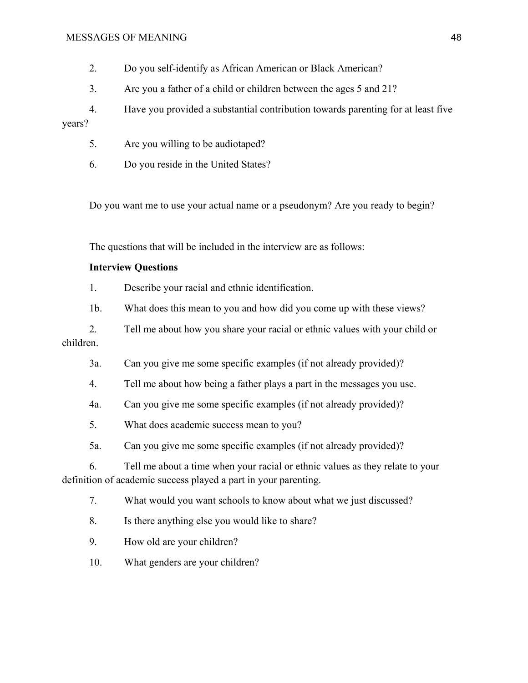- 2. Do you self-identify as African American or Black American?
- 3. Are you a father of a child or children between the ages 5 and 21?

4. Have you provided a substantial contribution towards parenting for at least five years?

- 5. Are you willing to be audiotaped?
- 6. Do you reside in the United States?

Do you want me to use your actual name or a pseudonym? Are you ready to begin?

The questions that will be included in the interview are as follows:

# **Interview Questions**

1. Describe your racial and ethnic identification.

1b. What does this mean to you and how did you come up with these views?

2. Tell me about how you share your racial or ethnic values with your child or children.

- 3a. Can you give me some specific examples (if not already provided)?
- 4. Tell me about how being a father plays a part in the messages you use.
- 4a. Can you give me some specific examples (if not already provided)?
- 5. What does academic success mean to you?
- 5a. Can you give me some specific examples (if not already provided)?

6. Tell me about a time when your racial or ethnic values as they relate to your definition of academic success played a part in your parenting.

7. What would you want schools to know about what we just discussed?

- 8. Is there anything else you would like to share?
- 9. How old are your children?
- 10. What genders are your children?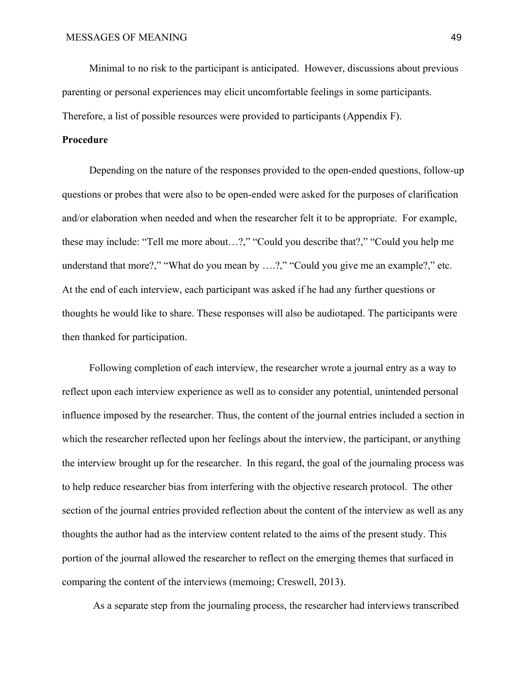Minimal to no risk to the participant is anticipated. However, discussions about previous parenting or personal experiences may elicit uncomfortable feelings in some participants. Therefore, a list of possible resources were provided to participants (Appendix F).

# **Procedure**

Depending on the nature of the responses provided to the open-ended questions, follow-up questions or probes that were also to be open-ended were asked for the purposes of clarification and/or elaboration when needed and when the researcher felt it to be appropriate. For example, these may include: "Tell me more about…?," "Could you describe that?," "Could you help me understand that more?," "What do you mean by ....?," "Could you give me an example?," etc. At the end of each interview, each participant was asked if he had any further questions or thoughts he would like to share. These responses will also be audiotaped. The participants were then thanked for participation.

Following completion of each interview, the researcher wrote a journal entry as a way to reflect upon each interview experience as well as to consider any potential, unintended personal influence imposed by the researcher. Thus, the content of the journal entries included a section in which the researcher reflected upon her feelings about the interview, the participant, or anything the interview brought up for the researcher. In this regard, the goal of the journaling process was to help reduce researcher bias from interfering with the objective research protocol. The other section of the journal entries provided reflection about the content of the interview as well as any thoughts the author had as the interview content related to the aims of the present study. This portion of the journal allowed the researcher to reflect on the emerging themes that surfaced in comparing the content of the interviews (memoing; Creswell, 2013).

As a separate step from the journaling process, the researcher had interviews transcribed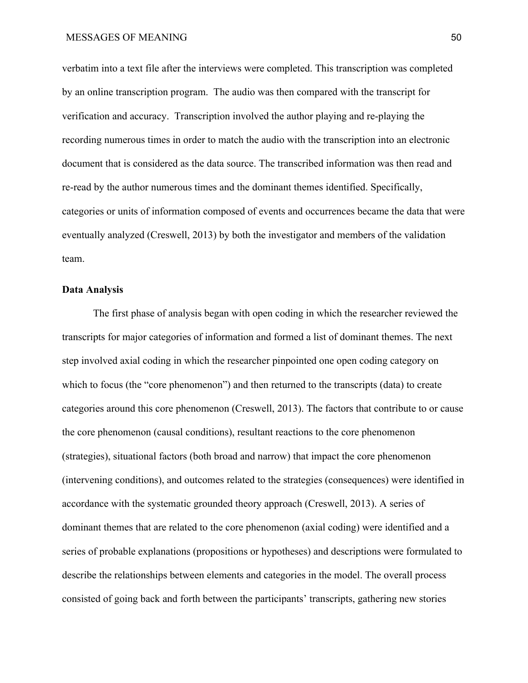verbatim into a text file after the interviews were completed. This transcription was completed by an online transcription program. The audio was then compared with the transcript for verification and accuracy. Transcription involved the author playing and re-playing the recording numerous times in order to match the audio with the transcription into an electronic document that is considered as the data source. The transcribed information was then read and re-read by the author numerous times and the dominant themes identified. Specifically, categories or units of information composed of events and occurrences became the data that were eventually analyzed (Creswell, 2013) by both the investigator and members of the validation team.

### **Data Analysis**

The first phase of analysis began with open coding in which the researcher reviewed the transcripts for major categories of information and formed a list of dominant themes. The next step involved axial coding in which the researcher pinpointed one open coding category on which to focus (the "core phenomenon") and then returned to the transcripts (data) to create categories around this core phenomenon (Creswell, 2013). The factors that contribute to or cause the core phenomenon (causal conditions), resultant reactions to the core phenomenon (strategies), situational factors (both broad and narrow) that impact the core phenomenon (intervening conditions), and outcomes related to the strategies (consequences) were identified in accordance with the systematic grounded theory approach (Creswell, 2013). A series of dominant themes that are related to the core phenomenon (axial coding) were identified and a series of probable explanations (propositions or hypotheses) and descriptions were formulated to describe the relationships between elements and categories in the model. The overall process consisted of going back and forth between the participants' transcripts, gathering new stories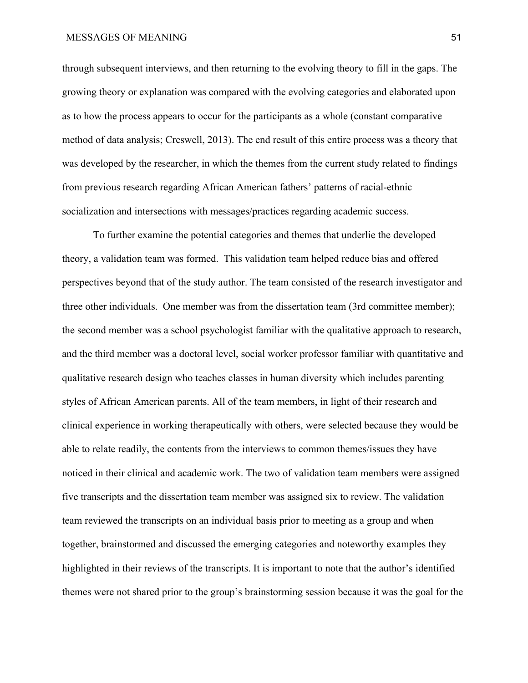through subsequent interviews, and then returning to the evolving theory to fill in the gaps. The growing theory or explanation was compared with the evolving categories and elaborated upon as to how the process appears to occur for the participants as a whole (constant comparative method of data analysis; Creswell, 2013). The end result of this entire process was a theory that was developed by the researcher, in which the themes from the current study related to findings from previous research regarding African American fathers' patterns of racial-ethnic socialization and intersections with messages/practices regarding academic success.

To further examine the potential categories and themes that underlie the developed theory, a validation team was formed. This validation team helped reduce bias and offered perspectives beyond that of the study author. The team consisted of the research investigator and three other individuals. One member was from the dissertation team (3rd committee member); the second member was a school psychologist familiar with the qualitative approach to research, and the third member was a doctoral level, social worker professor familiar with quantitative and qualitative research design who teaches classes in human diversity which includes parenting styles of African American parents. All of the team members, in light of their research and clinical experience in working therapeutically with others, were selected because they would be able to relate readily, the contents from the interviews to common themes/issues they have noticed in their clinical and academic work. The two of validation team members were assigned five transcripts and the dissertation team member was assigned six to review. The validation team reviewed the transcripts on an individual basis prior to meeting as a group and when together, brainstormed and discussed the emerging categories and noteworthy examples they highlighted in their reviews of the transcripts. It is important to note that the author's identified themes were not shared prior to the group's brainstorming session because it was the goal for the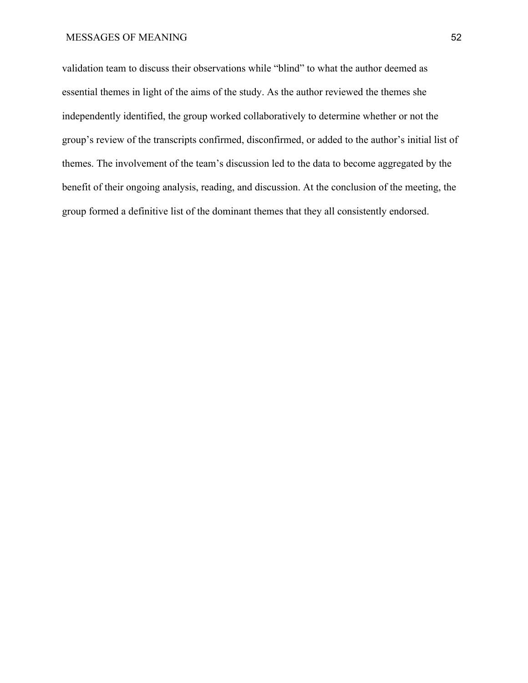validation team to discuss their observations while "blind" to what the author deemed as essential themes in light of the aims of the study. As the author reviewed the themes she independently identified, the group worked collaboratively to determine whether or not the group's review of the transcripts confirmed, disconfirmed, or added to the author's initial list of themes. The involvement of the team's discussion led to the data to become aggregated by the benefit of their ongoing analysis, reading, and discussion. At the conclusion of the meeting, the group formed a definitive list of the dominant themes that they all consistently endorsed.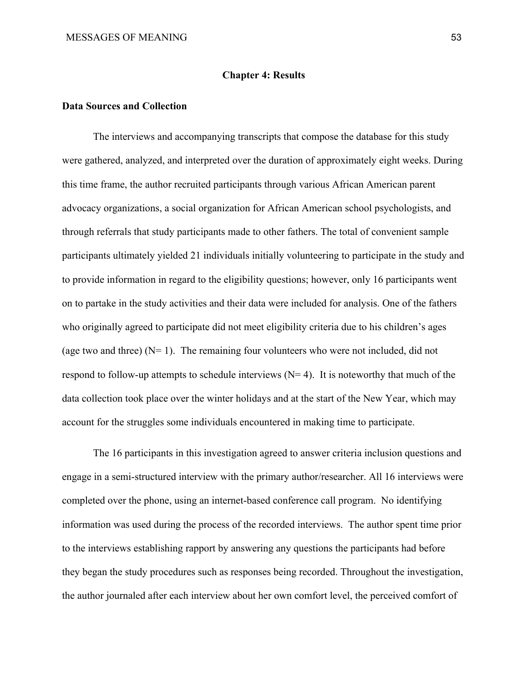#### **Chapter 4: Results**

#### **Data Sources and Collection**

 The interviews and accompanying transcripts that compose the database for this study were gathered, analyzed, and interpreted over the duration of approximately eight weeks. During this time frame, the author recruited participants through various African American parent advocacy organizations, a social organization for African American school psychologists, and through referrals that study participants made to other fathers. The total of convenient sample participants ultimately yielded 21 individuals initially volunteering to participate in the study and to provide information in regard to the eligibility questions; however, only 16 participants went on to partake in the study activities and their data were included for analysis. One of the fathers who originally agreed to participate did not meet eligibility criteria due to his children's ages (age two and three)  $(N= 1)$ . The remaining four volunteers who were not included, did not respond to follow-up attempts to schedule interviews  $(N= 4)$ . It is noteworthy that much of the data collection took place over the winter holidays and at the start of the New Year, which may account for the struggles some individuals encountered in making time to participate.

 The 16 participants in this investigation agreed to answer criteria inclusion questions and engage in a semi-structured interview with the primary author/researcher. All 16 interviews were completed over the phone, using an internet-based conference call program. No identifying information was used during the process of the recorded interviews. The author spent time prior to the interviews establishing rapport by answering any questions the participants had before they began the study procedures such as responses being recorded. Throughout the investigation, the author journaled after each interview about her own comfort level, the perceived comfort of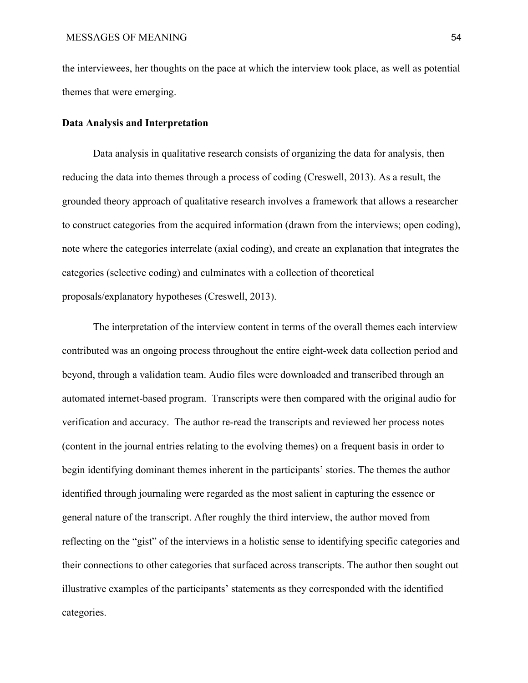the interviewees, her thoughts on the pace at which the interview took place, as well as potential themes that were emerging.

# **Data Analysis and Interpretation**

 Data analysis in qualitative research consists of organizing the data for analysis, then reducing the data into themes through a process of coding (Creswell, 2013). As a result, the grounded theory approach of qualitative research involves a framework that allows a researcher to construct categories from the acquired information (drawn from the interviews; open coding), note where the categories interrelate (axial coding), and create an explanation that integrates the categories (selective coding) and culminates with a collection of theoretical proposals/explanatory hypotheses (Creswell, 2013).

The interpretation of the interview content in terms of the overall themes each interview contributed was an ongoing process throughout the entire eight-week data collection period and beyond, through a validation team. Audio files were downloaded and transcribed through an automated internet-based program. Transcripts were then compared with the original audio for verification and accuracy. The author re-read the transcripts and reviewed her process notes (content in the journal entries relating to the evolving themes) on a frequent basis in order to begin identifying dominant themes inherent in the participants' stories. The themes the author identified through journaling were regarded as the most salient in capturing the essence or general nature of the transcript. After roughly the third interview, the author moved from reflecting on the "gist" of the interviews in a holistic sense to identifying specific categories and their connections to other categories that surfaced across transcripts. The author then sought out illustrative examples of the participants' statements as they corresponded with the identified categories.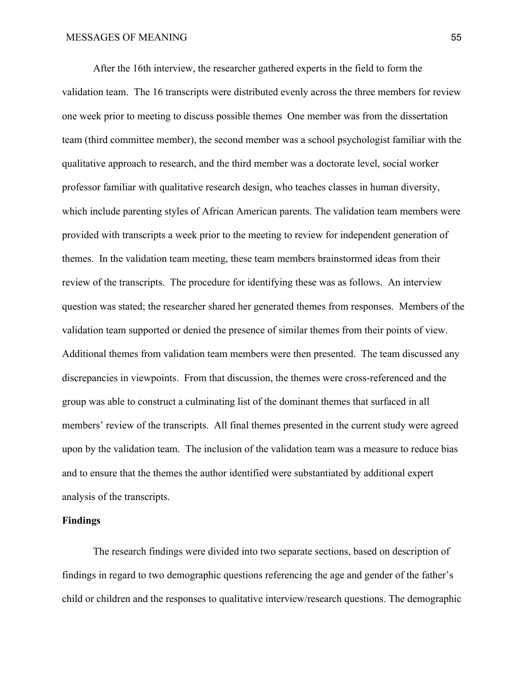After the 16th interview, the researcher gathered experts in the field to form the validation team. The 16 transcripts were distributed evenly across the three members for review one week prior to meeting to discuss possible themes One member was from the dissertation team (third committee member), the second member was a school psychologist familiar with the qualitative approach to research, and the third member was a doctorate level, social worker professor familiar with qualitative research design, who teaches classes in human diversity, which include parenting styles of African American parents. The validation team members were provided with transcripts a week prior to the meeting to review for independent generation of themes. In the validation team meeting, these team members brainstormed ideas from their review of the transcripts. The procedure for identifying these was as follows. An interview question was stated; the researcher shared her generated themes from responses. Members of the validation team supported or denied the presence of similar themes from their points of view. Additional themes from validation team members were then presented. The team discussed any discrepancies in viewpoints. From that discussion, the themes were cross-referenced and the group was able to construct a culminating list of the dominant themes that surfaced in all members' review of the transcripts. All final themes presented in the current study were agreed upon by the validation team. The inclusion of the validation team was a measure to reduce bias and to ensure that the themes the author identified were substantiated by additional expert analysis of the transcripts.

## **Findings**

The research findings were divided into two separate sections, based on description of findings in regard to two demographic questions referencing the age and gender of the father's child or children and the responses to qualitative interview/research questions. The demographic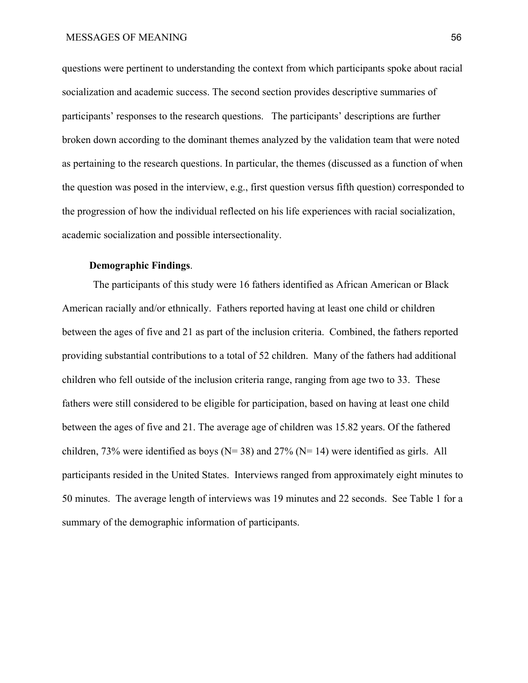questions were pertinent to understanding the context from which participants spoke about racial socialization and academic success. The second section provides descriptive summaries of participants' responses to the research questions. The participants' descriptions are further broken down according to the dominant themes analyzed by the validation team that were noted as pertaining to the research questions. In particular, the themes (discussed as a function of when the question was posed in the interview, e.g., first question versus fifth question) corresponded to the progression of how the individual reflected on his life experiences with racial socialization, academic socialization and possible intersectionality.

# **Demographic Findings**.

The participants of this study were 16 fathers identified as African American or Black American racially and/or ethnically. Fathers reported having at least one child or children between the ages of five and 21 as part of the inclusion criteria. Combined, the fathers reported providing substantial contributions to a total of 52 children. Many of the fathers had additional children who fell outside of the inclusion criteria range, ranging from age two to 33. These fathers were still considered to be eligible for participation, based on having at least one child between the ages of five and 21. The average age of children was 15.82 years. Of the fathered children, 73% were identified as boys ( $N= 38$ ) and 27% ( $N= 14$ ) were identified as girls. All participants resided in the United States. Interviews ranged from approximately eight minutes to 50 minutes. The average length of interviews was 19 minutes and 22 seconds. See Table 1 for a summary of the demographic information of participants.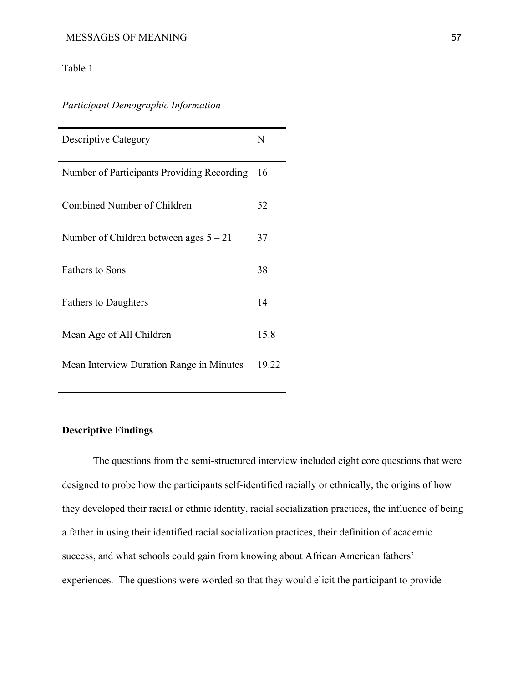# Table 1

*Participant Demographic Information*

| <b>Descriptive Category</b>                | $\mathbf N$ |
|--------------------------------------------|-------------|
| Number of Participants Providing Recording | 16          |
| Combined Number of Children                | 52          |
| Number of Children between ages $5 - 21$   | 37          |
| <b>Fathers to Sons</b>                     | 38          |
| <b>Fathers to Daughters</b>                | 14          |
| Mean Age of All Children                   | 15.8        |
| Mean Interview Duration Range in Minutes   | 19.22       |

# **Descriptive Findings**

The questions from the semi-structured interview included eight core questions that were designed to probe how the participants self-identified racially or ethnically, the origins of how they developed their racial or ethnic identity, racial socialization practices, the influence of being a father in using their identified racial socialization practices, their definition of academic success, and what schools could gain from knowing about African American fathers' experiences. The questions were worded so that they would elicit the participant to provide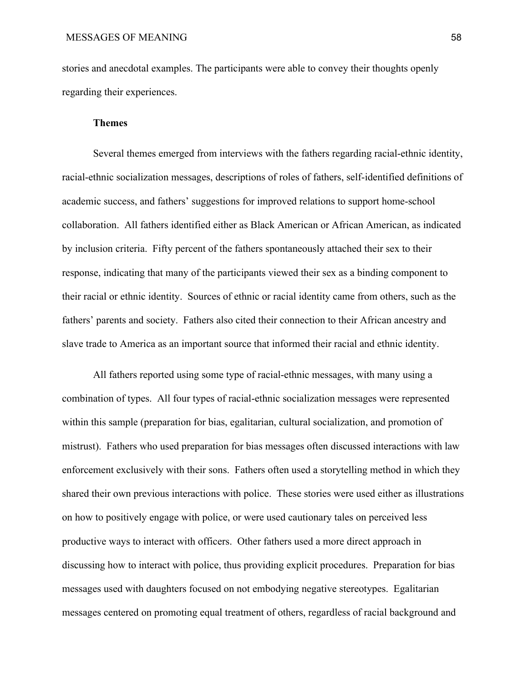stories and anecdotal examples. The participants were able to convey their thoughts openly regarding their experiences.

# **Themes**

Several themes emerged from interviews with the fathers regarding racial-ethnic identity, racial-ethnic socialization messages, descriptions of roles of fathers, self-identified definitions of academic success, and fathers' suggestions for improved relations to support home-school collaboration. All fathers identified either as Black American or African American, as indicated by inclusion criteria. Fifty percent of the fathers spontaneously attached their sex to their response, indicating that many of the participants viewed their sex as a binding component to their racial or ethnic identity. Sources of ethnic or racial identity came from others, such as the fathers' parents and society. Fathers also cited their connection to their African ancestry and slave trade to America as an important source that informed their racial and ethnic identity.

All fathers reported using some type of racial-ethnic messages, with many using a combination of types. All four types of racial-ethnic socialization messages were represented within this sample (preparation for bias, egalitarian, cultural socialization, and promotion of mistrust). Fathers who used preparation for bias messages often discussed interactions with law enforcement exclusively with their sons. Fathers often used a storytelling method in which they shared their own previous interactions with police. These stories were used either as illustrations on how to positively engage with police, or were used cautionary tales on perceived less productive ways to interact with officers. Other fathers used a more direct approach in discussing how to interact with police, thus providing explicit procedures. Preparation for bias messages used with daughters focused on not embodying negative stereotypes. Egalitarian messages centered on promoting equal treatment of others, regardless of racial background and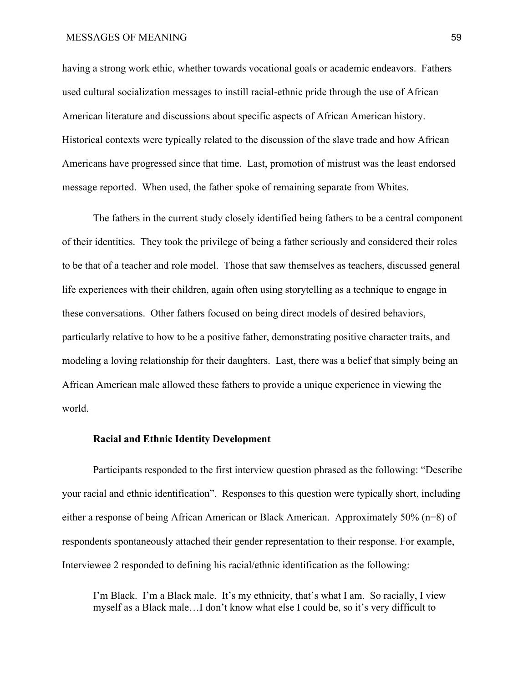having a strong work ethic, whether towards vocational goals or academic endeavors. Fathers used cultural socialization messages to instill racial-ethnic pride through the use of African American literature and discussions about specific aspects of African American history. Historical contexts were typically related to the discussion of the slave trade and how African Americans have progressed since that time. Last, promotion of mistrust was the least endorsed message reported. When used, the father spoke of remaining separate from Whites.

The fathers in the current study closely identified being fathers to be a central component of their identities. They took the privilege of being a father seriously and considered their roles to be that of a teacher and role model. Those that saw themselves as teachers, discussed general life experiences with their children, again often using storytelling as a technique to engage in these conversations. Other fathers focused on being direct models of desired behaviors, particularly relative to how to be a positive father, demonstrating positive character traits, and modeling a loving relationship for their daughters. Last, there was a belief that simply being an African American male allowed these fathers to provide a unique experience in viewing the world.

# **Racial and Ethnic Identity Development**

Participants responded to the first interview question phrased as the following: "Describe your racial and ethnic identification". Responses to this question were typically short, including either a response of being African American or Black American. Approximately 50% (n=8) of respondents spontaneously attached their gender representation to their response. For example, Interviewee 2 responded to defining his racial/ethnic identification as the following:

I'm Black. I'm a Black male. It's my ethnicity, that's what I am. So racially, I view myself as a Black male…I don't know what else I could be, so it's very difficult to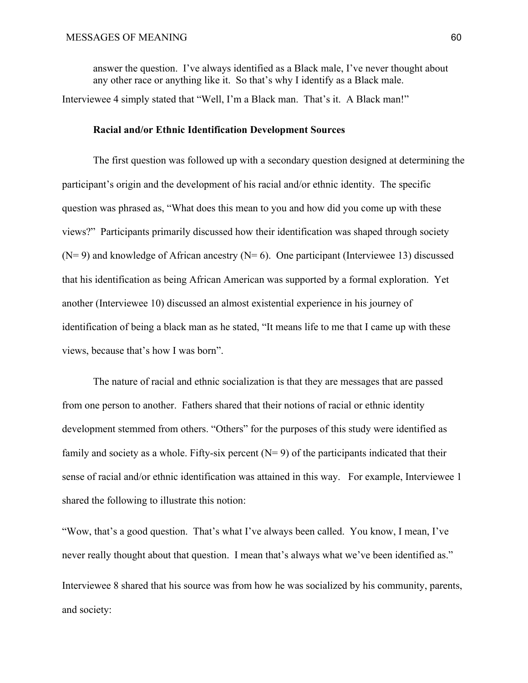answer the question. I've always identified as a Black male, I've never thought about any other race or anything like it. So that's why I identify as a Black male. Interviewee 4 simply stated that "Well, I'm a Black man. That's it. A Black man!"

# **Racial and/or Ethnic Identification Development Sources**

The first question was followed up with a secondary question designed at determining the participant's origin and the development of his racial and/or ethnic identity. The specific question was phrased as, "What does this mean to you and how did you come up with these views?" Participants primarily discussed how their identification was shaped through society  $(N= 9)$  and knowledge of African ancestry  $(N= 6)$ . One participant (Interviewee 13) discussed that his identification as being African American was supported by a formal exploration. Yet another (Interviewee 10) discussed an almost existential experience in his journey of identification of being a black man as he stated, "It means life to me that I came up with these views, because that's how I was born".

The nature of racial and ethnic socialization is that they are messages that are passed from one person to another. Fathers shared that their notions of racial or ethnic identity development stemmed from others. "Others" for the purposes of this study were identified as family and society as a whole. Fifty-six percent  $(N= 9)$  of the participants indicated that their sense of racial and/or ethnic identification was attained in this way. For example, Interviewee 1 shared the following to illustrate this notion:

"Wow, that's a good question. That's what I've always been called. You know, I mean, I've never really thought about that question. I mean that's always what we've been identified as." Interviewee 8 shared that his source was from how he was socialized by his community, parents, and society: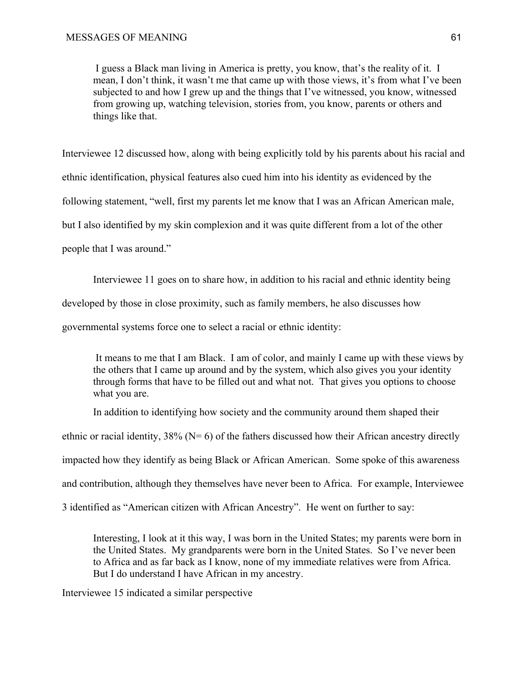I guess a Black man living in America is pretty, you know, that's the reality of it. I mean, I don't think, it wasn't me that came up with those views, it's from what I've been subjected to and how I grew up and the things that I've witnessed, you know, witnessed from growing up, watching television, stories from, you know, parents or others and things like that.

Interviewee 12 discussed how, along with being explicitly told by his parents about his racial and ethnic identification, physical features also cued him into his identity as evidenced by the following statement, "well, first my parents let me know that I was an African American male, but I also identified by my skin complexion and it was quite different from a lot of the other people that I was around."

Interviewee 11 goes on to share how, in addition to his racial and ethnic identity being

developed by those in close proximity, such as family members, he also discusses how

governmental systems force one to select a racial or ethnic identity:

 It means to me that I am Black. I am of color, and mainly I came up with these views by the others that I came up around and by the system, which also gives you your identity through forms that have to be filled out and what not. That gives you options to choose what you are.

In addition to identifying how society and the community around them shaped their

ethnic or racial identity,  $38\%$  (N= 6) of the fathers discussed how their African ancestry directly

impacted how they identify as being Black or African American. Some spoke of this awareness

and contribution, although they themselves have never been to Africa. For example, Interviewee

3 identified as "American citizen with African Ancestry". He went on further to say:

Interesting, I look at it this way, I was born in the United States; my parents were born in the United States. My grandparents were born in the United States. So I've never been to Africa and as far back as I know, none of my immediate relatives were from Africa. But I do understand I have African in my ancestry.

Interviewee 15 indicated a similar perspective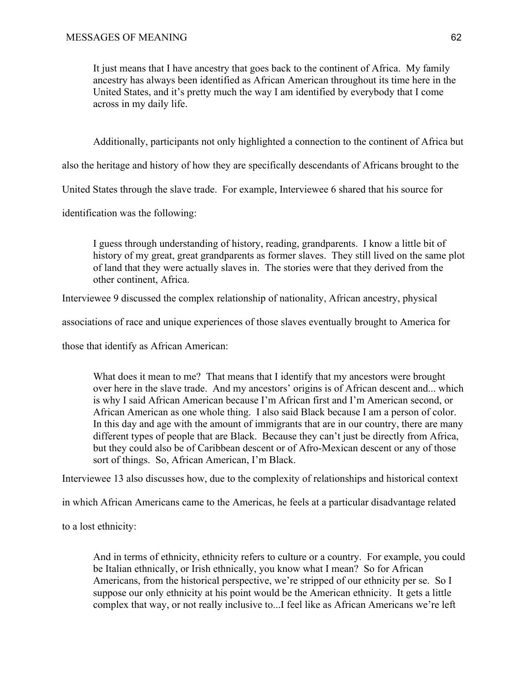It just means that I have ancestry that goes back to the continent of Africa. My family ancestry has always been identified as African American throughout its time here in the United States, and it's pretty much the way I am identified by everybody that I come across in my daily life.

Additionally, participants not only highlighted a connection to the continent of Africa but

also the heritage and history of how they are specifically descendants of Africans brought to the

United States through the slave trade. For example, Interviewee 6 shared that his source for

identification was the following:

I guess through understanding of history, reading, grandparents. I know a little bit of history of my great, great grandparents as former slaves. They still lived on the same plot of land that they were actually slaves in. The stories were that they derived from the other continent, Africa.

Interviewee 9 discussed the complex relationship of nationality, African ancestry, physical

associations of race and unique experiences of those slaves eventually brought to America for

those that identify as African American:

What does it mean to me? That means that I identify that my ancestors were brought over here in the slave trade. And my ancestors' origins is of African descent and... which is why I said African American because I'm African first and I'm American second, or African American as one whole thing. I also said Black because I am a person of color. In this day and age with the amount of immigrants that are in our country, there are many different types of people that are Black. Because they can't just be directly from Africa, but they could also be of Caribbean descent or of Afro-Mexican descent or any of those sort of things. So, African American, I'm Black.

Interviewee 13 also discusses how, due to the complexity of relationships and historical context

in which African Americans came to the Americas, he feels at a particular disadvantage related

to a lost ethnicity:

And in terms of ethnicity, ethnicity refers to culture or a country. For example, you could be Italian ethnically, or Irish ethnically, you know what I mean? So for African Americans, from the historical perspective, we're stripped of our ethnicity per se. So I suppose our only ethnicity at his point would be the American ethnicity. It gets a little complex that way, or not really inclusive to...I feel like as African Americans we're left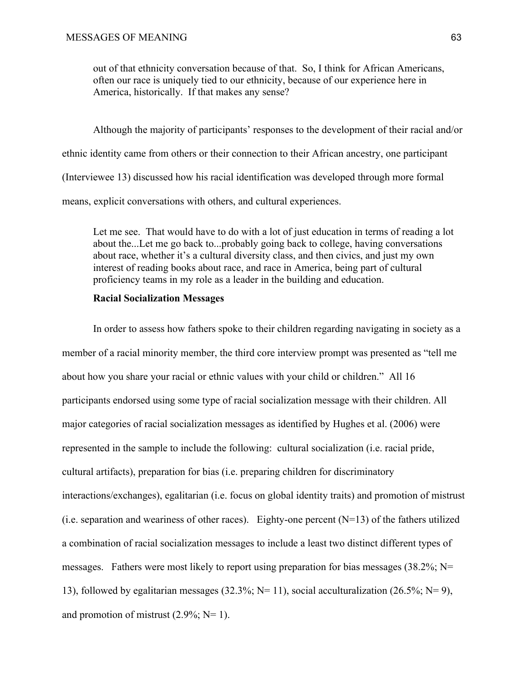out of that ethnicity conversation because of that. So, I think for African Americans, often our race is uniquely tied to our ethnicity, because of our experience here in America, historically. If that makes any sense?

Although the majority of participants' responses to the development of their racial and/or ethnic identity came from others or their connection to their African ancestry, one participant (Interviewee 13) discussed how his racial identification was developed through more formal means, explicit conversations with others, and cultural experiences.

Let me see. That would have to do with a lot of just education in terms of reading a lot about the...Let me go back to...probably going back to college, having conversations about race, whether it's a cultural diversity class, and then civics, and just my own interest of reading books about race, and race in America, being part of cultural proficiency teams in my role as a leader in the building and education.

# **Racial Socialization Messages**

In order to assess how fathers spoke to their children regarding navigating in society as a member of a racial minority member, the third core interview prompt was presented as "tell me about how you share your racial or ethnic values with your child or children." All 16 participants endorsed using some type of racial socialization message with their children. All major categories of racial socialization messages as identified by Hughes et al. (2006) were represented in the sample to include the following: cultural socialization (i.e. racial pride, cultural artifacts), preparation for bias (i.e. preparing children for discriminatory interactions/exchanges), egalitarian (i.e. focus on global identity traits) and promotion of mistrust (i.e. separation and weariness of other races). Eighty-one percent  $(N=13)$  of the fathers utilized a combination of racial socialization messages to include a least two distinct different types of messages. Fathers were most likely to report using preparation for bias messages (38.2%; N= 13), followed by egalitarian messages (32.3%; N= 11), social acculturalization (26.5%; N= 9), and promotion of mistrust  $(2.9\%; N=1)$ .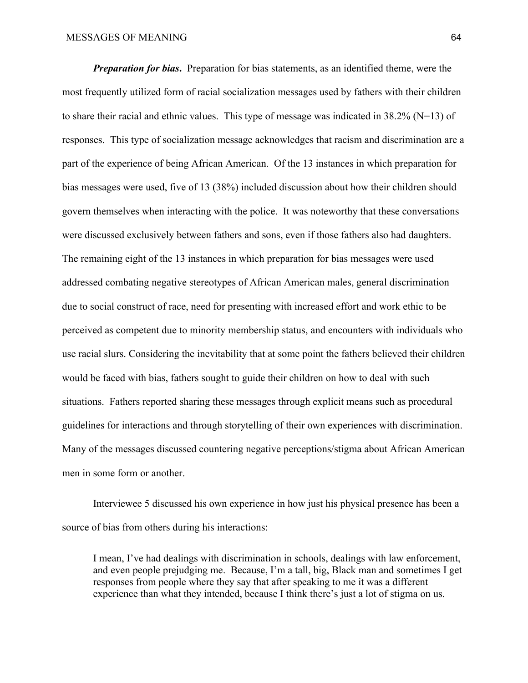*Preparation for bias.* Preparation for bias statements, as an identified theme, were the most frequently utilized form of racial socialization messages used by fathers with their children to share their racial and ethnic values. This type of message was indicated in 38.2% (N=13) of responses. This type of socialization message acknowledges that racism and discrimination are a part of the experience of being African American. Of the 13 instances in which preparation for bias messages were used, five of 13 (38%) included discussion about how their children should govern themselves when interacting with the police. It was noteworthy that these conversations were discussed exclusively between fathers and sons, even if those fathers also had daughters. The remaining eight of the 13 instances in which preparation for bias messages were used addressed combating negative stereotypes of African American males, general discrimination due to social construct of race, need for presenting with increased effort and work ethic to be perceived as competent due to minority membership status, and encounters with individuals who use racial slurs. Considering the inevitability that at some point the fathers believed their children would be faced with bias, fathers sought to guide their children on how to deal with such situations. Fathers reported sharing these messages through explicit means such as procedural guidelines for interactions and through storytelling of their own experiences with discrimination. Many of the messages discussed countering negative perceptions/stigma about African American men in some form or another.

Interviewee 5 discussed his own experience in how just his physical presence has been a source of bias from others during his interactions:

I mean, I've had dealings with discrimination in schools, dealings with law enforcement, and even people prejudging me. Because, I'm a tall, big, Black man and sometimes I get responses from people where they say that after speaking to me it was a different experience than what they intended, because I think there's just a lot of stigma on us.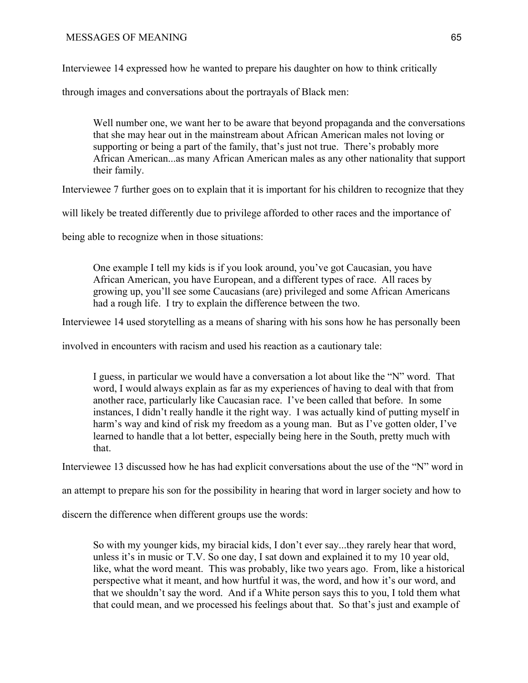Interviewee 14 expressed how he wanted to prepare his daughter on how to think critically

through images and conversations about the portrayals of Black men:

Well number one, we want her to be aware that beyond propaganda and the conversations that she may hear out in the mainstream about African American males not loving or supporting or being a part of the family, that's just not true. There's probably more African American...as many African American males as any other nationality that support their family.

Interviewee 7 further goes on to explain that it is important for his children to recognize that they

will likely be treated differently due to privilege afforded to other races and the importance of

being able to recognize when in those situations:

One example I tell my kids is if you look around, you've got Caucasian, you have African American, you have European, and a different types of race. All races by growing up, you'll see some Caucasians (are) privileged and some African Americans had a rough life. I try to explain the difference between the two.

Interviewee 14 used storytelling as a means of sharing with his sons how he has personally been

involved in encounters with racism and used his reaction as a cautionary tale:

I guess, in particular we would have a conversation a lot about like the "N" word. That word, I would always explain as far as my experiences of having to deal with that from another race, particularly like Caucasian race. I've been called that before. In some instances, I didn't really handle it the right way. I was actually kind of putting myself in harm's way and kind of risk my freedom as a young man. But as I've gotten older, I've learned to handle that a lot better, especially being here in the South, pretty much with that.

Interviewee 13 discussed how he has had explicit conversations about the use of the "N" word in

an attempt to prepare his son for the possibility in hearing that word in larger society and how to

discern the difference when different groups use the words:

So with my younger kids, my biracial kids, I don't ever say...they rarely hear that word, unless it's in music or T.V. So one day, I sat down and explained it to my 10 year old, like, what the word meant. This was probably, like two years ago. From, like a historical perspective what it meant, and how hurtful it was, the word, and how it's our word, and that we shouldn't say the word. And if a White person says this to you, I told them what that could mean, and we processed his feelings about that. So that's just and example of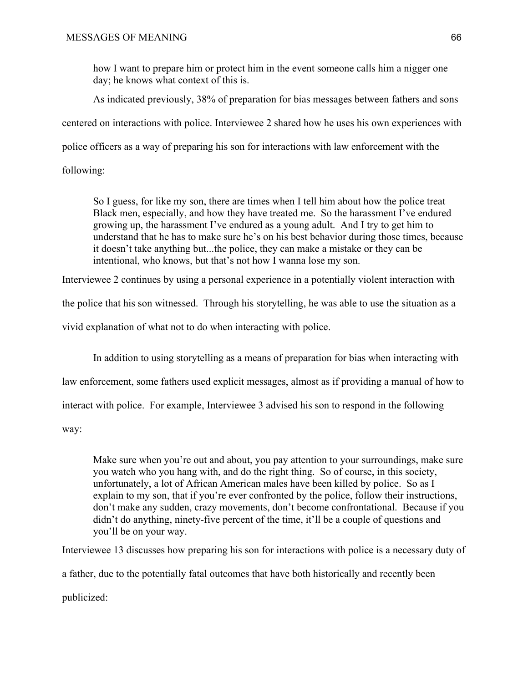how I want to prepare him or protect him in the event someone calls him a nigger one day; he knows what context of this is.

As indicated previously, 38% of preparation for bias messages between fathers and sons

centered on interactions with police. Interviewee 2 shared how he uses his own experiences with

police officers as a way of preparing his son for interactions with law enforcement with the

following:

So I guess, for like my son, there are times when I tell him about how the police treat Black men, especially, and how they have treated me. So the harassment I've endured growing up, the harassment I've endured as a young adult. And I try to get him to understand that he has to make sure he's on his best behavior during those times, because it doesn't take anything but...the police, they can make a mistake or they can be intentional, who knows, but that's not how I wanna lose my son.

Interviewee 2 continues by using a personal experience in a potentially violent interaction with

the police that his son witnessed. Through his storytelling, he was able to use the situation as a

vivid explanation of what not to do when interacting with police.

In addition to using storytelling as a means of preparation for bias when interacting with

law enforcement, some fathers used explicit messages, almost as if providing a manual of how to

interact with police. For example, Interviewee 3 advised his son to respond in the following

way:

Make sure when you're out and about, you pay attention to your surroundings, make sure you watch who you hang with, and do the right thing. So of course, in this society, unfortunately, a lot of African American males have been killed by police. So as I explain to my son, that if you're ever confronted by the police, follow their instructions, don't make any sudden, crazy movements, don't become confrontational. Because if you didn't do anything, ninety-five percent of the time, it'll be a couple of questions and you'll be on your way.

Interviewee 13 discusses how preparing his son for interactions with police is a necessary duty of

a father, due to the potentially fatal outcomes that have both historically and recently been

publicized: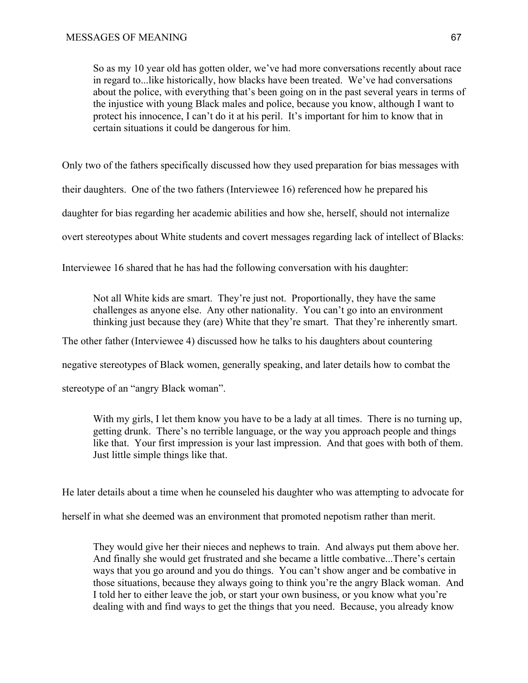So as my 10 year old has gotten older, we've had more conversations recently about race in regard to...like historically, how blacks have been treated. We've had conversations about the police, with everything that's been going on in the past several years in terms of the injustice with young Black males and police, because you know, although I want to protect his innocence, I can't do it at his peril. It's important for him to know that in certain situations it could be dangerous for him.

Only two of the fathers specifically discussed how they used preparation for bias messages with

their daughters. One of the two fathers (Interviewee 16) referenced how he prepared his

daughter for bias regarding her academic abilities and how she, herself, should not internalize

overt stereotypes about White students and covert messages regarding lack of intellect of Blacks:

Interviewee 16 shared that he has had the following conversation with his daughter:

Not all White kids are smart. They're just not. Proportionally, they have the same challenges as anyone else. Any other nationality. You can't go into an environment thinking just because they (are) White that they're smart. That they're inherently smart.

The other father (Interviewee 4) discussed how he talks to his daughters about countering

negative stereotypes of Black women, generally speaking, and later details how to combat the

stereotype of an "angry Black woman".

With my girls, I let them know you have to be a lady at all times. There is no turning up, getting drunk. There's no terrible language, or the way you approach people and things like that. Your first impression is your last impression. And that goes with both of them. Just little simple things like that.

He later details about a time when he counseled his daughter who was attempting to advocate for

herself in what she deemed was an environment that promoted nepotism rather than merit.

They would give her their nieces and nephews to train. And always put them above her. And finally she would get frustrated and she became a little combative...There's certain ways that you go around and you do things. You can't show anger and be combative in those situations, because they always going to think you're the angry Black woman. And I told her to either leave the job, or start your own business, or you know what you're dealing with and find ways to get the things that you need. Because, you already know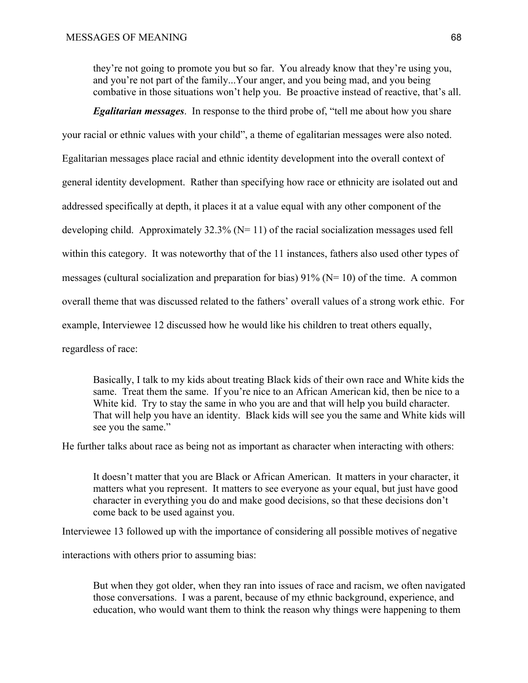they're not going to promote you but so far. You already know that they're using you, and you're not part of the family...Your anger, and you being mad, and you being combative in those situations won't help you. Be proactive instead of reactive, that's all.

*Egalitarian messages*. In response to the third probe of, "tell me about how you share

your racial or ethnic values with your child", a theme of egalitarian messages were also noted.

Egalitarian messages place racial and ethnic identity development into the overall context of

general identity development. Rather than specifying how race or ethnicity are isolated out and

addressed specifically at depth, it places it at a value equal with any other component of the

developing child. Approximately  $32.3\%$  (N= 11) of the racial socialization messages used fell

within this category. It was noteworthy that of the 11 instances, fathers also used other types of

messages (cultural socialization and preparation for bias)  $91\%$  (N= 10) of the time. A common

overall theme that was discussed related to the fathers' overall values of a strong work ethic. For

example, Interviewee 12 discussed how he would like his children to treat others equally,

regardless of race:

Basically, I talk to my kids about treating Black kids of their own race and White kids the same. Treat them the same. If you're nice to an African American kid, then be nice to a White kid. Try to stay the same in who you are and that will help you build character. That will help you have an identity. Black kids will see you the same and White kids will see you the same."

He further talks about race as being not as important as character when interacting with others:

It doesn't matter that you are Black or African American. It matters in your character, it matters what you represent. It matters to see everyone as your equal, but just have good character in everything you do and make good decisions, so that these decisions don't come back to be used against you.

Interviewee 13 followed up with the importance of considering all possible motives of negative

interactions with others prior to assuming bias:

But when they got older, when they ran into issues of race and racism, we often navigated those conversations. I was a parent, because of my ethnic background, experience, and education, who would want them to think the reason why things were happening to them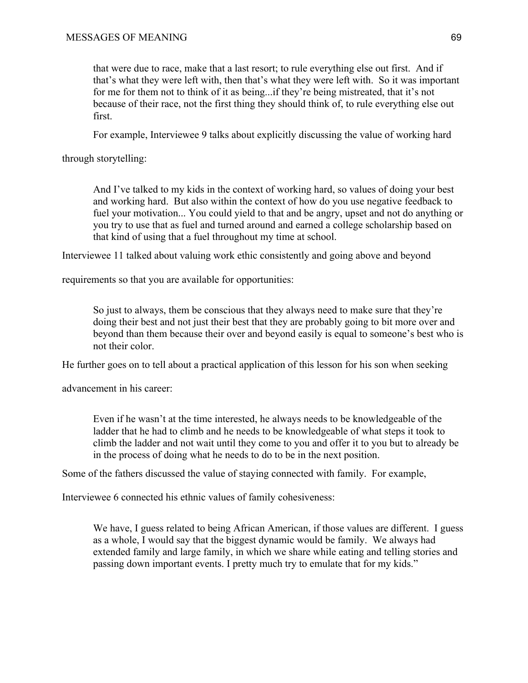that were due to race, make that a last resort; to rule everything else out first. And if that's what they were left with, then that's what they were left with. So it was important for me for them not to think of it as being...if they're being mistreated, that it's not because of their race, not the first thing they should think of, to rule everything else out first.

For example, Interviewee 9 talks about explicitly discussing the value of working hard

through storytelling:

And I've talked to my kids in the context of working hard, so values of doing your best and working hard. But also within the context of how do you use negative feedback to fuel your motivation... You could yield to that and be angry, upset and not do anything or you try to use that as fuel and turned around and earned a college scholarship based on that kind of using that a fuel throughout my time at school.

Interviewee 11 talked about valuing work ethic consistently and going above and beyond

requirements so that you are available for opportunities:

So just to always, them be conscious that they always need to make sure that they're doing their best and not just their best that they are probably going to bit more over and beyond than them because their over and beyond easily is equal to someone's best who is not their color.

He further goes on to tell about a practical application of this lesson for his son when seeking

advancement in his career:

Even if he wasn't at the time interested, he always needs to be knowledgeable of the ladder that he had to climb and he needs to be knowledgeable of what steps it took to climb the ladder and not wait until they come to you and offer it to you but to already be in the process of doing what he needs to do to be in the next position.

Some of the fathers discussed the value of staying connected with family. For example,

Interviewee 6 connected his ethnic values of family cohesiveness:

We have, I guess related to being African American, if those values are different. I guess as a whole, I would say that the biggest dynamic would be family. We always had extended family and large family, in which we share while eating and telling stories and passing down important events. I pretty much try to emulate that for my kids."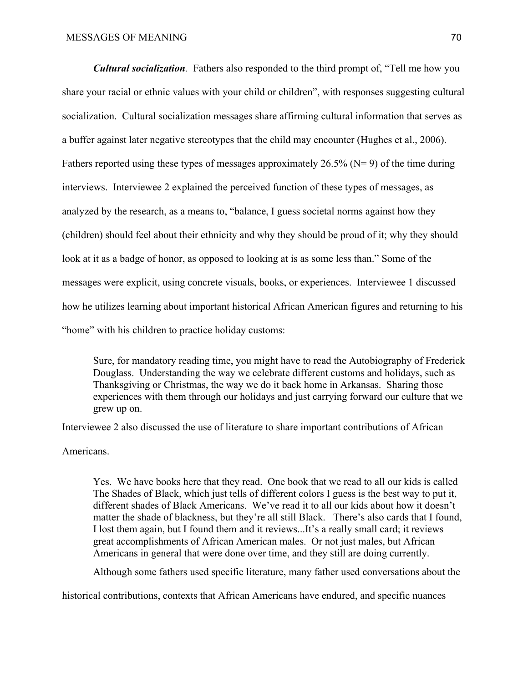*Cultural socialization.* Fathers also responded to the third prompt of, "Tell me how you share your racial or ethnic values with your child or children", with responses suggesting cultural socialization. Cultural socialization messages share affirming cultural information that serves as a buffer against later negative stereotypes that the child may encounter (Hughes et al., 2006). Fathers reported using these types of messages approximately 26.5% ( $N= 9$ ) of the time during interviews. Interviewee 2 explained the perceived function of these types of messages, as analyzed by the research, as a means to, "balance, I guess societal norms against how they (children) should feel about their ethnicity and why they should be proud of it; why they should look at it as a badge of honor, as opposed to looking at is as some less than." Some of the messages were explicit, using concrete visuals, books, or experiences. Interviewee 1 discussed how he utilizes learning about important historical African American figures and returning to his "home" with his children to practice holiday customs:

Sure, for mandatory reading time, you might have to read the Autobiography of Frederick Douglass. Understanding the way we celebrate different customs and holidays, such as Thanksgiving or Christmas, the way we do it back home in Arkansas. Sharing those experiences with them through our holidays and just carrying forward our culture that we grew up on.

Interviewee 2 also discussed the use of literature to share important contributions of African

Americans.

Yes. We have books here that they read. One book that we read to all our kids is called The Shades of Black, which just tells of different colors I guess is the best way to put it, different shades of Black Americans. We've read it to all our kids about how it doesn't matter the shade of blackness, but they're all still Black. There's also cards that I found, I lost them again, but I found them and it reviews...It's a really small card; it reviews great accomplishments of African American males. Or not just males, but African Americans in general that were done over time, and they still are doing currently.

Although some fathers used specific literature, many father used conversations about the

historical contributions, contexts that African Americans have endured, and specific nuances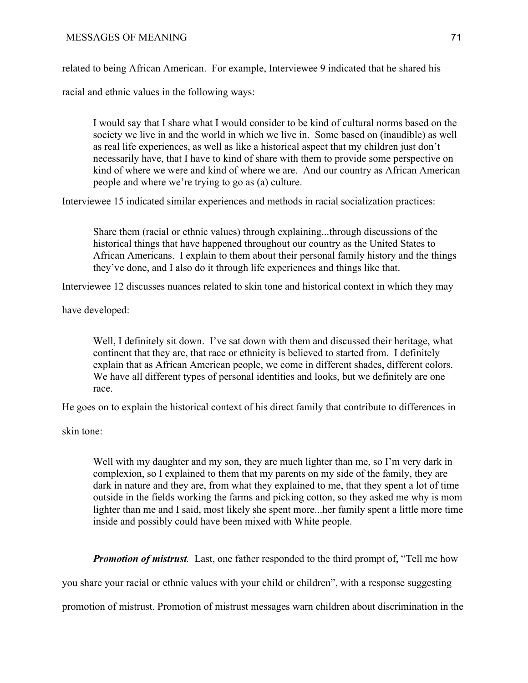related to being African American. For example, Interviewee 9 indicated that he shared his

racial and ethnic values in the following ways:

I would say that I share what I would consider to be kind of cultural norms based on the society we live in and the world in which we live in. Some based on (inaudible) as well as real life experiences, as well as like a historical aspect that my children just don't necessarily have, that I have to kind of share with them to provide some perspective on kind of where we were and kind of where we are. And our country as African American people and where we're trying to go as (a) culture.

Interviewee 15 indicated similar experiences and methods in racial socialization practices:

Share them (racial or ethnic values) through explaining...through discussions of the historical things that have happened throughout our country as the United States to African Americans. I explain to them about their personal family history and the things they've done, and I also do it through life experiences and things like that.

Interviewee 12 discusses nuances related to skin tone and historical context in which they may

have developed:

Well, I definitely sit down. I've sat down with them and discussed their heritage, what continent that they are, that race or ethnicity is believed to started from. I definitely explain that as African American people, we come in different shades, different colors. We have all different types of personal identities and looks, but we definitely are one race.

He goes on to explain the historical context of his direct family that contribute to differences in

skin tone:

Well with my daughter and my son, they are much lighter than me, so I'm very dark in complexion, so I explained to them that my parents on my side of the family, they are dark in nature and they are, from what they explained to me, that they spent a lot of time outside in the fields working the farms and picking cotton, so they asked me why is mom lighter than me and I said, most likely she spent more...her family spent a little more time inside and possibly could have been mixed with White people.

*Promotion of mistrust.* Last, one father responded to the third prompt of, "Tell me how

you share your racial or ethnic values with your child or children", with a response suggesting

promotion of mistrust. Promotion of mistrust messages warn children about discrimination in the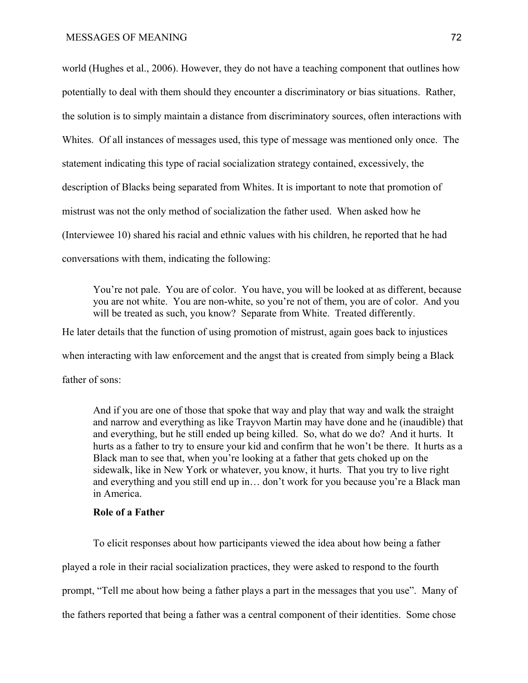world (Hughes et al., 2006). However, they do not have a teaching component that outlines how potentially to deal with them should they encounter a discriminatory or bias situations. Rather, the solution is to simply maintain a distance from discriminatory sources, often interactions with Whites. Of all instances of messages used, this type of message was mentioned only once. The statement indicating this type of racial socialization strategy contained, excessively, the description of Blacks being separated from Whites. It is important to note that promotion of mistrust was not the only method of socialization the father used. When asked how he (Interviewee 10) shared his racial and ethnic values with his children, he reported that he had conversations with them, indicating the following:

You're not pale. You are of color. You have, you will be looked at as different, because you are not white. You are non-white, so you're not of them, you are of color. And you will be treated as such, you know? Separate from White. Treated differently.

He later details that the function of using promotion of mistrust, again goes back to injustices when interacting with law enforcement and the angst that is created from simply being a Black father of sons:

And if you are one of those that spoke that way and play that way and walk the straight and narrow and everything as like Trayvon Martin may have done and he (inaudible) that and everything, but he still ended up being killed. So, what do we do? And it hurts. It hurts as a father to try to ensure your kid and confirm that he won't be there. It hurts as a Black man to see that, when you're looking at a father that gets choked up on the sidewalk, like in New York or whatever, you know, it hurts. That you try to live right and everything and you still end up in… don't work for you because you're a Black man in America.

# **Role of a Father**

To elicit responses about how participants viewed the idea about how being a father played a role in their racial socialization practices, they were asked to respond to the fourth prompt, "Tell me about how being a father plays a part in the messages that you use". Many of the fathers reported that being a father was a central component of their identities. Some chose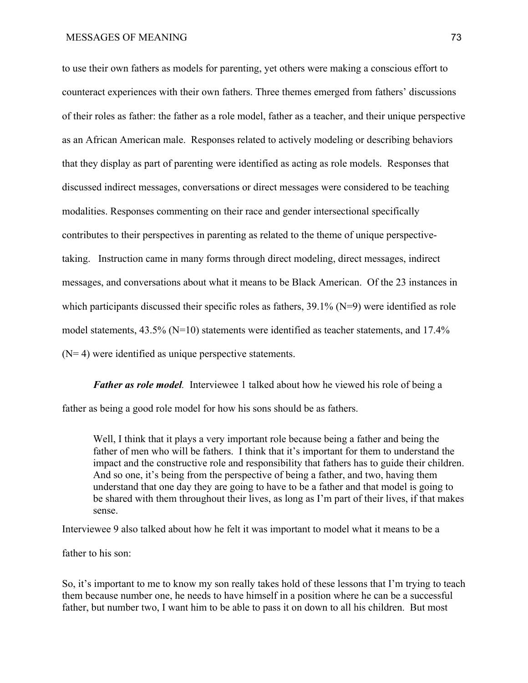to use their own fathers as models for parenting, yet others were making a conscious effort to counteract experiences with their own fathers. Three themes emerged from fathers' discussions of their roles as father: the father as a role model, father as a teacher, and their unique perspective as an African American male. Responses related to actively modeling or describing behaviors that they display as part of parenting were identified as acting as role models. Responses that discussed indirect messages, conversations or direct messages were considered to be teaching modalities. Responses commenting on their race and gender intersectional specifically contributes to their perspectives in parenting as related to the theme of unique perspectivetaking. Instruction came in many forms through direct modeling, direct messages, indirect messages, and conversations about what it means to be Black American. Of the 23 instances in which participants discussed their specific roles as fathers,  $39.1\%$  (N=9) were identified as role model statements, 43.5% (N=10) statements were identified as teacher statements, and 17.4% (N= 4) were identified as unique perspective statements.

*Father as role model.* Interviewee 1 talked about how he viewed his role of being a father as being a good role model for how his sons should be as fathers.

Well, I think that it plays a very important role because being a father and being the father of men who will be fathers. I think that it's important for them to understand the impact and the constructive role and responsibility that fathers has to guide their children. And so one, it's being from the perspective of being a father, and two, having them understand that one day they are going to have to be a father and that model is going to be shared with them throughout their lives, as long as I'm part of their lives, if that makes sense.

Interviewee 9 also talked about how he felt it was important to model what it means to be a

father to his son:

So, it's important to me to know my son really takes hold of these lessons that I'm trying to teach them because number one, he needs to have himself in a position where he can be a successful father, but number two, I want him to be able to pass it on down to all his children. But most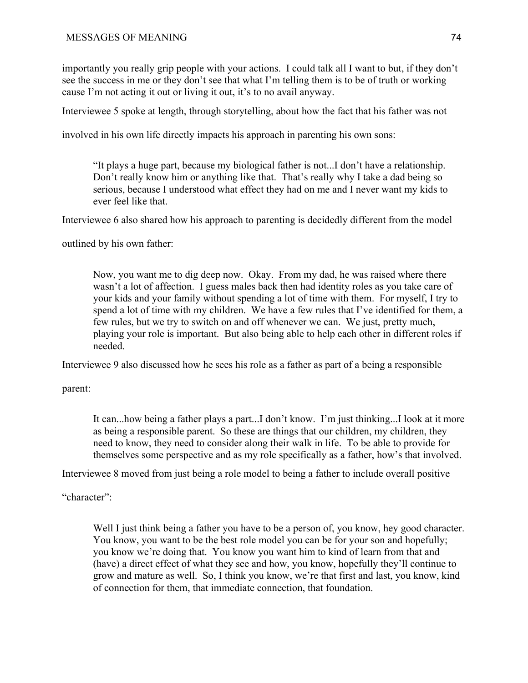importantly you really grip people with your actions. I could talk all I want to but, if they don't see the success in me or they don't see that what I'm telling them is to be of truth or working cause I'm not acting it out or living it out, it's to no avail anyway.

Interviewee 5 spoke at length, through storytelling, about how the fact that his father was not

involved in his own life directly impacts his approach in parenting his own sons:

"It plays a huge part, because my biological father is not...I don't have a relationship. Don't really know him or anything like that. That's really why I take a dad being so serious, because I understood what effect they had on me and I never want my kids to ever feel like that.

Interviewee 6 also shared how his approach to parenting is decidedly different from the model

outlined by his own father:

Now, you want me to dig deep now. Okay. From my dad, he was raised where there wasn't a lot of affection. I guess males back then had identity roles as you take care of your kids and your family without spending a lot of time with them. For myself, I try to spend a lot of time with my children. We have a few rules that I've identified for them, a few rules, but we try to switch on and off whenever we can. We just, pretty much, playing your role is important. But also being able to help each other in different roles if needed.

Interviewee 9 also discussed how he sees his role as a father as part of a being a responsible

parent:

It can...how being a father plays a part...I don't know. I'm just thinking...I look at it more as being a responsible parent. So these are things that our children, my children, they need to know, they need to consider along their walk in life. To be able to provide for themselves some perspective and as my role specifically as a father, how's that involved.

Interviewee 8 moved from just being a role model to being a father to include overall positive

"character":

Well I just think being a father you have to be a person of, you know, hey good character. You know, you want to be the best role model you can be for your son and hopefully; you know we're doing that. You know you want him to kind of learn from that and (have) a direct effect of what they see and how, you know, hopefully they'll continue to grow and mature as well. So, I think you know, we're that first and last, you know, kind of connection for them, that immediate connection, that foundation.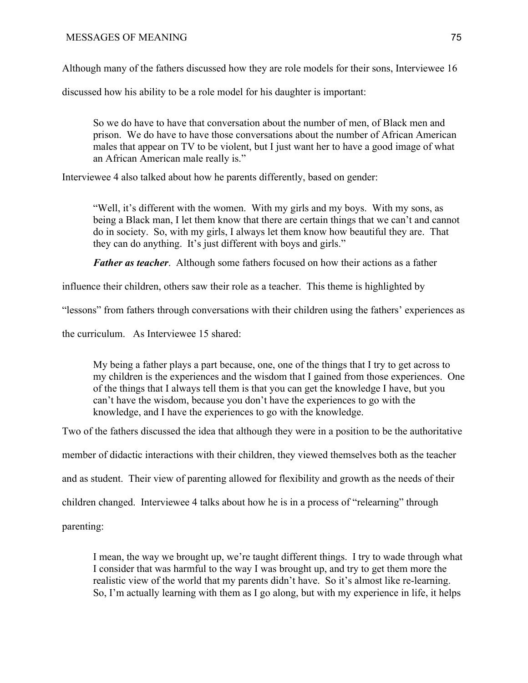Although many of the fathers discussed how they are role models for their sons, Interviewee 16

discussed how his ability to be a role model for his daughter is important:

So we do have to have that conversation about the number of men, of Black men and prison. We do have to have those conversations about the number of African American males that appear on TV to be violent, but I just want her to have a good image of what an African American male really is."

Interviewee 4 also talked about how he parents differently, based on gender:

"Well, it's different with the women. With my girls and my boys. With my sons, as being a Black man, I let them know that there are certain things that we can't and cannot do in society. So, with my girls, I always let them know how beautiful they are. That they can do anything. It's just different with boys and girls."

*Father as teacher*. Although some fathers focused on how their actions as a father

influence their children, others saw their role as a teacher. This theme is highlighted by

"lessons" from fathers through conversations with their children using the fathers' experiences as

the curriculum. As Interviewee 15 shared:

My being a father plays a part because, one, one of the things that I try to get across to my children is the experiences and the wisdom that I gained from those experiences. One of the things that I always tell them is that you can get the knowledge I have, but you can't have the wisdom, because you don't have the experiences to go with the knowledge, and I have the experiences to go with the knowledge.

Two of the fathers discussed the idea that although they were in a position to be the authoritative

member of didactic interactions with their children, they viewed themselves both as the teacher

and as student. Their view of parenting allowed for flexibility and growth as the needs of their

children changed. Interviewee 4 talks about how he is in a process of "relearning" through

parenting:

I mean, the way we brought up, we're taught different things. I try to wade through what I consider that was harmful to the way I was brought up, and try to get them more the realistic view of the world that my parents didn't have. So it's almost like re-learning. So, I'm actually learning with them as I go along, but with my experience in life, it helps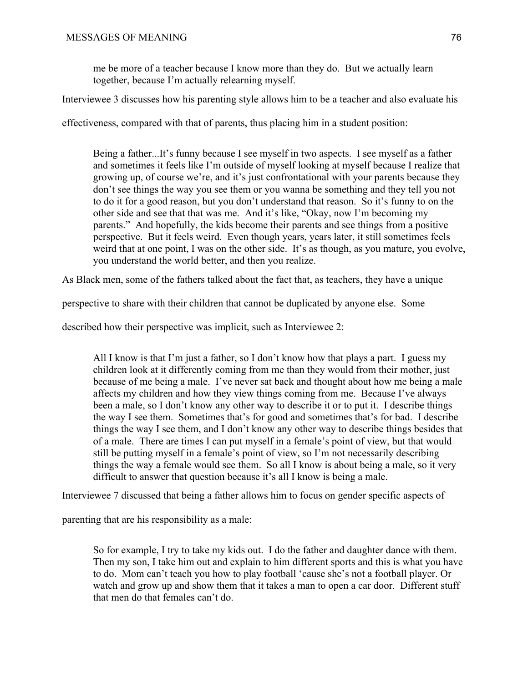me be more of a teacher because I know more than they do. But we actually learn together, because I'm actually relearning myself.

Interviewee 3 discusses how his parenting style allows him to be a teacher and also evaluate his

effectiveness, compared with that of parents, thus placing him in a student position:

Being a father...It's funny because I see myself in two aspects. I see myself as a father and sometimes it feels like I'm outside of myself looking at myself because I realize that growing up, of course we're, and it's just confrontational with your parents because they don't see things the way you see them or you wanna be something and they tell you not to do it for a good reason, but you don't understand that reason. So it's funny to on the other side and see that that was me. And it's like, "Okay, now I'm becoming my parents." And hopefully, the kids become their parents and see things from a positive perspective. But it feels weird. Even though years, years later, it still sometimes feels weird that at one point, I was on the other side. It's as though, as you mature, you evolve, you understand the world better, and then you realize.

As Black men, some of the fathers talked about the fact that, as teachers, they have a unique

perspective to share with their children that cannot be duplicated by anyone else. Some

described how their perspective was implicit, such as Interviewee 2:

All I know is that I'm just a father, so I don't know how that plays a part. I guess my children look at it differently coming from me than they would from their mother, just because of me being a male. I've never sat back and thought about how me being a male affects my children and how they view things coming from me. Because I've always been a male, so I don't know any other way to describe it or to put it. I describe things the way I see them. Sometimes that's for good and sometimes that's for bad. I describe things the way I see them, and I don't know any other way to describe things besides that of a male. There are times I can put myself in a female's point of view, but that would still be putting myself in a female's point of view, so I'm not necessarily describing things the way a female would see them. So all I know is about being a male, so it very difficult to answer that question because it's all I know is being a male.

Interviewee 7 discussed that being a father allows him to focus on gender specific aspects of

parenting that are his responsibility as a male:

So for example, I try to take my kids out. I do the father and daughter dance with them. Then my son, I take him out and explain to him different sports and this is what you have to do. Mom can't teach you how to play football 'cause she's not a football player. Or watch and grow up and show them that it takes a man to open a car door. Different stuff that men do that females can't do.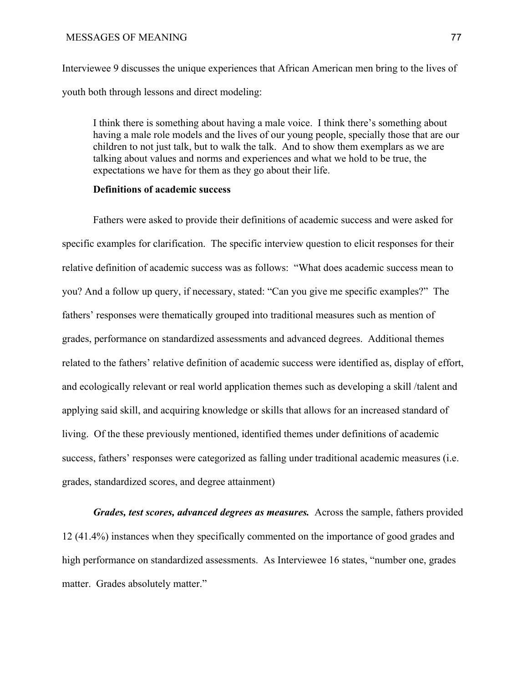Interviewee 9 discusses the unique experiences that African American men bring to the lives of youth both through lessons and direct modeling:

I think there is something about having a male voice. I think there's something about having a male role models and the lives of our young people, specially those that are our children to not just talk, but to walk the talk. And to show them exemplars as we are talking about values and norms and experiences and what we hold to be true, the expectations we have for them as they go about their life.

# **Definitions of academic success**

Fathers were asked to provide their definitions of academic success and were asked for specific examples for clarification. The specific interview question to elicit responses for their relative definition of academic success was as follows: "What does academic success mean to you? And a follow up query, if necessary, stated: "Can you give me specific examples?" The fathers' responses were thematically grouped into traditional measures such as mention of grades, performance on standardized assessments and advanced degrees. Additional themes related to the fathers' relative definition of academic success were identified as, display of effort, and ecologically relevant or real world application themes such as developing a skill /talent and applying said skill, and acquiring knowledge or skills that allows for an increased standard of living. Of the these previously mentioned, identified themes under definitions of academic success, fathers' responses were categorized as falling under traditional academic measures (i.e. grades, standardized scores, and degree attainment)

*Grades, test scores, advanced degrees as measures.* Across the sample, fathers provided 12 (41.4%) instances when they specifically commented on the importance of good grades and high performance on standardized assessments. As Interviewee 16 states, "number one, grades matter. Grades absolutely matter."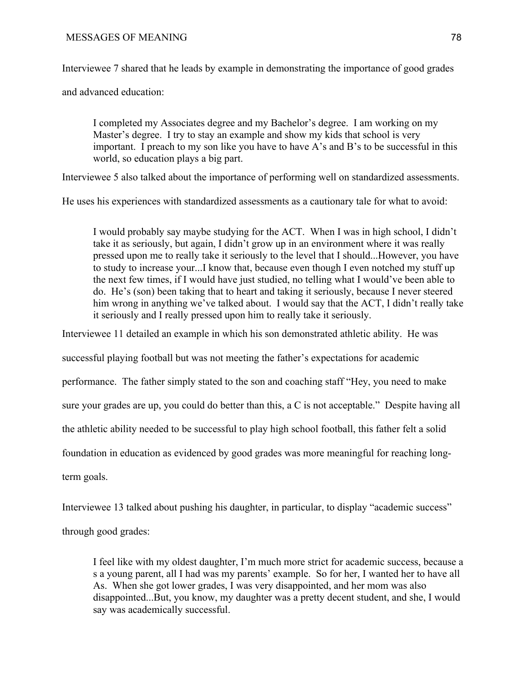Interviewee 7 shared that he leads by example in demonstrating the importance of good grades

and advanced education:

I completed my Associates degree and my Bachelor's degree. I am working on my Master's degree. I try to stay an example and show my kids that school is very important. I preach to my son like you have to have A's and B's to be successful in this world, so education plays a big part.

Interviewee 5 also talked about the importance of performing well on standardized assessments.

He uses his experiences with standardized assessments as a cautionary tale for what to avoid:

I would probably say maybe studying for the ACT. When I was in high school, I didn't take it as seriously, but again, I didn't grow up in an environment where it was really pressed upon me to really take it seriously to the level that I should...However, you have to study to increase your...I know that, because even though I even notched my stuff up the next few times, if I would have just studied, no telling what I would've been able to do. He's (son) been taking that to heart and taking it seriously, because I never steered him wrong in anything we've talked about. I would say that the ACT, I didn't really take it seriously and I really pressed upon him to really take it seriously.

Interviewee 11 detailed an example in which his son demonstrated athletic ability. He was

successful playing football but was not meeting the father's expectations for academic

performance. The father simply stated to the son and coaching staff "Hey, you need to make

sure your grades are up, you could do better than this, a C is not acceptable." Despite having all

the athletic ability needed to be successful to play high school football, this father felt a solid

foundation in education as evidenced by good grades was more meaningful for reaching long-

term goals.

Interviewee 13 talked about pushing his daughter, in particular, to display "academic success"

through good grades:

I feel like with my oldest daughter, I'm much more strict for academic success, because a s a young parent, all I had was my parents' example. So for her, I wanted her to have all As. When she got lower grades, I was very disappointed, and her mom was also disappointed...But, you know, my daughter was a pretty decent student, and she, I would say was academically successful.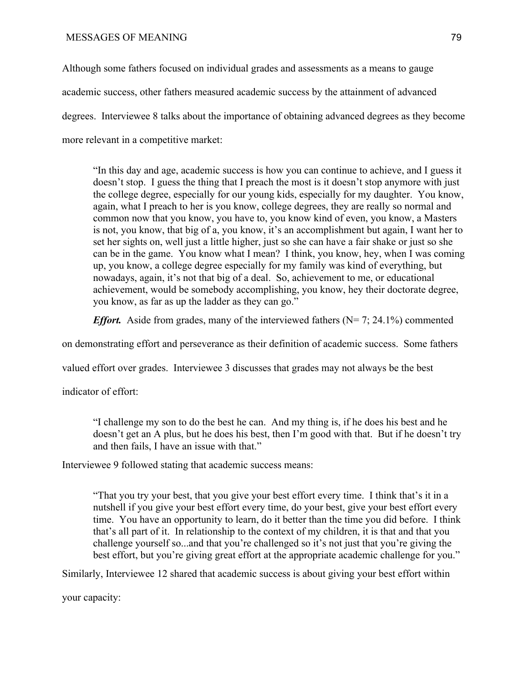Although some fathers focused on individual grades and assessments as a means to gauge academic success, other fathers measured academic success by the attainment of advanced degrees. Interviewee 8 talks about the importance of obtaining advanced degrees as they become more relevant in a competitive market:

"In this day and age, academic success is how you can continue to achieve, and I guess it doesn't stop. I guess the thing that I preach the most is it doesn't stop anymore with just the college degree, especially for our young kids, especially for my daughter. You know, again, what I preach to her is you know, college degrees, they are really so normal and common now that you know, you have to, you know kind of even, you know, a Masters is not, you know, that big of a, you know, it's an accomplishment but again, I want her to set her sights on, well just a little higher, just so she can have a fair shake or just so she can be in the game. You know what I mean? I think, you know, hey, when I was coming up, you know, a college degree especially for my family was kind of everything, but nowadays, again, it's not that big of a deal. So, achievement to me, or educational achievement, would be somebody accomplishing, you know, hey their doctorate degree, you know, as far as up the ladder as they can go."

*Effort.* Aside from grades, many of the interviewed fathers (N= 7; 24.1%) commented

on demonstrating effort and perseverance as their definition of academic success. Some fathers

valued effort over grades. Interviewee 3 discusses that grades may not always be the best

indicator of effort:

"I challenge my son to do the best he can. And my thing is, if he does his best and he doesn't get an A plus, but he does his best, then I'm good with that. But if he doesn't try and then fails, I have an issue with that."

Interviewee 9 followed stating that academic success means:

"That you try your best, that you give your best effort every time. I think that's it in a nutshell if you give your best effort every time, do your best, give your best effort every time. You have an opportunity to learn, do it better than the time you did before. I think that's all part of it. In relationship to the context of my children, it is that and that you challenge yourself so...and that you're challenged so it's not just that you're giving the best effort, but you're giving great effort at the appropriate academic challenge for you."

Similarly, Interviewee 12 shared that academic success is about giving your best effort within

your capacity: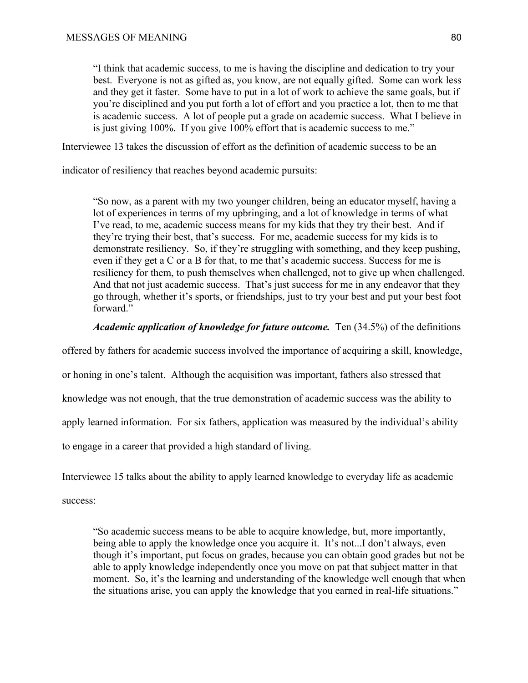"I think that academic success, to me is having the discipline and dedication to try your best. Everyone is not as gifted as, you know, are not equally gifted. Some can work less and they get it faster. Some have to put in a lot of work to achieve the same goals, but if you're disciplined and you put forth a lot of effort and you practice a lot, then to me that is academic success. A lot of people put a grade on academic success. What I believe in is just giving 100%. If you give 100% effort that is academic success to me."

Interviewee 13 takes the discussion of effort as the definition of academic success to be an

indicator of resiliency that reaches beyond academic pursuits:

"So now, as a parent with my two younger children, being an educator myself, having a lot of experiences in terms of my upbringing, and a lot of knowledge in terms of what I've read, to me, academic success means for my kids that they try their best. And if they're trying their best, that's success. For me, academic success for my kids is to demonstrate resiliency. So, if they're struggling with something, and they keep pushing, even if they get a C or a B for that, to me that's academic success. Success for me is resiliency for them, to push themselves when challenged, not to give up when challenged. And that not just academic success. That's just success for me in any endeavor that they go through, whether it's sports, or friendships, just to try your best and put your best foot forward."

*Academic application of knowledge for future outcome.* Ten (34.5%) of the definitions

offered by fathers for academic success involved the importance of acquiring a skill, knowledge,

or honing in one's talent. Although the acquisition was important, fathers also stressed that

knowledge was not enough, that the true demonstration of academic success was the ability to

apply learned information. For six fathers, application was measured by the individual's ability

to engage in a career that provided a high standard of living.

Interviewee 15 talks about the ability to apply learned knowledge to everyday life as academic

success:

"So academic success means to be able to acquire knowledge, but, more importantly, being able to apply the knowledge once you acquire it. It's not...I don't always, even though it's important, put focus on grades, because you can obtain good grades but not be able to apply knowledge independently once you move on pat that subject matter in that moment. So, it's the learning and understanding of the knowledge well enough that when the situations arise, you can apply the knowledge that you earned in real-life situations."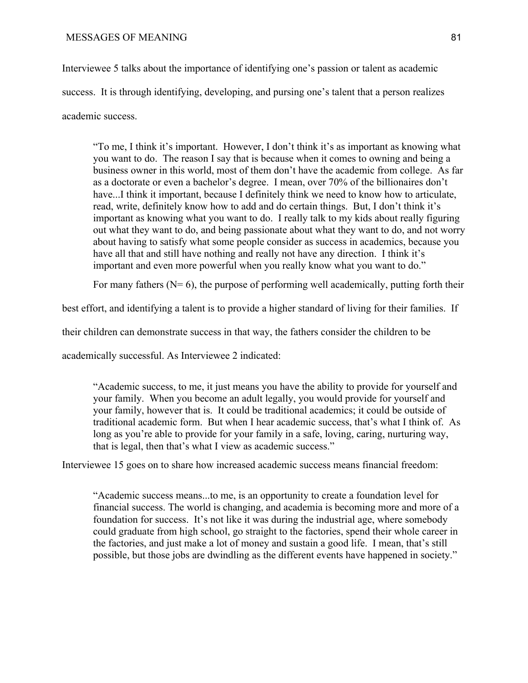Interviewee 5 talks about the importance of identifying one's passion or talent as academic success. It is through identifying, developing, and pursing one's talent that a person realizes academic success.

"To me, I think it's important. However, I don't think it's as important as knowing what you want to do. The reason I say that is because when it comes to owning and being a business owner in this world, most of them don't have the academic from college. As far as a doctorate or even a bachelor's degree. I mean, over 70% of the billionaires don't have...I think it important, because I definitely think we need to know how to articulate, read, write, definitely know how to add and do certain things. But, I don't think it's important as knowing what you want to do. I really talk to my kids about really figuring out what they want to do, and being passionate about what they want to do, and not worry about having to satisfy what some people consider as success in academics, because you have all that and still have nothing and really not have any direction. I think it's important and even more powerful when you really know what you want to do."

For many fathers  $(N= 6)$ , the purpose of performing well academically, putting forth their

best effort, and identifying a talent is to provide a higher standard of living for their families. If

their children can demonstrate success in that way, the fathers consider the children to be

academically successful. As Interviewee 2 indicated:

"Academic success, to me, it just means you have the ability to provide for yourself and your family. When you become an adult legally, you would provide for yourself and your family, however that is. It could be traditional academics; it could be outside of traditional academic form. But when I hear academic success, that's what I think of. As long as you're able to provide for your family in a safe, loving, caring, nurturing way, that is legal, then that's what I view as academic success."

Interviewee 15 goes on to share how increased academic success means financial freedom:

"Academic success means...to me, is an opportunity to create a foundation level for financial success. The world is changing, and academia is becoming more and more of a foundation for success. It's not like it was during the industrial age, where somebody could graduate from high school, go straight to the factories, spend their whole career in the factories, and just make a lot of money and sustain a good life. I mean, that's still possible, but those jobs are dwindling as the different events have happened in society."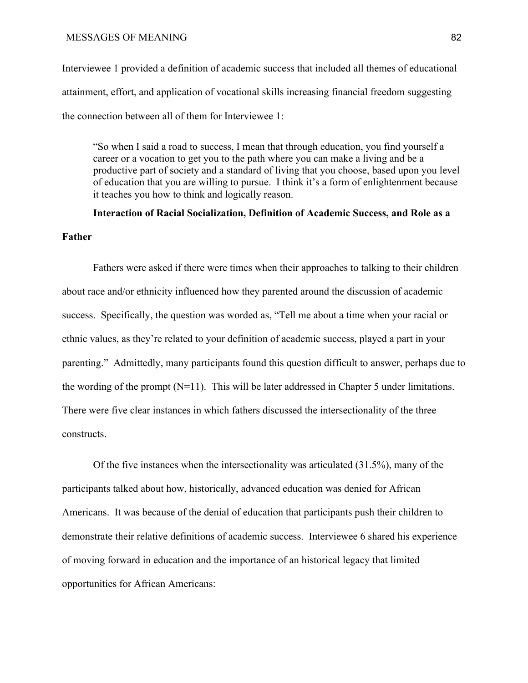Interviewee 1 provided a definition of academic success that included all themes of educational attainment, effort, and application of vocational skills increasing financial freedom suggesting the connection between all of them for Interviewee 1:

"So when I said a road to success, I mean that through education, you find yourself a career or a vocation to get you to the path where you can make a living and be a productive part of society and a standard of living that you choose, based upon you level of education that you are willing to pursue. I think it's a form of enlightenment because it teaches you how to think and logically reason.

**Interaction of Racial Socialization, Definition of Academic Success, and Role as a Father**

Fathers were asked if there were times when their approaches to talking to their children about race and/or ethnicity influenced how they parented around the discussion of academic success. Specifically, the question was worded as, "Tell me about a time when your racial or ethnic values, as they're related to your definition of academic success, played a part in your parenting." Admittedly, many participants found this question difficult to answer, perhaps due to the wording of the prompt (N=11). This will be later addressed in Chapter 5 under limitations. There were five clear instances in which fathers discussed the intersectionality of the three constructs.

Of the five instances when the intersectionality was articulated (31.5%), many of the participants talked about how, historically, advanced education was denied for African Americans. It was because of the denial of education that participants push their children to demonstrate their relative definitions of academic success. Interviewee 6 shared his experience of moving forward in education and the importance of an historical legacy that limited opportunities for African Americans: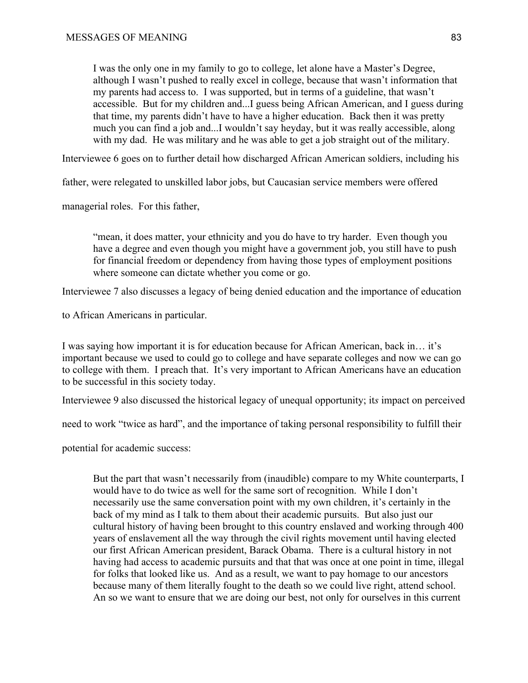I was the only one in my family to go to college, let alone have a Master's Degree, although I wasn't pushed to really excel in college, because that wasn't information that my parents had access to. I was supported, but in terms of a guideline, that wasn't accessible. But for my children and...I guess being African American, and I guess during that time, my parents didn't have to have a higher education. Back then it was pretty much you can find a job and...I wouldn't say heyday, but it was really accessible, along with my dad. He was military and he was able to get a job straight out of the military.

Interviewee 6 goes on to further detail how discharged African American soldiers, including his

father, were relegated to unskilled labor jobs, but Caucasian service members were offered

managerial roles. For this father,

"mean, it does matter, your ethnicity and you do have to try harder. Even though you have a degree and even though you might have a government job, you still have to push for financial freedom or dependency from having those types of employment positions where someone can dictate whether you come or go.

Interviewee 7 also discusses a legacy of being denied education and the importance of education

to African Americans in particular.

I was saying how important it is for education because for African American, back in… it's important because we used to could go to college and have separate colleges and now we can go to college with them. I preach that. It's very important to African Americans have an education to be successful in this society today.

Interviewee 9 also discussed the historical legacy of unequal opportunity; it*s* impact on perceived

need to work "twice as hard", and the importance of taking personal responsibility to fulfill their

potential for academic success:

But the part that wasn't necessarily from (inaudible) compare to my White counterparts, I would have to do twice as well for the same sort of recognition. While I don't necessarily use the same conversation point with my own children, it's certainly in the back of my mind as I talk to them about their academic pursuits. But also just our cultural history of having been brought to this country enslaved and working through 400 years of enslavement all the way through the civil rights movement until having elected our first African American president, Barack Obama. There is a cultural history in not having had access to academic pursuits and that that was once at one point in time, illegal for folks that looked like us. And as a result, we want to pay homage to our ancestors because many of them literally fought to the death so we could live right, attend school. An so we want to ensure that we are doing our best, not only for ourselves in this current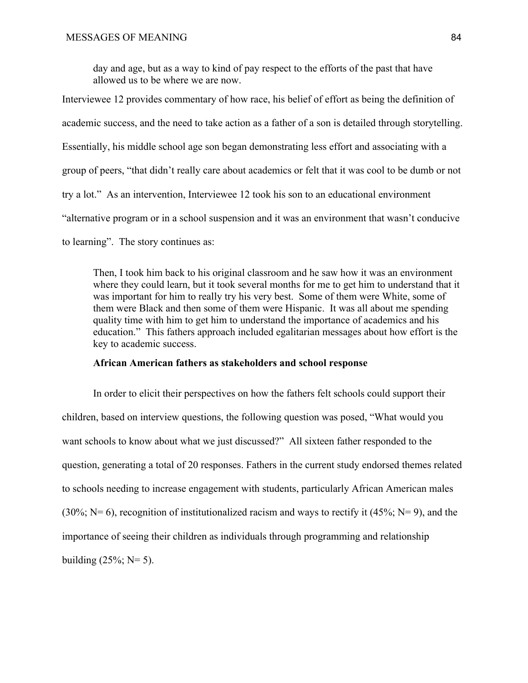day and age, but as a way to kind of pay respect to the efforts of the past that have allowed us to be where we are now.

Interviewee 12 provides commentary of how race, his belief of effort as being the definition of academic success, and the need to take action as a father of a son is detailed through storytelling. Essentially, his middle school age son began demonstrating less effort and associating with a group of peers, "that didn't really care about academics or felt that it was cool to be dumb or not try a lot." As an intervention, Interviewee 12 took his son to an educational environment "alternative program or in a school suspension and it was an environment that wasn't conducive to learning". The story continues as:

Then, I took him back to his original classroom and he saw how it was an environment where they could learn, but it took several months for me to get him to understand that it was important for him to really try his very best. Some of them were White, some of them were Black and then some of them were Hispanic. It was all about me spending quality time with him to get him to understand the importance of academics and his education." This fathers approach included egalitarian messages about how effort is the key to academic success.

# **African American fathers as stakeholders and school response**

In order to elicit their perspectives on how the fathers felt schools could support their children, based on interview questions, the following question was posed, "What would you want schools to know about what we just discussed?" All sixteen father responded to the question, generating a total of 20 responses. Fathers in the current study endorsed themes related to schools needing to increase engagement with students, particularly African American males (30%; N= 6), recognition of institutionalized racism and ways to rectify it (45%; N= 9), and the importance of seeing their children as individuals through programming and relationship building  $(25\%; N=5)$ .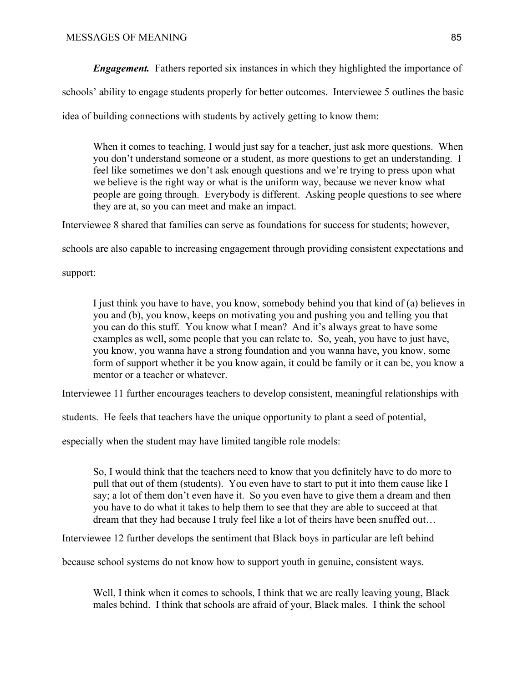*Engagement.* Fathers reported six instances in which they highlighted the importance of

schools' ability to engage students properly for better outcomes. Interviewee 5 outlines the basic

idea of building connections with students by actively getting to know them:

When it comes to teaching, I would just say for a teacher, just ask more questions. When you don't understand someone or a student, as more questions to get an understanding. I feel like sometimes we don't ask enough questions and we're trying to press upon what we believe is the right way or what is the uniform way, because we never know what people are going through. Everybody is different. Asking people questions to see where they are at, so you can meet and make an impact.

Interviewee 8 shared that families can serve as foundations for success for students; however,

schools are also capable to increasing engagement through providing consistent expectations and

support:

I just think you have to have, you know, somebody behind you that kind of (a) believes in you and (b), you know, keeps on motivating you and pushing you and telling you that you can do this stuff. You know what I mean? And it's always great to have some examples as well, some people that you can relate to. So, yeah, you have to just have, you know, you wanna have a strong foundation and you wanna have, you know, some form of support whether it be you know again, it could be family or it can be, you know a mentor or a teacher or whatever.

Interviewee 11 further encourages teachers to develop consistent, meaningful relationships with

students. He feels that teachers have the unique opportunity to plant a seed of potential,

especially when the student may have limited tangible role models:

So, I would think that the teachers need to know that you definitely have to do more to pull that out of them (students). You even have to start to put it into them cause like I say; a lot of them don't even have it. So you even have to give them a dream and then you have to do what it takes to help them to see that they are able to succeed at that dream that they had because I truly feel like a lot of theirs have been snuffed out…

Interviewee 12 further develops the sentiment that Black boys in particular are left behind

because school systems do not know how to support youth in genuine, consistent ways.

Well, I think when it comes to schools, I think that we are really leaving young, Black males behind. I think that schools are afraid of your, Black males. I think the school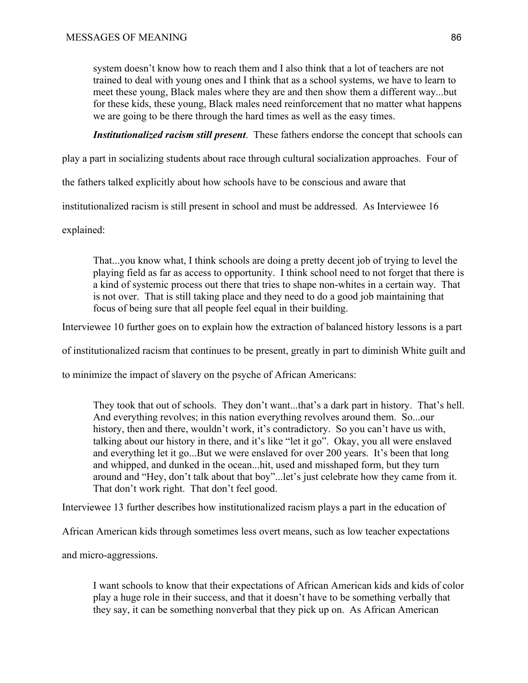system doesn't know how to reach them and I also think that a lot of teachers are not trained to deal with young ones and I think that as a school systems, we have to learn to meet these young, Black males where they are and then show them a different way...but for these kids, these young, Black males need reinforcement that no matter what happens we are going to be there through the hard times as well as the easy times.

*Institutionalized racism still present*. These fathers endorse the concept that schools can

play a part in socializing students about race through cultural socialization approaches. Four of

the fathers talked explicitly about how schools have to be conscious and aware that

institutionalized racism is still present in school and must be addressed. As Interviewee 16

explained:

That...you know what, I think schools are doing a pretty decent job of trying to level the playing field as far as access to opportunity. I think school need to not forget that there is a kind of systemic process out there that tries to shape non-whites in a certain way. That is not over. That is still taking place and they need to do a good job maintaining that focus of being sure that all people feel equal in their building.

Interviewee 10 further goes on to explain how the extraction of balanced history lessons is a part

of institutionalized racism that continues to be present, greatly in part to diminish White guilt and

to minimize the impact of slavery on the psyche of African Americans:

They took that out of schools. They don't want...that's a dark part in history. That's hell. And everything revolves; in this nation everything revolves around them. So...our history, then and there, wouldn't work, it's contradictory. So you can't have us with, talking about our history in there, and it's like "let it go". Okay, you all were enslaved and everything let it go...But we were enslaved for over 200 years. It's been that long and whipped, and dunked in the ocean...hit, used and misshaped form, but they turn around and "Hey, don't talk about that boy"...let's just celebrate how they came from it. That don't work right. That don't feel good.

Interviewee 13 further describes how institutionalized racism plays a part in the education of

African American kids through sometimes less overt means, such as low teacher expectations

and micro-aggressions.

I want schools to know that their expectations of African American kids and kids of color play a huge role in their success, and that it doesn't have to be something verbally that they say, it can be something nonverbal that they pick up on. As African American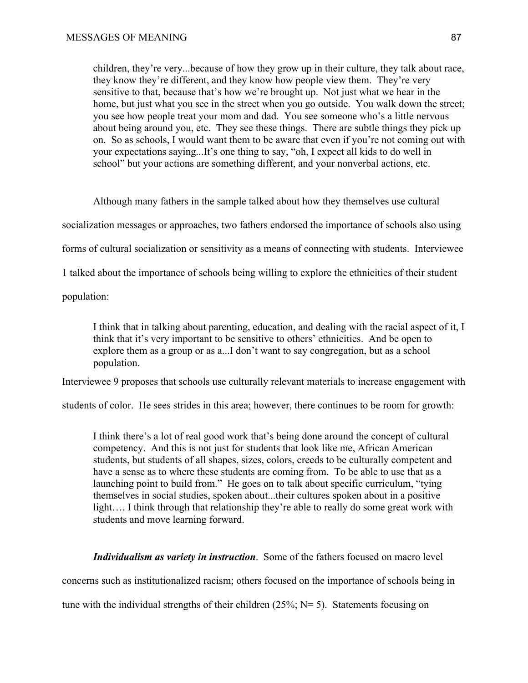children, they're very...because of how they grow up in their culture, they talk about race, they know they're different, and they know how people view them. They're very sensitive to that, because that's how we're brought up. Not just what we hear in the home, but just what you see in the street when you go outside. You walk down the street; you see how people treat your mom and dad. You see someone who's a little nervous about being around you, etc. They see these things. There are subtle things they pick up on. So as schools, I would want them to be aware that even if you're not coming out with your expectations saying...It's one thing to say, "oh, I expect all kids to do well in school" but your actions are something different, and your nonverbal actions, etc.

Although many fathers in the sample talked about how they themselves use cultural socialization messages or approaches, two fathers endorsed the importance of schools also using forms of cultural socialization or sensitivity as a means of connecting with students. Interviewee 1 talked about the importance of schools being willing to explore the ethnicities of their student

population:

I think that in talking about parenting, education, and dealing with the racial aspect of it, I think that it's very important to be sensitive to others' ethnicities. And be open to explore them as a group or as a...I don't want to say congregation, but as a school population.

Interviewee 9 proposes that schools use culturally relevant materials to increase engagement with

students of color. He sees strides in this area; however, there continues to be room for growth:

I think there's a lot of real good work that's being done around the concept of cultural competency. And this is not just for students that look like me, African American students, but students of all shapes, sizes, colors, creeds to be culturally competent and have a sense as to where these students are coming from. To be able to use that as a launching point to build from." He goes on to talk about specific curriculum, "tying themselves in social studies, spoken about...their cultures spoken about in a positive light…. I think through that relationship they're able to really do some great work with students and move learning forward.

*Individualism as variety in instruction*. Some of the fathers focused on macro level

concerns such as institutionalized racism; others focused on the importance of schools being in

tune with the individual strengths of their children  $(25\%; N=5)$ . Statements focusing on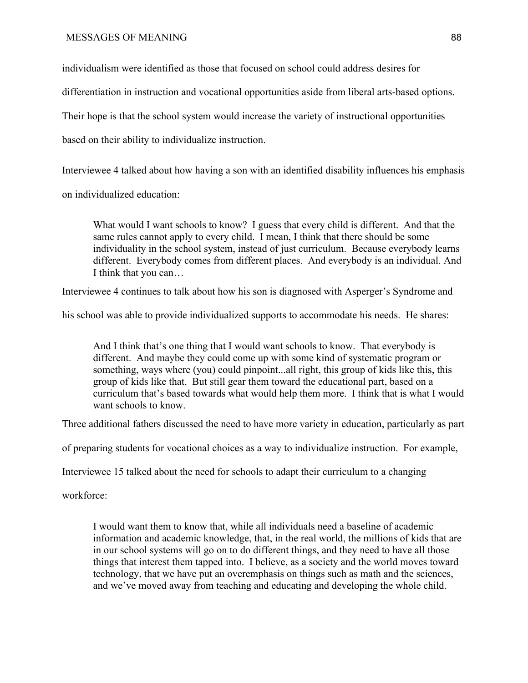individualism were identified as those that focused on school could address desires for

differentiation in instruction and vocational opportunities aside from liberal arts-based options.

Their hope is that the school system would increase the variety of instructional opportunities

based on their ability to individualize instruction.

Interviewee 4 talked about how having a son with an identified disability influences his emphasis

on individualized education:

What would I want schools to know? I guess that every child is different. And that the same rules cannot apply to every child. I mean, I think that there should be some individuality in the school system, instead of just curriculum. Because everybody learns different. Everybody comes from different places. And everybody is an individual. And I think that you can…

Interviewee 4 continues to talk about how his son is diagnosed with Asperger's Syndrome and

his school was able to provide individualized supports to accommodate his needs. He shares:

And I think that's one thing that I would want schools to know. That everybody is different. And maybe they could come up with some kind of systematic program or something, ways where (you) could pinpoint...all right, this group of kids like this, this group of kids like that. But still gear them toward the educational part, based on a curriculum that's based towards what would help them more. I think that is what I would want schools to know.

Three additional fathers discussed the need to have more variety in education, particularly as part

of preparing students for vocational choices as a way to individualize instruction. For example,

Interviewee 15 talked about the need for schools to adapt their curriculum to a changing

workforce:

I would want them to know that, while all individuals need a baseline of academic information and academic knowledge, that, in the real world, the millions of kids that are in our school systems will go on to do different things, and they need to have all those things that interest them tapped into. I believe, as a society and the world moves toward technology, that we have put an overemphasis on things such as math and the sciences, and we've moved away from teaching and educating and developing the whole child.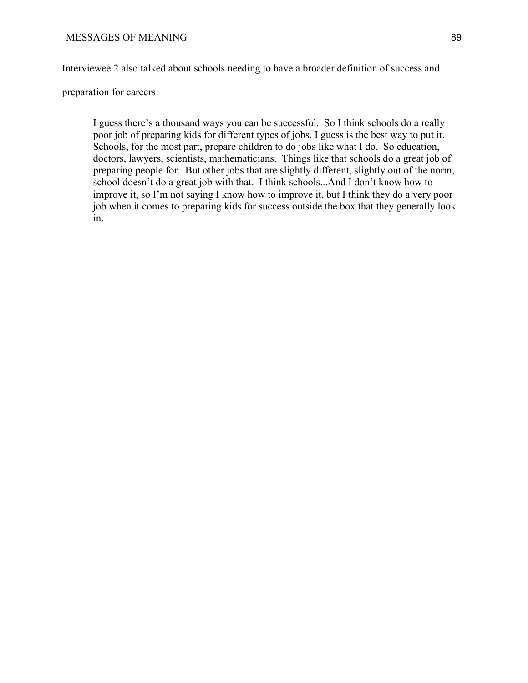Interviewee 2 also talked about schools needing to have a broader definition of success and

preparation for careers:

I guess there's a thousand ways you can be successful. So I think schools do a really poor job of preparing kids for different types of jobs, I guess is the best way to put it. Schools, for the most part, prepare children to do jobs like what I do. So education, doctors, lawyers, scientists, mathematicians. Things like that schools do a great job of preparing people for. But other jobs that are slightly different, slightly out of the norm, school doesn't do a great job with that. I think schools...And I don't know how to improve it, so I'm not saying I know how to improve it, but I think they do a very poor job when it comes to preparing kids for success outside the box that they generally look in.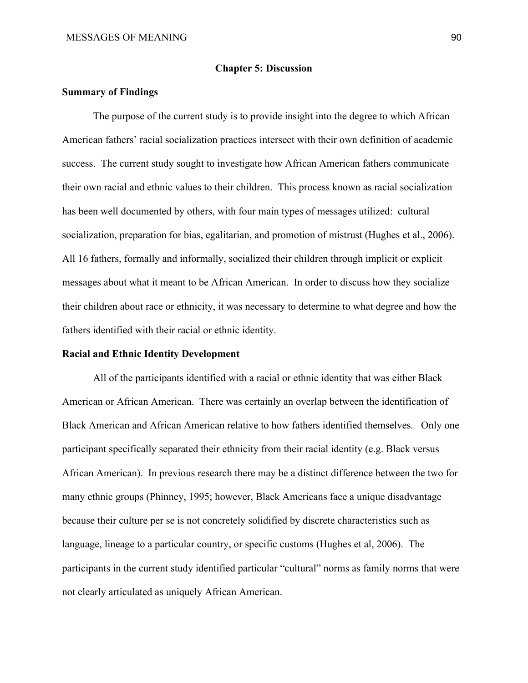### **Chapter 5: Discussion**

## **Summary of Findings**

The purpose of the current study is to provide insight into the degree to which African American fathers' racial socialization practices intersect with their own definition of academic success. The current study sought to investigate how African American fathers communicate their own racial and ethnic values to their children. This process known as racial socialization has been well documented by others, with four main types of messages utilized: cultural socialization, preparation for bias, egalitarian, and promotion of mistrust (Hughes et al., 2006). All 16 fathers, formally and informally, socialized their children through implicit or explicit messages about what it meant to be African American. In order to discuss how they socialize their children about race or ethnicity, it was necessary to determine to what degree and how the fathers identified with their racial or ethnic identity.

# **Racial and Ethnic Identity Development**

All of the participants identified with a racial or ethnic identity that was either Black American or African American. There was certainly an overlap between the identification of Black American and African American relative to how fathers identified themselves. Only one participant specifically separated their ethnicity from their racial identity (e.g. Black versus African American). In previous research there may be a distinct difference between the two for many ethnic groups (Phinney, 1995; however, Black Americans face a unique disadvantage because their culture per se is not concretely solidified by discrete characteristics such as language, lineage to a particular country, or specific customs (Hughes et al, 2006). The participants in the current study identified particular "cultural" norms as family norms that were not clearly articulated as uniquely African American.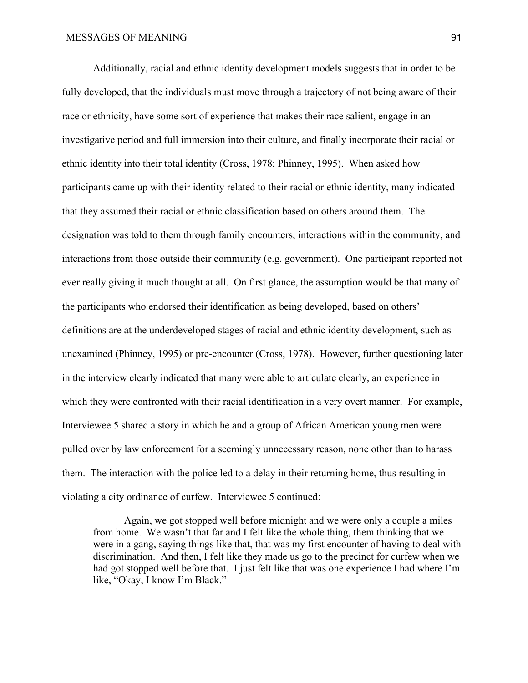Additionally, racial and ethnic identity development models suggests that in order to be fully developed, that the individuals must move through a trajectory of not being aware of their race or ethnicity, have some sort of experience that makes their race salient, engage in an investigative period and full immersion into their culture, and finally incorporate their racial or ethnic identity into their total identity (Cross, 1978; Phinney, 1995). When asked how participants came up with their identity related to their racial or ethnic identity, many indicated that they assumed their racial or ethnic classification based on others around them. The designation was told to them through family encounters, interactions within the community, and interactions from those outside their community (e.g. government). One participant reported not ever really giving it much thought at all. On first glance, the assumption would be that many of the participants who endorsed their identification as being developed, based on others' definitions are at the underdeveloped stages of racial and ethnic identity development, such as unexamined (Phinney, 1995) or pre-encounter (Cross, 1978). However, further questioning later in the interview clearly indicated that many were able to articulate clearly, an experience in which they were confronted with their racial identification in a very overt manner. For example, Interviewee 5 shared a story in which he and a group of African American young men were pulled over by law enforcement for a seemingly unnecessary reason, none other than to harass them. The interaction with the police led to a delay in their returning home, thus resulting in violating a city ordinance of curfew. Interviewee 5 continued:

Again, we got stopped well before midnight and we were only a couple a miles from home. We wasn't that far and I felt like the whole thing, them thinking that we were in a gang, saying things like that, that was my first encounter of having to deal with discrimination. And then, I felt like they made us go to the precinct for curfew when we had got stopped well before that. I just felt like that was one experience I had where I'm like, "Okay, I know I'm Black."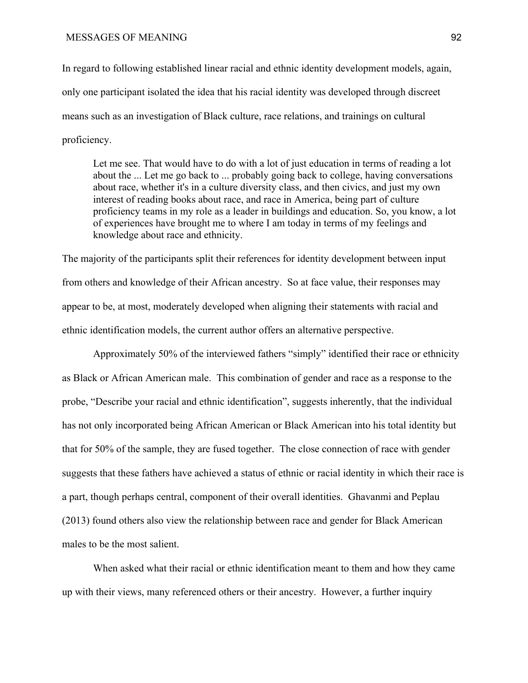In regard to following established linear racial and ethnic identity development models, again, only one participant isolated the idea that his racial identity was developed through discreet means such as an investigation of Black culture, race relations, and trainings on cultural proficiency.

Let me see. That would have to do with a lot of just education in terms of reading a lot about the ... Let me go back to ... probably going back to college, having conversations about race, whether it's in a culture diversity class, and then civics, and just my own interest of reading books about race, and race in America, being part of culture proficiency teams in my role as a leader in buildings and education. So, you know, a lot of experiences have brought me to where I am today in terms of my feelings and knowledge about race and ethnicity.

The majority of the participants split their references for identity development between input from others and knowledge of their African ancestry. So at face value, their responses may appear to be, at most, moderately developed when aligning their statements with racial and ethnic identification models, the current author offers an alternative perspective.

Approximately 50% of the interviewed fathers "simply" identified their race or ethnicity as Black or African American male. This combination of gender and race as a response to the probe, "Describe your racial and ethnic identification", suggests inherently, that the individual has not only incorporated being African American or Black American into his total identity but that for 50% of the sample, they are fused together. The close connection of race with gender suggests that these fathers have achieved a status of ethnic or racial identity in which their race is a part, though perhaps central, component of their overall identities. Ghavanmi and Peplau (2013) found others also view the relationship between race and gender for Black American males to be the most salient.

When asked what their racial or ethnic identification meant to them and how they came up with their views, many referenced others or their ancestry. However, a further inquiry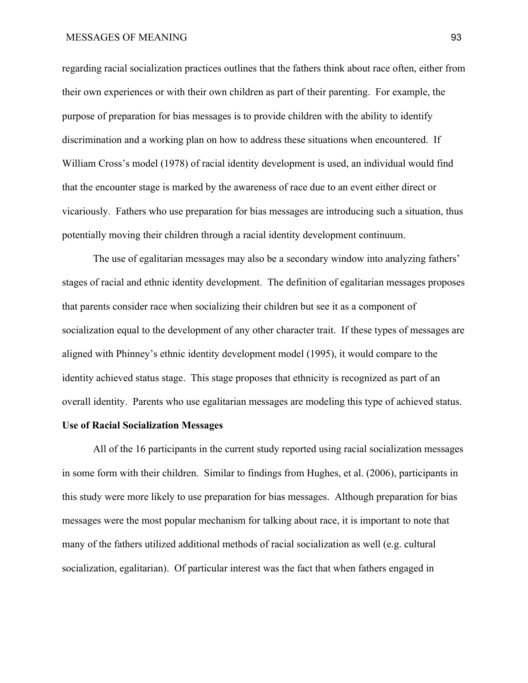regarding racial socialization practices outlines that the fathers think about race often, either from their own experiences or with their own children as part of their parenting. For example, the purpose of preparation for bias messages is to provide children with the ability to identify discrimination and a working plan on how to address these situations when encountered. If William Cross's model (1978) of racial identity development is used, an individual would find that the encounter stage is marked by the awareness of race due to an event either direct or vicariously. Fathers who use preparation for bias messages are introducing such a situation, thus potentially moving their children through a racial identity development continuum.

The use of egalitarian messages may also be a secondary window into analyzing fathers' stages of racial and ethnic identity development. The definition of egalitarian messages proposes that parents consider race when socializing their children but see it as a component of socialization equal to the development of any other character trait. If these types of messages are aligned with Phinney's ethnic identity development model (1995), it would compare to the identity achieved status stage. This stage proposes that ethnicity is recognized as part of an overall identity. Parents who use egalitarian messages are modeling this type of achieved status.

# **Use of Racial Socialization Messages**

All of the 16 participants in the current study reported using racial socialization messages in some form with their children. Similar to findings from Hughes, et al. (2006), participants in this study were more likely to use preparation for bias messages. Although preparation for bias messages were the most popular mechanism for talking about race, it is important to note that many of the fathers utilized additional methods of racial socialization as well (e.g. cultural socialization, egalitarian). Of particular interest was the fact that when fathers engaged in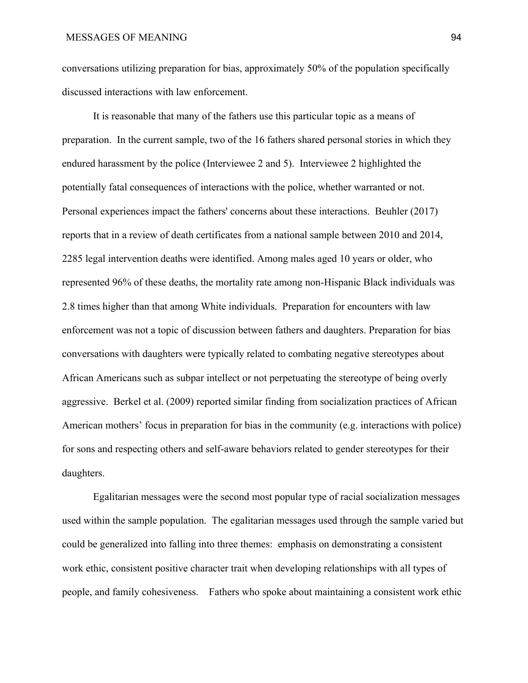conversations utilizing preparation for bias, approximately 50% of the population specifically discussed interactions with law enforcement.

It is reasonable that many of the fathers use this particular topic as a means of preparation. In the current sample, two of the 16 fathers shared personal stories in which they endured harassment by the police (Interviewee 2 and 5). Interviewee 2 highlighted the potentially fatal consequences of interactions with the police, whether warranted or not. Personal experiences impact the fathers' concerns about these interactions. Beuhler (2017) reports that in a review of death certificates from a national sample between 2010 and 2014, 2285 legal intervention deaths were identified. Among males aged 10 years or older, who represented 96% of these deaths, the mortality rate among non-Hispanic Black individuals was 2.8 times higher than that among White individuals. Preparation for encounters with law enforcement was not a topic of discussion between fathers and daughters. Preparation for bias conversations with daughters were typically related to combating negative stereotypes about African Americans such as subpar intellect or not perpetuating the stereotype of being overly aggressive. Berkel et al. (2009) reported similar finding from socialization practices of African American mothers' focus in preparation for bias in the community (e.g. interactions with police) for sons and respecting others and self-aware behaviors related to gender stereotypes for their daughters.

Egalitarian messages were the second most popular type of racial socialization messages used within the sample population. The egalitarian messages used through the sample varied but could be generalized into falling into three themes: emphasis on demonstrating a consistent work ethic, consistent positive character trait when developing relationships with all types of people, and family cohesiveness. Fathers who spoke about maintaining a consistent work ethic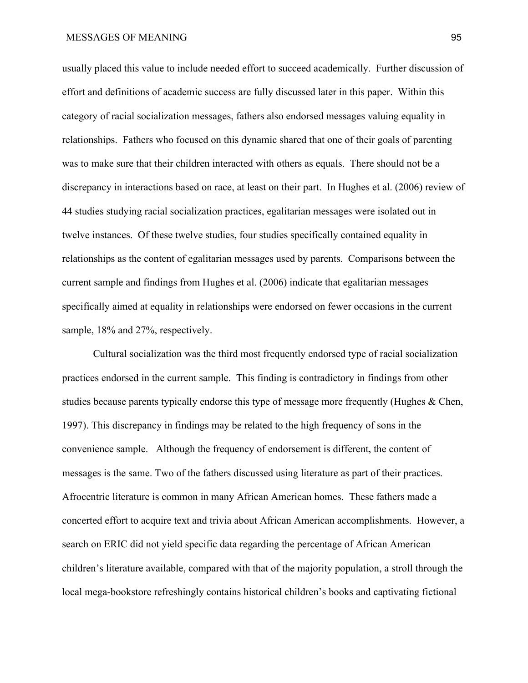usually placed this value to include needed effort to succeed academically. Further discussion of effort and definitions of academic success are fully discussed later in this paper. Within this category of racial socialization messages, fathers also endorsed messages valuing equality in relationships. Fathers who focused on this dynamic shared that one of their goals of parenting was to make sure that their children interacted with others as equals. There should not be a discrepancy in interactions based on race, at least on their part. In Hughes et al. (2006) review of 44 studies studying racial socialization practices, egalitarian messages were isolated out in twelve instances. Of these twelve studies, four studies specifically contained equality in relationships as the content of egalitarian messages used by parents. Comparisons between the current sample and findings from Hughes et al. (2006) indicate that egalitarian messages specifically aimed at equality in relationships were endorsed on fewer occasions in the current sample,  $18\%$  and  $27\%$ , respectively.

Cultural socialization was the third most frequently endorsed type of racial socialization practices endorsed in the current sample. This finding is contradictory in findings from other studies because parents typically endorse this type of message more frequently (Hughes & Chen, 1997). This discrepancy in findings may be related to the high frequency of sons in the convenience sample. Although the frequency of endorsement is different, the content of messages is the same. Two of the fathers discussed using literature as part of their practices. Afrocentric literature is common in many African American homes. These fathers made a concerted effort to acquire text and trivia about African American accomplishments. However, a search on ERIC did not yield specific data regarding the percentage of African American children's literature available, compared with that of the majority population, a stroll through the local mega-bookstore refreshingly contains historical children's books and captivating fictional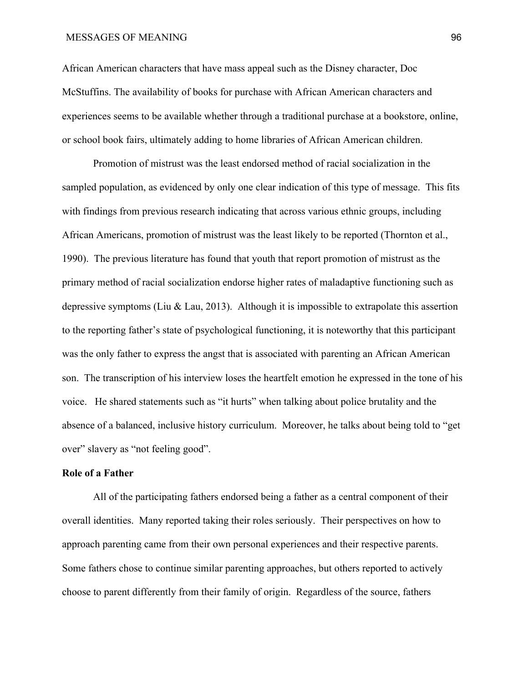African American characters that have mass appeal such as the Disney character, Doc McStuffins. The availability of books for purchase with African American characters and experiences seems to be available whether through a traditional purchase at a bookstore, online, or school book fairs, ultimately adding to home libraries of African American children.

Promotion of mistrust was the least endorsed method of racial socialization in the sampled population, as evidenced by only one clear indication of this type of message. This fits with findings from previous research indicating that across various ethnic groups, including African Americans, promotion of mistrust was the least likely to be reported (Thornton et al., 1990). The previous literature has found that youth that report promotion of mistrust as the primary method of racial socialization endorse higher rates of maladaptive functioning such as depressive symptoms (Liu & Lau, 2013). Although it is impossible to extrapolate this assertion to the reporting father's state of psychological functioning, it is noteworthy that this participant was the only father to express the angst that is associated with parenting an African American son. The transcription of his interview loses the heartfelt emotion he expressed in the tone of his voice. He shared statements such as "it hurts" when talking about police brutality and the absence of a balanced, inclusive history curriculum. Moreover, he talks about being told to "get over" slavery as "not feeling good".

### **Role of a Father**

All of the participating fathers endorsed being a father as a central component of their overall identities. Many reported taking their roles seriously. Their perspectives on how to approach parenting came from their own personal experiences and their respective parents. Some fathers chose to continue similar parenting approaches, but others reported to actively choose to parent differently from their family of origin. Regardless of the source, fathers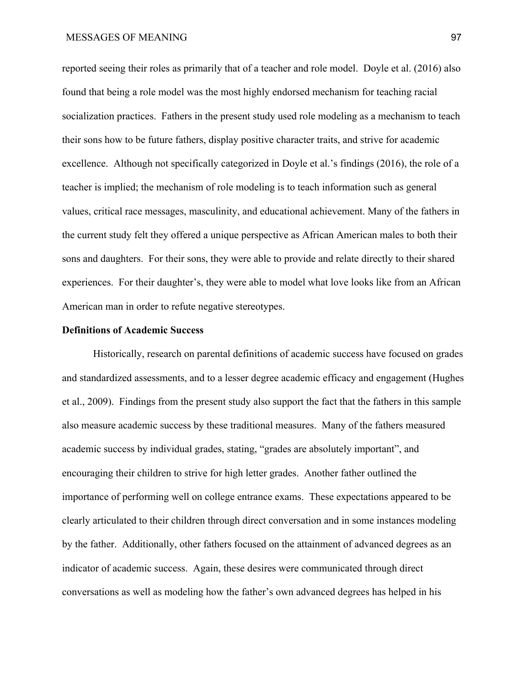reported seeing their roles as primarily that of a teacher and role model. Doyle et al. (2016) also found that being a role model was the most highly endorsed mechanism for teaching racial socialization practices. Fathers in the present study used role modeling as a mechanism to teach their sons how to be future fathers, display positive character traits, and strive for academic excellence. Although not specifically categorized in Doyle et al.'s findings (2016), the role of a teacher is implied; the mechanism of role modeling is to teach information such as general values, critical race messages, masculinity, and educational achievement. Many of the fathers in the current study felt they offered a unique perspective as African American males to both their sons and daughters. For their sons, they were able to provide and relate directly to their shared experiences. For their daughter's, they were able to model what love looks like from an African American man in order to refute negative stereotypes.

### **Definitions of Academic Success**

Historically, research on parental definitions of academic success have focused on grades and standardized assessments, and to a lesser degree academic efficacy and engagement (Hughes et al., 2009). Findings from the present study also support the fact that the fathers in this sample also measure academic success by these traditional measures. Many of the fathers measured academic success by individual grades, stating, "grades are absolutely important", and encouraging their children to strive for high letter grades. Another father outlined the importance of performing well on college entrance exams. These expectations appeared to be clearly articulated to their children through direct conversation and in some instances modeling by the father. Additionally, other fathers focused on the attainment of advanced degrees as an indicator of academic success. Again, these desires were communicated through direct conversations as well as modeling how the father's own advanced degrees has helped in his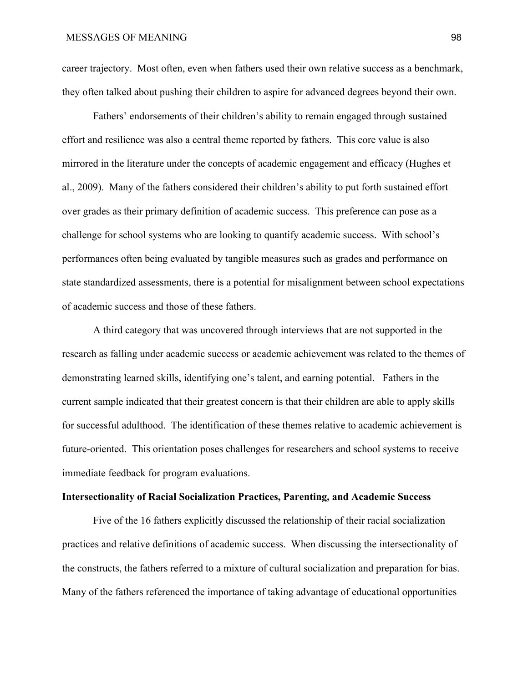career trajectory. Most often, even when fathers used their own relative success as a benchmark, they often talked about pushing their children to aspire for advanced degrees beyond their own.

Fathers' endorsements of their children's ability to remain engaged through sustained effort and resilience was also a central theme reported by fathers. This core value is also mirrored in the literature under the concepts of academic engagement and efficacy (Hughes et al., 2009). Many of the fathers considered their children's ability to put forth sustained effort over grades as their primary definition of academic success. This preference can pose as a challenge for school systems who are looking to quantify academic success. With school's performances often being evaluated by tangible measures such as grades and performance on state standardized assessments, there is a potential for misalignment between school expectations of academic success and those of these fathers.

A third category that was uncovered through interviews that are not supported in the research as falling under academic success or academic achievement was related to the themes of demonstrating learned skills, identifying one's talent, and earning potential. Fathers in the current sample indicated that their greatest concern is that their children are able to apply skills for successful adulthood. The identification of these themes relative to academic achievement is future-oriented. This orientation poses challenges for researchers and school systems to receive immediate feedback for program evaluations.

#### **Intersectionality of Racial Socialization Practices, Parenting, and Academic Success**

Five of the 16 fathers explicitly discussed the relationship of their racial socialization practices and relative definitions of academic success. When discussing the intersectionality of the constructs, the fathers referred to a mixture of cultural socialization and preparation for bias. Many of the fathers referenced the importance of taking advantage of educational opportunities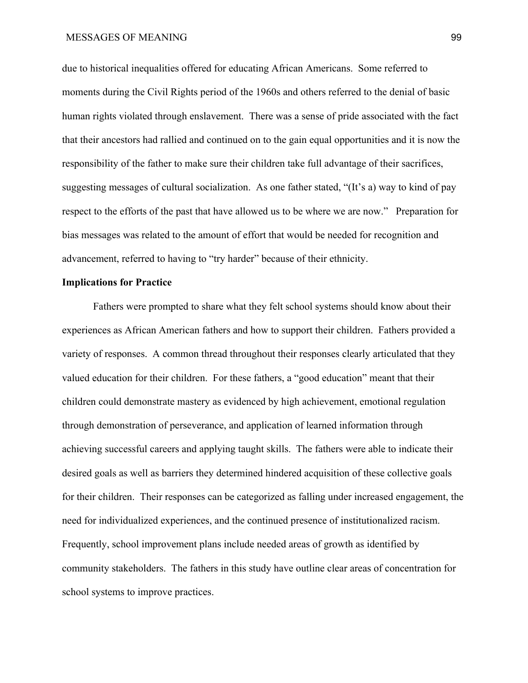due to historical inequalities offered for educating African Americans. Some referred to moments during the Civil Rights period of the 1960s and others referred to the denial of basic human rights violated through enslavement. There was a sense of pride associated with the fact that their ancestors had rallied and continued on to the gain equal opportunities and it is now the responsibility of the father to make sure their children take full advantage of their sacrifices, suggesting messages of cultural socialization. As one father stated, "(It's a) way to kind of pay respect to the efforts of the past that have allowed us to be where we are now." Preparation for bias messages was related to the amount of effort that would be needed for recognition and advancement, referred to having to "try harder" because of their ethnicity.

## **Implications for Practice**

Fathers were prompted to share what they felt school systems should know about their experiences as African American fathers and how to support their children. Fathers provided a variety of responses. A common thread throughout their responses clearly articulated that they valued education for their children. For these fathers, a "good education" meant that their children could demonstrate mastery as evidenced by high achievement, emotional regulation through demonstration of perseverance, and application of learned information through achieving successful careers and applying taught skills. The fathers were able to indicate their desired goals as well as barriers they determined hindered acquisition of these collective goals for their children. Their responses can be categorized as falling under increased engagement, the need for individualized experiences, and the continued presence of institutionalized racism. Frequently, school improvement plans include needed areas of growth as identified by community stakeholders. The fathers in this study have outline clear areas of concentration for school systems to improve practices.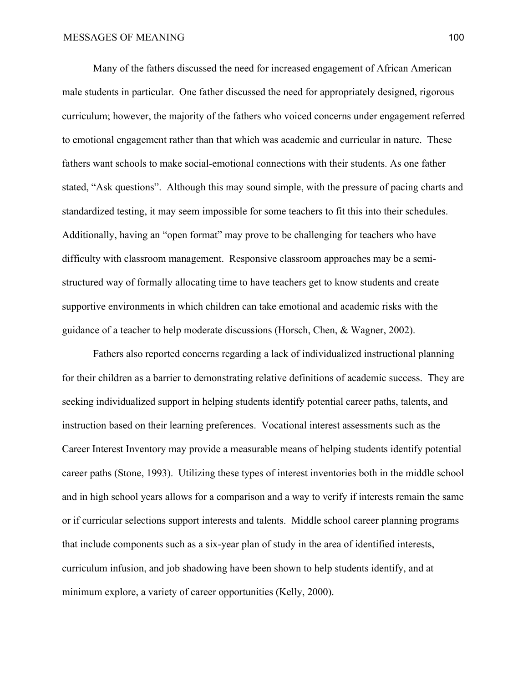Many of the fathers discussed the need for increased engagement of African American male students in particular. One father discussed the need for appropriately designed, rigorous curriculum; however, the majority of the fathers who voiced concerns under engagement referred to emotional engagement rather than that which was academic and curricular in nature. These fathers want schools to make social-emotional connections with their students. As one father stated, "Ask questions". Although this may sound simple, with the pressure of pacing charts and standardized testing, it may seem impossible for some teachers to fit this into their schedules. Additionally, having an "open format" may prove to be challenging for teachers who have difficulty with classroom management. Responsive classroom approaches may be a semistructured way of formally allocating time to have teachers get to know students and create supportive environments in which children can take emotional and academic risks with the guidance of a teacher to help moderate discussions (Horsch, Chen, & Wagner, 2002).

Fathers also reported concerns regarding a lack of individualized instructional planning for their children as a barrier to demonstrating relative definitions of academic success. They are seeking individualized support in helping students identify potential career paths, talents, and instruction based on their learning preferences. Vocational interest assessments such as the Career Interest Inventory may provide a measurable means of helping students identify potential career paths (Stone, 1993). Utilizing these types of interest inventories both in the middle school and in high school years allows for a comparison and a way to verify if interests remain the same or if curricular selections support interests and talents. Middle school career planning programs that include components such as a six-year plan of study in the area of identified interests, curriculum infusion, and job shadowing have been shown to help students identify, and at minimum explore, a variety of career opportunities (Kelly, 2000).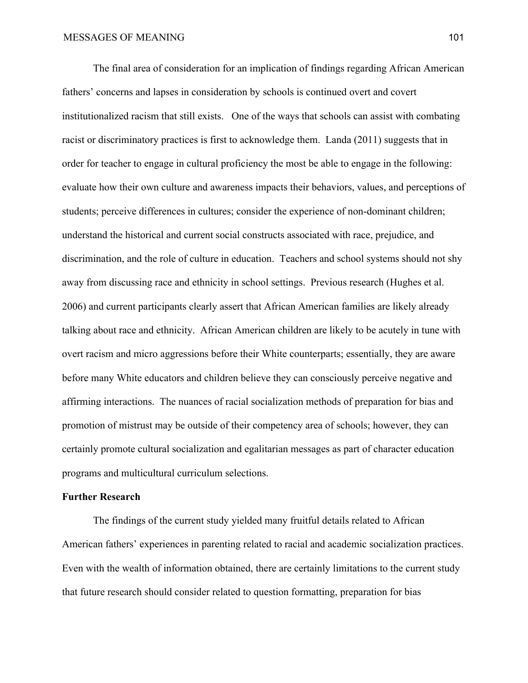The final area of consideration for an implication of findings regarding African American fathers' concerns and lapses in consideration by schools is continued overt and covert institutionalized racism that still exists. One of the ways that schools can assist with combating racist or discriminatory practices is first to acknowledge them. Landa (2011) suggests that in order for teacher to engage in cultural proficiency the most be able to engage in the following: evaluate how their own culture and awareness impacts their behaviors, values, and perceptions of students; perceive differences in cultures; consider the experience of non-dominant children; understand the historical and current social constructs associated with race, prejudice, and discrimination, and the role of culture in education. Teachers and school systems should not shy away from discussing race and ethnicity in school settings. Previous research (Hughes et al. 2006) and current participants clearly assert that African American families are likely already talking about race and ethnicity. African American children are likely to be acutely in tune with overt racism and micro aggressions before their White counterparts; essentially, they are aware before many White educators and children believe they can consciously perceive negative and affirming interactions. The nuances of racial socialization methods of preparation for bias and promotion of mistrust may be outside of their competency area of schools; however, they can certainly promote cultural socialization and egalitarian messages as part of character education programs and multicultural curriculum selections.

### **Further Research**

The findings of the current study yielded many fruitful details related to African American fathers' experiences in parenting related to racial and academic socialization practices. Even with the wealth of information obtained, there are certainly limitations to the current study that future research should consider related to question formatting, preparation for bias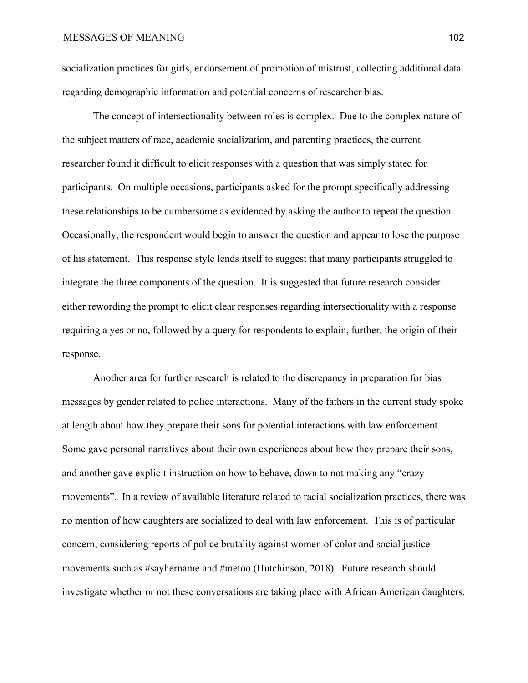socialization practices for girls, endorsement of promotion of mistrust, collecting additional data regarding demographic information and potential concerns of researcher bias.

The concept of intersectionality between roles is complex. Due to the complex nature of the subject matters of race, academic socialization, and parenting practices, the current researcher found it difficult to elicit responses with a question that was simply stated for participants. On multiple occasions, participants asked for the prompt specifically addressing these relationships to be cumbersome as evidenced by asking the author to repeat the question. Occasionally, the respondent would begin to answer the question and appear to lose the purpose of his statement. This response style lends itself to suggest that many participants struggled to integrate the three components of the question. It is suggested that future research consider either rewording the prompt to elicit clear responses regarding intersectionality with a response requiring a yes or no, followed by a query for respondents to explain, further, the origin of their response.

Another area for further research is related to the discrepancy in preparation for bias messages by gender related to police interactions. Many of the fathers in the current study spoke at length about how they prepare their sons for potential interactions with law enforcement. Some gave personal narratives about their own experiences about how they prepare their sons, and another gave explicit instruction on how to behave, down to not making any "crazy movements". In a review of available literature related to racial socialization practices, there was no mention of how daughters are socialized to deal with law enforcement. This is of particular concern, considering reports of police brutality against women of color and social justice movements such as #sayhername and #metoo (Hutchinson, 2018). Future research should investigate whether or not these conversations are taking place with African American daughters.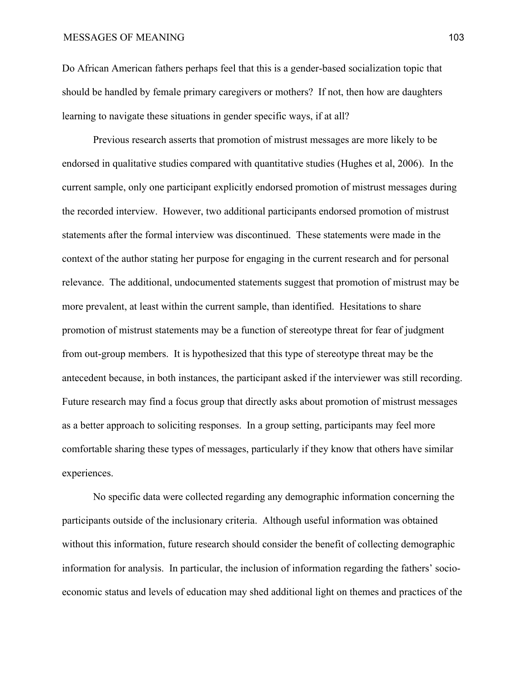Do African American fathers perhaps feel that this is a gender-based socialization topic that should be handled by female primary caregivers or mothers? If not, then how are daughters learning to navigate these situations in gender specific ways, if at all?

Previous research asserts that promotion of mistrust messages are more likely to be endorsed in qualitative studies compared with quantitative studies (Hughes et al, 2006). In the current sample, only one participant explicitly endorsed promotion of mistrust messages during the recorded interview. However, two additional participants endorsed promotion of mistrust statements after the formal interview was discontinued. These statements were made in the context of the author stating her purpose for engaging in the current research and for personal relevance. The additional, undocumented statements suggest that promotion of mistrust may be more prevalent, at least within the current sample, than identified. Hesitations to share promotion of mistrust statements may be a function of stereotype threat for fear of judgment from out-group members. It is hypothesized that this type of stereotype threat may be the antecedent because, in both instances, the participant asked if the interviewer was still recording. Future research may find a focus group that directly asks about promotion of mistrust messages as a better approach to soliciting responses. In a group setting, participants may feel more comfortable sharing these types of messages, particularly if they know that others have similar experiences.

No specific data were collected regarding any demographic information concerning the participants outside of the inclusionary criteria. Although useful information was obtained without this information, future research should consider the benefit of collecting demographic information for analysis. In particular, the inclusion of information regarding the fathers' socioeconomic status and levels of education may shed additional light on themes and practices of the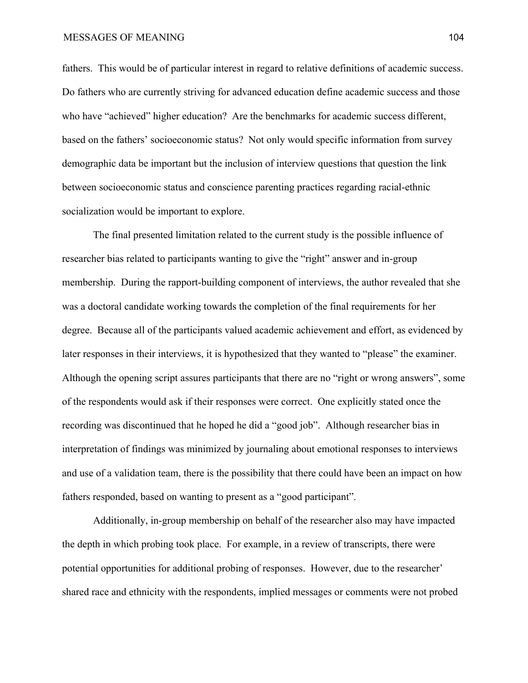fathers. This would be of particular interest in regard to relative definitions of academic success. Do fathers who are currently striving for advanced education define academic success and those who have "achieved" higher education? Are the benchmarks for academic success different, based on the fathers' socioeconomic status? Not only would specific information from survey demographic data be important but the inclusion of interview questions that question the link between socioeconomic status and conscience parenting practices regarding racial-ethnic socialization would be important to explore.

The final presented limitation related to the current study is the possible influence of researcher bias related to participants wanting to give the "right" answer and in-group membership. During the rapport-building component of interviews, the author revealed that she was a doctoral candidate working towards the completion of the final requirements for her degree. Because all of the participants valued academic achievement and effort, as evidenced by later responses in their interviews, it is hypothesized that they wanted to "please" the examiner. Although the opening script assures participants that there are no "right or wrong answers", some of the respondents would ask if their responses were correct. One explicitly stated once the recording was discontinued that he hoped he did a "good job". Although researcher bias in interpretation of findings was minimized by journaling about emotional responses to interviews and use of a validation team, there is the possibility that there could have been an impact on how fathers responded, based on wanting to present as a "good participant".

Additionally, in-group membership on behalf of the researcher also may have impacted the depth in which probing took place. For example, in a review of transcripts, there were potential opportunities for additional probing of responses. However, due to the researcher' shared race and ethnicity with the respondents, implied messages or comments were not probed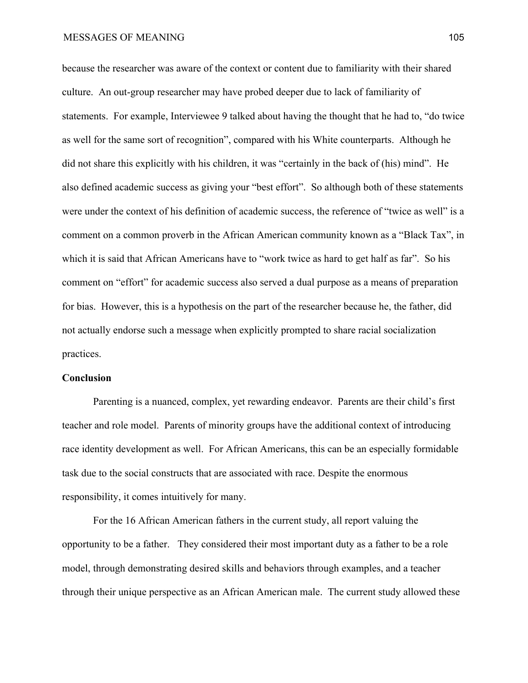because the researcher was aware of the context or content due to familiarity with their shared culture. An out-group researcher may have probed deeper due to lack of familiarity of statements. For example, Interviewee 9 talked about having the thought that he had to, "do twice as well for the same sort of recognition", compared with his White counterparts. Although he did not share this explicitly with his children, it was "certainly in the back of (his) mind". He also defined academic success as giving your "best effort". So although both of these statements were under the context of his definition of academic success, the reference of "twice as well" is a comment on a common proverb in the African American community known as a "Black Tax", in which it is said that African Americans have to "work twice as hard to get half as far". So his comment on "effort" for academic success also served a dual purpose as a means of preparation for bias. However, this is a hypothesis on the part of the researcher because he, the father, did not actually endorse such a message when explicitly prompted to share racial socialization practices.

## **Conclusion**

Parenting is a nuanced, complex, yet rewarding endeavor. Parents are their child's first teacher and role model. Parents of minority groups have the additional context of introducing race identity development as well. For African Americans, this can be an especially formidable task due to the social constructs that are associated with race. Despite the enormous responsibility, it comes intuitively for many.

For the 16 African American fathers in the current study, all report valuing the opportunity to be a father. They considered their most important duty as a father to be a role model, through demonstrating desired skills and behaviors through examples, and a teacher through their unique perspective as an African American male. The current study allowed these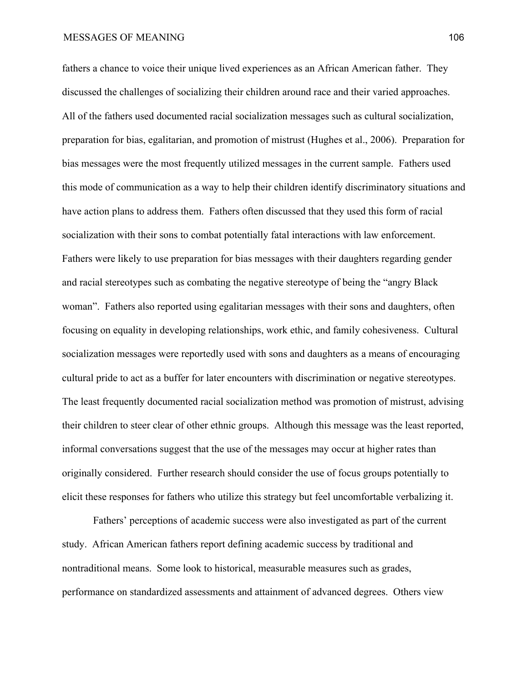fathers a chance to voice their unique lived experiences as an African American father. They discussed the challenges of socializing their children around race and their varied approaches. All of the fathers used documented racial socialization messages such as cultural socialization, preparation for bias, egalitarian, and promotion of mistrust (Hughes et al., 2006). Preparation for bias messages were the most frequently utilized messages in the current sample. Fathers used this mode of communication as a way to help their children identify discriminatory situations and have action plans to address them. Fathers often discussed that they used this form of racial socialization with their sons to combat potentially fatal interactions with law enforcement. Fathers were likely to use preparation for bias messages with their daughters regarding gender and racial stereotypes such as combating the negative stereotype of being the "angry Black woman". Fathers also reported using egalitarian messages with their sons and daughters, often focusing on equality in developing relationships, work ethic, and family cohesiveness. Cultural socialization messages were reportedly used with sons and daughters as a means of encouraging cultural pride to act as a buffer for later encounters with discrimination or negative stereotypes. The least frequently documented racial socialization method was promotion of mistrust, advising their children to steer clear of other ethnic groups. Although this message was the least reported, informal conversations suggest that the use of the messages may occur at higher rates than originally considered. Further research should consider the use of focus groups potentially to elicit these responses for fathers who utilize this strategy but feel uncomfortable verbalizing it.

Fathers' perceptions of academic success were also investigated as part of the current study. African American fathers report defining academic success by traditional and nontraditional means. Some look to historical, measurable measures such as grades, performance on standardized assessments and attainment of advanced degrees. Others view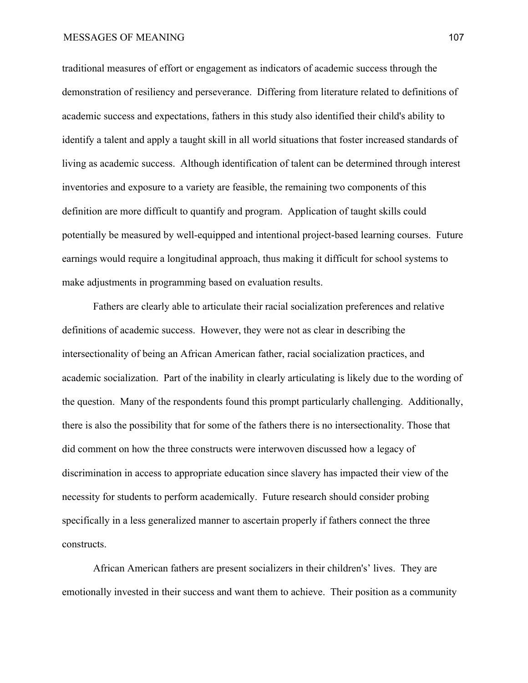#### MESSAGES OF MEANING 107

traditional measures of effort or engagement as indicators of academic success through the demonstration of resiliency and perseverance. Differing from literature related to definitions of academic success and expectations, fathers in this study also identified their child's ability to identify a talent and apply a taught skill in all world situations that foster increased standards of living as academic success. Although identification of talent can be determined through interest inventories and exposure to a variety are feasible, the remaining two components of this definition are more difficult to quantify and program. Application of taught skills could potentially be measured by well-equipped and intentional project-based learning courses. Future earnings would require a longitudinal approach, thus making it difficult for school systems to make adjustments in programming based on evaluation results.

Fathers are clearly able to articulate their racial socialization preferences and relative definitions of academic success. However, they were not as clear in describing the intersectionality of being an African American father, racial socialization practices, and academic socialization. Part of the inability in clearly articulating is likely due to the wording of the question. Many of the respondents found this prompt particularly challenging. Additionally, there is also the possibility that for some of the fathers there is no intersectionality. Those that did comment on how the three constructs were interwoven discussed how a legacy of discrimination in access to appropriate education since slavery has impacted their view of the necessity for students to perform academically. Future research should consider probing specifically in a less generalized manner to ascertain properly if fathers connect the three constructs.

African American fathers are present socializers in their children's' lives. They are emotionally invested in their success and want them to achieve. Their position as a community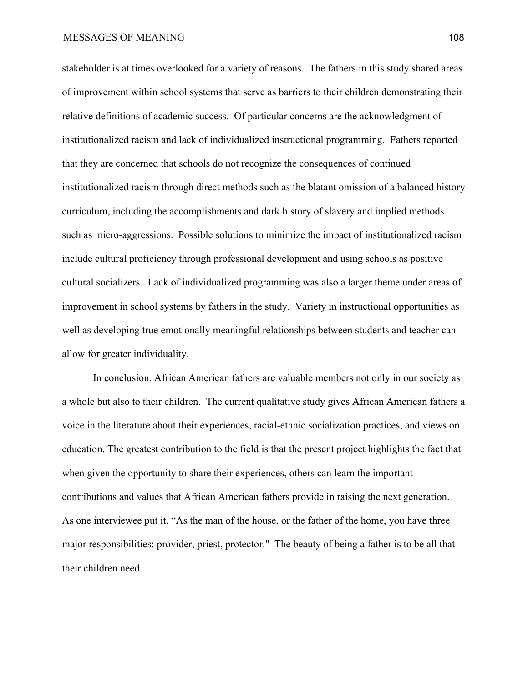stakeholder is at times overlooked for a variety of reasons. The fathers in this study shared areas of improvement within school systems that serve as barriers to their children demonstrating their relative definitions of academic success. Of particular concerns are the acknowledgment of institutionalized racism and lack of individualized instructional programming. Fathers reported that they are concerned that schools do not recognize the consequences of continued institutionalized racism through direct methods such as the blatant omission of a balanced history curriculum, including the accomplishments and dark history of slavery and implied methods such as micro-aggressions. Possible solutions to minimize the impact of institutionalized racism include cultural proficiency through professional development and using schools as positive cultural socializers. Lack of individualized programming was also a larger theme under areas of improvement in school systems by fathers in the study. Variety in instructional opportunities as well as developing true emotionally meaningful relationships between students and teacher can allow for greater individuality.

In conclusion, African American fathers are valuable members not only in our society as a whole but also to their children. The current qualitative study gives African American fathers a voice in the literature about their experiences, racial-ethnic socialization practices, and views on education. The greatest contribution to the field is that the present project highlights the fact that when given the opportunity to share their experiences, others can learn the important contributions and values that African American fathers provide in raising the next generation. As one interviewee put it, "As the man of the house, or the father of the home, you have three major responsibilities: provider, priest, protector." The beauty of being a father is to be all that their children need.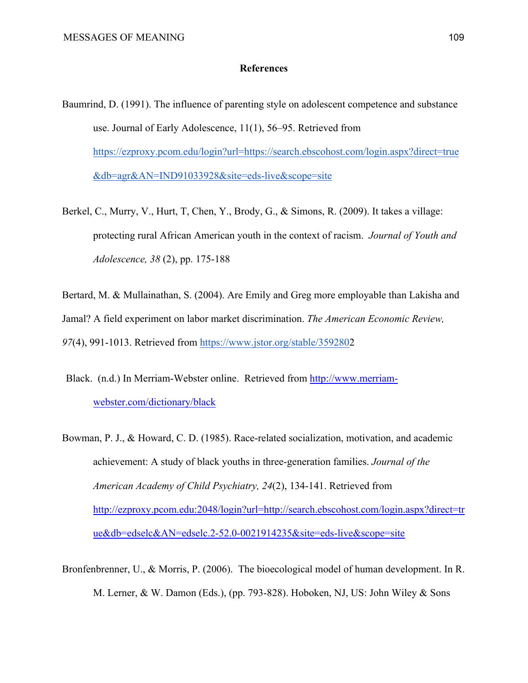#### **References**

- Baumrind, D. (1991). The influence of parenting style on adolescent competence and substance use. Journal of Early Adolescence, 11(1), 56–95. Retrieved from [https://ezproxy.pcom.edu/login?url=https://search.ebscohost.com/login.aspx?direct=true](https://ezproxy.pcom.edu/login?url=https://search.ebscohost.com/login.aspx?direct=true&db=agr&AN=IND91033928&site=eds-live&scope=site) [&db=agr&AN=IND91033928&site=eds-live&scope=site](https://ezproxy.pcom.edu/login?url=https://search.ebscohost.com/login.aspx?direct=true&db=agr&AN=IND91033928&site=eds-live&scope=site)
- Berkel, C., Murry, V., Hurt, T, Chen, Y., Brody, G., & Simons, R. (2009). It takes a village: protecting rural African American youth in the context of racism. *Journal of Youth and Adolescence, 38* (2), pp. 175-188

Bertard, M. & Mullainathan, S. (2004). Are Emily and Greg more employable than Lakisha and Jamal? A field experiment on labor market discrimination. *The American Economic Review, 97*(4), 991-1013. Retrieved from [https://www.jstor.org/stable/359280](https://www.jstor.org/stable/3592802)2

- Black. (n.d.) In Merriam-Webster online. Retrieved from [http://www.merriam](http://www.merriam-webster.com/dictionary/black)[webster.com/dictionary/black](http://www.merriam-webster.com/dictionary/black)
- Bowman, P. J., & Howard, C. D. (1985). Race-related socialization, motivation, and academic achievement: A study of black youths in three-generation families. *Journal of the American Academy of Child Psychiatry, 24*(2), 134-141. Retrieved from [http://ezproxy.pcom.edu:2048/login?url=http://search.ebscohost.com/login.aspx?direct=tr](http://ezproxy.pcom.edu:2048/login?url=http://search.ebscohost.com/login.aspx?direct=true&db=edselc&AN=edselc.2-52.0-0021914235&site=eds-live&scope=site) [ue&db=edselc&AN=edselc.2-52.0-0021914235&site=eds-live&scope=site](http://ezproxy.pcom.edu:2048/login?url=http://search.ebscohost.com/login.aspx?direct=true&db=edselc&AN=edselc.2-52.0-0021914235&site=eds-live&scope=site)

Bronfenbrenner, U., & Morris, P. (2006). The bioecological model of human development. In R. M. Lerner, & W. Damon (Eds.), (pp. 793-828). Hoboken, NJ, US: John Wiley & Sons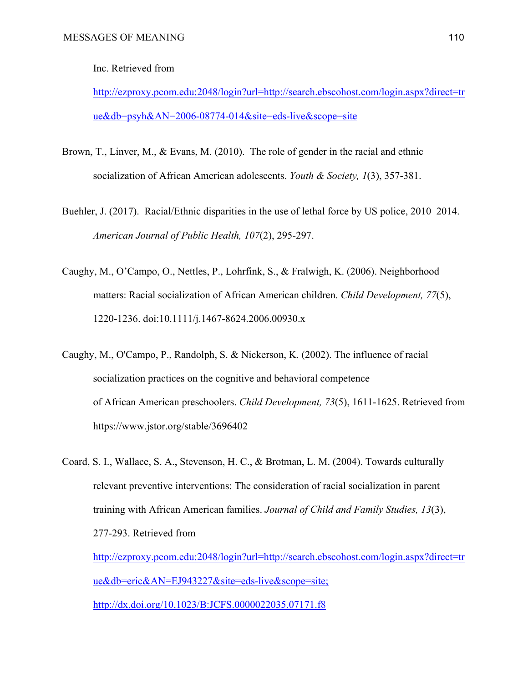Inc. Retrieved from

[http://ezproxy.pcom.edu:2048/login?url=http://search.ebscohost.com/login.aspx?direct=tr](http://ezproxy.pcom.edu:2048/login?url=http://search.ebscohost.com/login.aspx?direct=true&db=psyh&AN=2006-08774-014&site=eds-live&scope=site) [ue&db=psyh&AN=2006-08774-014&site=eds-live&scope=site](http://ezproxy.pcom.edu:2048/login?url=http://search.ebscohost.com/login.aspx?direct=true&db=psyh&AN=2006-08774-014&site=eds-live&scope=site)

- Brown, T., Linver, M., & Evans, M. (2010). The role of gender in the racial and ethnic socialization of African American adolescents. *Youth & Society, 1*(3), 357-381.
- Buehler, J. (2017). Racial/Ethnic disparities in the use of lethal force by US police, 2010–2014. *American Journal of Public Health, 107*(2), 295-297.
- Caughy, M., O'Campo, O., Nettles, P., Lohrfink, S., & Fralwigh, K. (2006). Neighborhood matters: Racial socialization of African American children. *Child Development, 77*(5), 1220-1236. doi:10.1111/j.1467-8624.2006.00930.x
- Caughy, M., O'Campo, P., Randolph, S. & Nickerson, K. (2002). The influence of racial socialization practices on the cognitive and behavioral competence of African American preschoolers. *Child Development, 73*(5), 1611-1625. Retrieved from https://www.jstor.org/stable/3696402
- Coard, S. I., Wallace, S. A., Stevenson, H. C., & Brotman, L. M. (2004). Towards culturally relevant preventive interventions: The consideration of racial socialization in parent training with African American families. *Journal of Child and Family Studies, 13*(3), 277-293. Retrieved from [http://ezproxy.pcom.edu:2048/login?url=http://search.ebscohost.com/login.aspx?direct=tr](http://ezproxy.pcom.edu:2048/login?url=http://search.ebscohost.com/login.aspx?direct=true&db=eric&AN=EJ943227&site=eds-live&scope=site;)

[ue&db=eric&AN=EJ943227&site=eds-live&scope=site;](http://ezproxy.pcom.edu:2048/login?url=http://search.ebscohost.com/login.aspx?direct=true&db=eric&AN=EJ943227&site=eds-live&scope=site;)

<http://dx.doi.org/10.1023/B:JCFS.0000022035.07171.f8>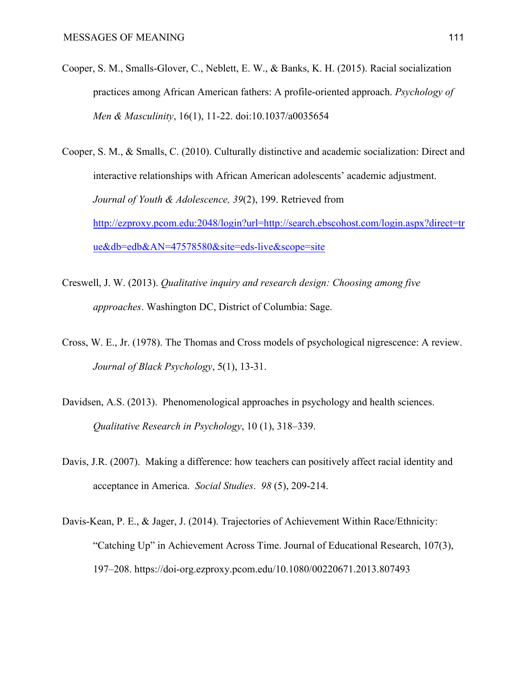- Cooper, S. M., Smalls-Glover, C., Neblett, E. W., & Banks, K. H. (2015). Racial socialization practices among African American fathers: A profile-oriented approach. *Psychology of Men & Masculinity*, 16(1), 11-22. doi:10.1037/a0035654
- Cooper, S. M., & Smalls, C. (2010). Culturally distinctive and academic socialization: Direct and interactive relationships with African American adolescents' academic adjustment. *Journal of Youth & Adolescence, 39*(2), 199. Retrieved from [http://ezproxy.pcom.edu:2048/login?url=http://search.ebscohost.com/login.aspx?direct=tr](http://ezproxy.pcom.edu:2048/login?url=http://search.ebscohost.com/login.aspx?direct=true&db=edb&AN=47578580&site=eds-live&scope=site) [ue&db=edb&AN=47578580&site=eds-live&scope=site](http://ezproxy.pcom.edu:2048/login?url=http://search.ebscohost.com/login.aspx?direct=true&db=edb&AN=47578580&site=eds-live&scope=site)
- Creswell, J. W. (2013). *Qualitative inquiry and research design: Choosing among five approaches*. Washington DC, District of Columbia: Sage.
- Cross, W. E., Jr. (1978). The Thomas and Cross models of psychological nigrescence: A review. *Journal of Black Psychology*, 5(1), 13-31.
- Davidsen, A.S. (2013). Phenomenological approaches in psychology and health sciences. *Qualitative Research in Psychology*, 10 (1), 318–339.
- Davis, J.R. (2007). Making a difference: how teachers can positively affect racial identity and acceptance in America. *Social Studies*. *98* (5), 209-214.
- Davis-Kean, P. E., & Jager, J. (2014). Trajectories of Achievement Within Race/Ethnicity: "Catching Up" in Achievement Across Time. Journal of Educational Research, 107(3), 197–208. https://doi-org.ezproxy.pcom.edu/10.1080/00220671.2013.807493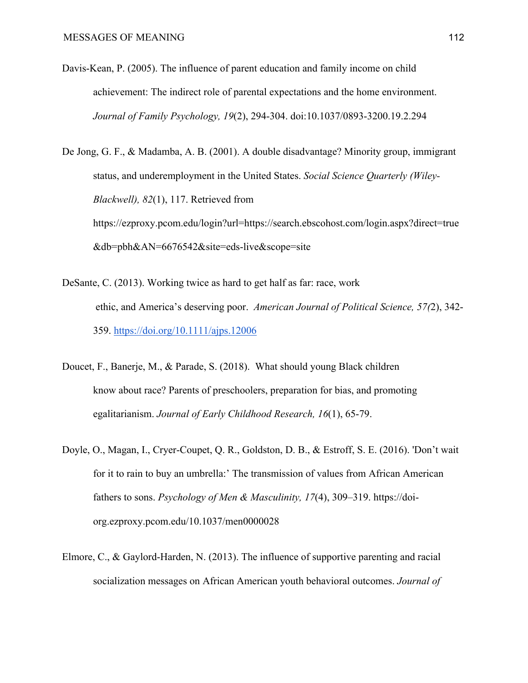Davis-Kean, P. (2005). The influence of parent education and family income on child achievement: The indirect role of parental expectations and the home environment. *Journal of Family Psychology, 19*(2), 294-304. doi:10.1037/0893-3200.19.2.294

De Jong, G. F., & Madamba, A. B. (2001). A double disadvantage? Minority group, immigrant status, and underemployment in the United States. *Social Science Quarterly (Wiley-Blackwell), 82*(1), 117. Retrieved from https://ezproxy.pcom.edu/login?url=https://search.ebscohost.com/login.aspx?direct=true &db=pbh&AN=6676542&site=eds-live&scope=site

- DeSante, C. (2013). Working twice as hard to get half as far: race, work ethic, and America's deserving poor. *American Journal of Political Science, 57(*2), 342- 359. <https://doi.org/10.1111/ajps.12006>
- Doucet, F., Banerje, M., & Parade, S. (2018). What should young Black children know about race? Parents of preschoolers, preparation for bias, and promoting egalitarianism. *Journal of Early Childhood Research, 16*(1), 65-79.
- Doyle, O., Magan, I., Cryer-Coupet, Q. R., Goldston, D. B., & Estroff, S. E. (2016). 'Don't wait for it to rain to buy an umbrella:' The transmission of values from African American fathers to sons. *Psychology of Men & Masculinity, 17*(4), 309–319. https://doiorg.ezproxy.pcom.edu/10.1037/men0000028
- Elmore, C., & Gaylord-Harden, N. (2013). The influence of supportive parenting and racial socialization messages on African American youth behavioral outcomes. *Journal of*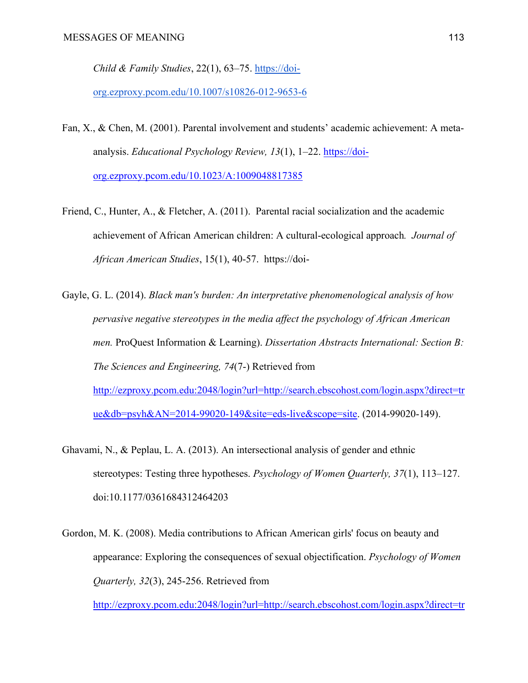*Child & Family Studies*, 22(1), 63–75. [https://doi-](https://doi-org.ezproxy.pcom.edu/10.1007/s10826-012-9653-6)

[org.ezproxy.pcom.edu/10.1007/s10826-012-9653-6](https://doi-org.ezproxy.pcom.edu/10.1007/s10826-012-9653-6)

- Fan, X., & Chen, M. (2001). Parental involvement and students' academic achievement: A metaanalysis. *Educational Psychology Review, 13*(1), 1–22. [https://doi](https://doi-org.ezproxy.pcom.edu/10.1023/A:1009048817385)[org.ezproxy.pcom.edu/10.1023/A:1009048817385](https://doi-org.ezproxy.pcom.edu/10.1023/A:1009048817385)
- Friend, C., Hunter, A., & Fletcher, A. (2011). Parental racial socialization and the academic achievement of African American children: A cultural-ecological approach*. Journal of African American Studies*, 15(1), 40-57. https://doi-
- Gayle, G. L. (2014). *Black man's burden: An interpretative phenomenological analysis of how pervasive negative stereotypes in the media affect the psychology of African American men.* ProQuest Information & Learning). *Dissertation Abstracts International: Section B: The Sciences and Engineering, 74*(7-) Retrieved from [http://ezproxy.pcom.edu:2048/login?url=http://search.ebscohost.com/login.aspx?direct=tr](http://ezproxy.pcom.edu:2048/login?url=http://search.ebscohost.com/login.aspx?direct=true&db=psyh&AN=2014-99020-149&site=eds-live&scope=site) [ue&db=psyh&AN=2014-99020-149&site=eds-live&scope=site](http://ezproxy.pcom.edu:2048/login?url=http://search.ebscohost.com/login.aspx?direct=true&db=psyh&AN=2014-99020-149&site=eds-live&scope=site). (2014-99020-149).
- Ghavami, N., & Peplau, L. A. (2013). An intersectional analysis of gender and ethnic stereotypes: Testing three hypotheses. *Psychology of Women Quarterly, 37*(1), 113–127. doi:10.1177/0361684312464203
- Gordon, M. K. (2008). Media contributions to African American girls' focus on beauty and appearance: Exploring the consequences of sexual objectification. *Psychology of Women Quarterly, 32*(3), 245-256. Retrieved from

[http://ezproxy.pcom.edu:2048/login?url=http://search.ebscohost.com/login.aspx?direct=tr](http://ezproxy.pcom.edu:2048/login?url=http://search.ebscohost.com/login.aspx?direct=true&db=eric&AN=EJ806138&site=eds-live&scope=site;)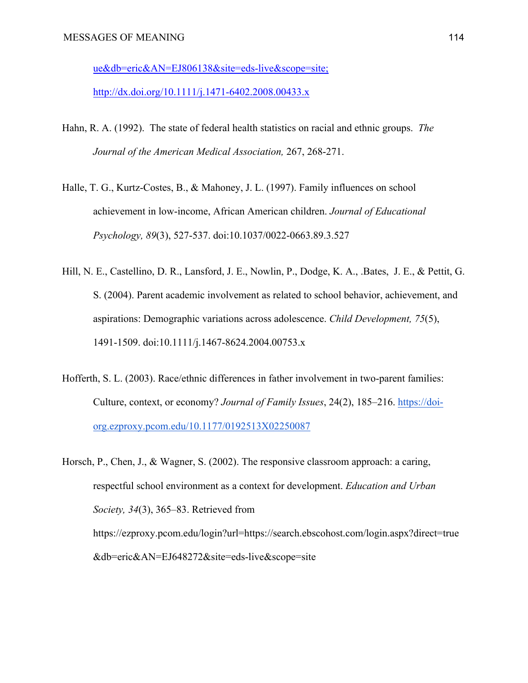[ue&db=eric&AN=EJ806138&site=eds-live&scope=site;](http://ezproxy.pcom.edu:2048/login?url=http://search.ebscohost.com/login.aspx?direct=true&db=eric&AN=EJ806138&site=eds-live&scope=site;)

<http://dx.doi.org/10.1111/j.1471-6402.2008.00433.x>

- Hahn, R. A. (1992). The state of federal health statistics on racial and ethnic groups. *The Journal of the American Medical Association,* 267, 268-271.
- Halle, T. G., Kurtz-Costes, B., & Mahoney, J. L. (1997). Family influences on school achievement in low-income, African American children. *Journal of Educational Psychology, 89*(3), 527-537. doi:10.1037/0022-0663.89.3.527
- Hill, N. E., Castellino, D. R., Lansford, J. E., Nowlin, P., Dodge, K. A., .Bates, J. E., & Pettit, G. S. (2004). Parent academic involvement as related to school behavior, achievement, and aspirations: Demographic variations across adolescence. *Child Development, 75*(5), 1491-1509. doi:10.1111/j.1467-8624.2004.00753.x
- Hofferth, S. L. (2003). Race/ethnic differences in father involvement in two-parent families: Culture, context, or economy? *Journal of Family Issues*, 24(2), 185–216. [https://doi](https://doi-org.ezproxy.pcom.edu/10.1177/0192513X02250087)[org.ezproxy.pcom.edu/10.1177/0192513X02250087](https://doi-org.ezproxy.pcom.edu/10.1177/0192513X02250087)

Horsch, P., Chen, J., & Wagner, S. (2002). The responsive classroom approach: a caring, respectful school environment as a context for development. *Education and Urban Society, 34*(3), 365–83. Retrieved from https://ezproxy.pcom.edu/login?url=https://search.ebscohost.com/login.aspx?direct=true &db=eric&AN=EJ648272&site=eds-live&scope=site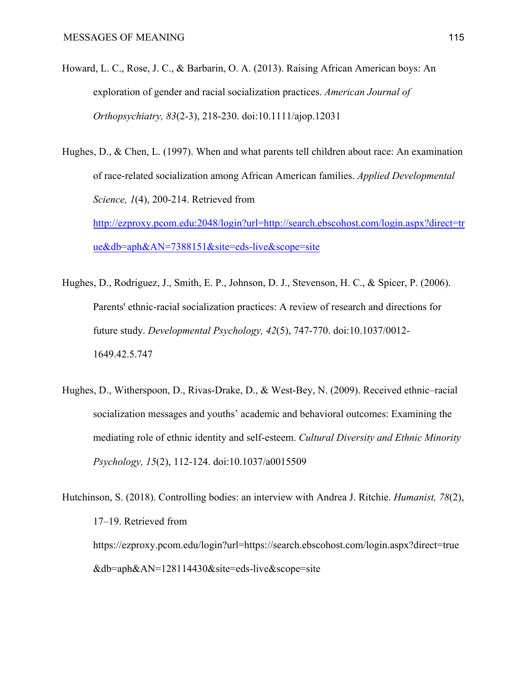- Howard, L. C., Rose, J. C., & Barbarin, O. A. (2013). Raising African American boys: An exploration of gender and racial socialization practices. *American Journal of Orthopsychiatry, 83*(2-3), 218-230. doi:10.1111/ajop.12031
- Hughes, D., & Chen, L. (1997). When and what parents tell children about race: An examination of race-related socialization among African American families. *Applied Developmental Science, 1*(4), 200-214. Retrieved from [http://ezproxy.pcom.edu:2048/login?url=http://search.ebscohost.com/login.aspx?direct=tr](http://ezproxy.pcom.edu:2048/login?url=http://search.ebscohost.com/login.aspx?direct=true&db=aph&AN=7388151&site=eds-live&scope=site) [ue&db=aph&AN=7388151&site=eds-live&scope=site](http://ezproxy.pcom.edu:2048/login?url=http://search.ebscohost.com/login.aspx?direct=true&db=aph&AN=7388151&site=eds-live&scope=site)
- Hughes, D., Rodriguez, J., Smith, E. P., Johnson, D. J., Stevenson, H. C., & Spicer, P. (2006). Parents' ethnic-racial socialization practices: A review of research and directions for future study. *Developmental Psychology, 42*(5), 747-770. doi:10.1037/0012- 1649.42.5.747
- Hughes, D., Witherspoon, D., Rivas-Drake, D., & West-Bey, N. (2009). Received ethnic–racial socialization messages and youths' academic and behavioral outcomes: Examining the mediating role of ethnic identity and self-esteem. *Cultural Diversity and Ethnic Minority Psychology, 15*(2), 112-124. doi:10.1037/a0015509
- Hutchinson, S. (2018). Controlling bodies: an interview with Andrea J. Ritchie. *Humanist, 78*(2), 17–19. Retrieved from https://ezproxy.pcom.edu/login?url=https://search.ebscohost.com/login.aspx?direct=true &db=aph&AN=128114430&site=eds-live&scope=site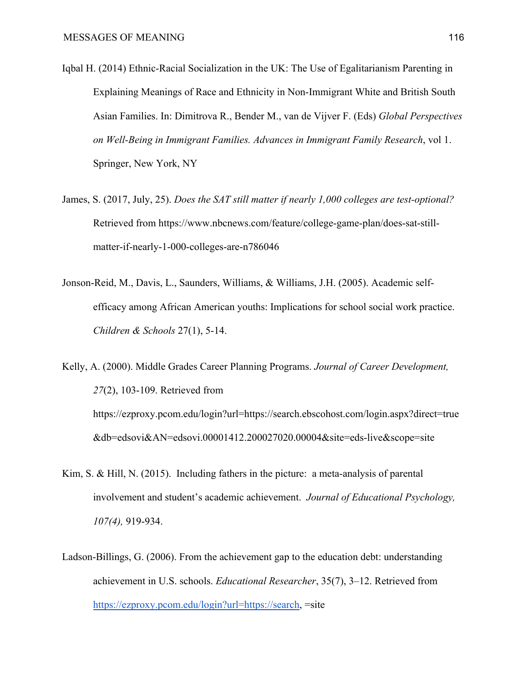- Iqbal H. (2014) Ethnic-Racial Socialization in the UK: The Use of Egalitarianism Parenting in Explaining Meanings of Race and Ethnicity in Non-Immigrant White and British South Asian Families. In: Dimitrova R., Bender M., van de Vijver F. (Eds) *Global Perspectives on Well-Being in Immigrant Families. Advances in Immigrant Family Research*, vol 1. Springer, New York, NY
- James, S. (2017, July, 25). *Does the SAT still matter if nearly 1,000 colleges are test-optional?*  Retrieved from https://www.nbcnews.com/feature/college-game-plan/does-sat-stillmatter-if-nearly-1-000-colleges-are-n786046
- Jonson-Reid, M., Davis, L., Saunders, Williams, & Williams, J.H. (2005). Academic selfefficacy among African American youths: Implications for school social work practice. *Children & Schools* 27(1), 5-14.

Kelly, A. (2000). Middle Grades Career Planning Programs. *Journal of Career Development, 27*(2), 103-109. Retrieved from https://ezproxy.pcom.edu/login?url=https://search.ebscohost.com/login.aspx?direct=true &db=edsovi&AN=edsovi.00001412.200027020.00004&site=eds-live&scope=site

- Kim, S. & Hill, N. (2015). Including fathers in the picture: a meta-analysis of parental involvement and student's academic achievement. *Journal of Educational Psychology, 107(4),* 919-934.
- Ladson-Billings, G. (2006). From the achievement gap to the education debt: understanding achievement in U.S. schools. *Educational Researcher*, 35(7), 3–12. Retrieved from <https://ezproxy.pcom.edu/login?url=https://search>, =site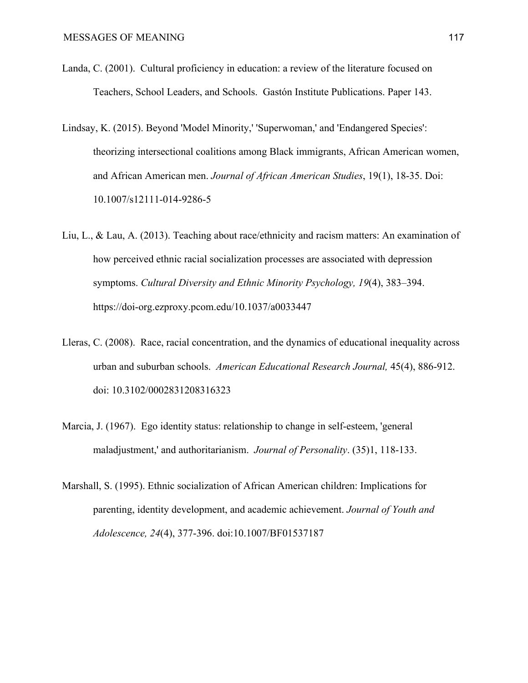- Landa, C. (2001). Cultural proficiency in education: a review of the literature focused on Teachers, School Leaders, and Schools. Gastón Institute Publications. Paper 143.
- Lindsay, K. (2015). Beyond 'Model Minority,' 'Superwoman,' and 'Endangered Species': theorizing intersectional coalitions among Black immigrants, African American women, and African American men. *Journal of African American Studies*, 19(1), 18-35. Doi: 10.1007/s12111-014-9286-5
- Liu, L., & Lau, A. (2013). Teaching about race/ethnicity and racism matters: An examination of how perceived ethnic racial socialization processes are associated with depression symptoms. *Cultural Diversity and Ethnic Minority Psychology, 19*(4), 383–394. https://doi-org.ezproxy.pcom.edu/10.1037/a0033447
- Lleras, C. (2008). Race, racial concentration, and the dynamics of educational inequality across urban and suburban schools. *American Educational Research Journal,* 45(4), 886-912. doi: 10.3102/0002831208316323
- Marcia, J. (1967). Ego identity status: relationship to change in self-esteem, 'general maladjustment,' and authoritarianism. *Journal of Personality*. (35)1, 118-133.
- Marshall, S. (1995). Ethnic socialization of African American children: Implications for parenting, identity development, and academic achievement. *Journal of Youth and Adolescence, 24*(4), 377-396. doi:10.1007/BF01537187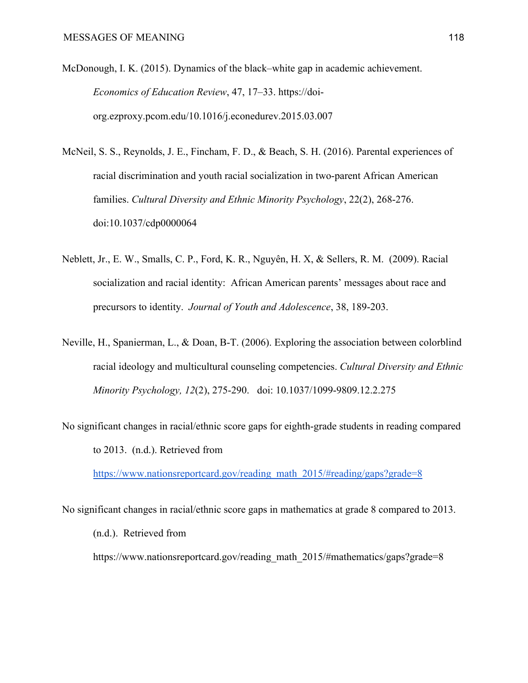McDonough, I. K. (2015). Dynamics of the black–white gap in academic achievement. *Economics of Education Review*, 47, 17–33. https://doiorg.ezproxy.pcom.edu/10.1016/j.econedurev.2015.03.007

- McNeil, S. S., Reynolds, J. E., Fincham, F. D., & Beach, S. H. (2016). Parental experiences of racial discrimination and youth racial socialization in two-parent African American families. *Cultural Diversity and Ethnic Minority Psychology*, 22(2), 268-276. doi:10.1037/cdp0000064
- Neblett, Jr., E. W., Smalls, C. P., Ford, K. R., Nguyên, H. X, & Sellers, R. M. (2009). Racial socialization and racial identity: African American parents' messages about race and precursors to identity. *Journal of Youth and Adolescence*, 38, 189-203.
- Neville, H., Spanierman, L., & Doan, B-T. (2006). Exploring the association between colorblind racial ideology and multicultural counseling competencies. *Cultural Diversity and Ethnic Minority Psychology, 12*(2), 275-290. doi: 10.1037/1099-9809.12.2.275
- No significant changes in racial/ethnic score gaps for eighth-grade students in reading compared to 2013. (n.d.). Retrieved from

[https://www.nationsreportcard.gov/reading\\_math\\_2015/#reading/gaps?grade=8](https://www.nationsreportcard.gov/reading_math_2015/)

No significant changes in racial/ethnic score gaps in mathematics at grade 8 compared to 2013. (n.d.). Retrieved from https://www.nationsreportcard.gov/reading\_math\_2015/#mathematics/gaps?grade=8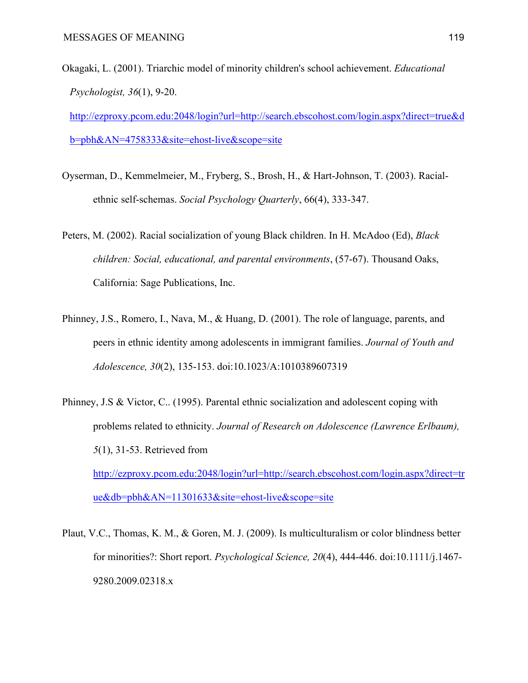Okagaki, L. (2001). Triarchic model of minority children's school achievement. *Educational Psychologist, 36*(1), 9-20.

[http://ezproxy.pcom.edu:2048/login?url=http://search.ebscohost.com/login.aspx?direct=true&d](http://ezproxy.pcom.edu:2048/login?url=http://search.ebscohost.com/login.aspx?direct=true&db=pbh&AN=4758333&site=ehost-live&scope=site) [b=pbh&AN=4758333&site=ehost-live&scope=site](http://ezproxy.pcom.edu:2048/login?url=http://search.ebscohost.com/login.aspx?direct=true&db=pbh&AN=4758333&site=ehost-live&scope=site)

Oyserman, D., Kemmelmeier, M., Fryberg, S., Brosh, H., & Hart-Johnson, T. (2003). Racialethnic self-schemas. *Social Psychology Quarterly*, 66(4), 333-347.

Peters, M. (2002). Racial socialization of young Black children. In H. McAdoo (Ed), *Black children: Social, educational, and parental environments*, (57-67). Thousand Oaks, California: Sage Publications, Inc.

- Phinney, J.S., Romero, I., Nava, M., & Huang, D. (2001). The role of language, parents, and peers in ethnic identity among adolescents in immigrant families. *Journal of Youth and Adolescence, 30*(2), 135-153. doi:10.1023/A:1010389607319
- Phinney, J.S & Victor, C.. (1995). Parental ethnic socialization and adolescent coping with problems related to ethnicity. *Journal of Research on Adolescence (Lawrence Erlbaum), 5*(1), 31-53. Retrieved from [http://ezproxy.pcom.edu:2048/login?url=http://search.ebscohost.com/login.aspx?direct=tr](http://ezproxy.pcom.edu:2048/login?url=http://search.ebscohost.com/login.aspx?direct=true&db=pbh&AN=11301633&site=ehost-live&scope=site) [ue&db=pbh&AN=11301633&site=ehost-live&scope=site](http://ezproxy.pcom.edu:2048/login?url=http://search.ebscohost.com/login.aspx?direct=true&db=pbh&AN=11301633&site=ehost-live&scope=site)

Plaut, V.C., Thomas, K. M., & Goren, M. J. (2009). Is multiculturalism or color blindness better for minorities?: Short report. *Psychological Science, 20*(4), 444-446. doi:10.1111/j.1467- 9280.2009.02318.x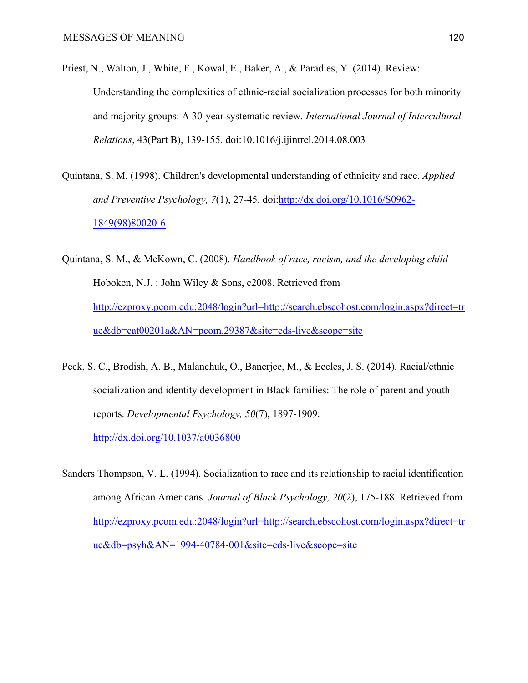- Priest, N., Walton, J., White, F., Kowal, E., Baker, A., & Paradies, Y. (2014). Review: Understanding the complexities of ethnic-racial socialization processes for both minority and majority groups: A 30-year systematic review. *International Journal of Intercultural Relations*, 43(Part B), 139-155. doi:10.1016/j.ijintrel.2014.08.003
- Quintana, S. M. (1998). Children's developmental understanding of ethnicity and race. *Applied and Preventive Psychology, 7*(1), 27-45. doi[:http://dx.doi.org/10.1016/S0962-](http://dx.doi.org/10.1016/S0962-1849(98)80020-6) [1849\(98\)80020-6](http://dx.doi.org/10.1016/S0962-1849(98)80020-6)
- Quintana, S. M., & McKown, C. (2008). *Handbook of race, racism, and the developing child* Hoboken, N.J. : John Wiley & Sons, c2008. Retrieved from [http://ezproxy.pcom.edu:2048/login?url=http://search.ebscohost.com/login.aspx?direct=tr](http://ezproxy.pcom.edu:2048/login?url=http://search.ebscohost.com/login.aspx?direct=true&db=cat00201a&AN=pcom.29387&site=eds-live&scope=site) [ue&db=cat00201a&AN=pcom.29387&site=eds-live&scope=site](http://ezproxy.pcom.edu:2048/login?url=http://search.ebscohost.com/login.aspx?direct=true&db=cat00201a&AN=pcom.29387&site=eds-live&scope=site)
- Peck, S. C., Brodish, A. B., Malanchuk, O., Banerjee, M., & Eccles, J. S. (2014). Racial/ethnic socialization and identity development in Black families: The role of parent and youth reports. *Developmental Psychology, 50*(7), 1897-1909.

[http://dx.doi.org/10.1037/a0036800](https://psycnet.apa.org/doi/10.1037/a0036800)

Sanders Thompson, V. L. (1994). Socialization to race and its relationship to racial identification among African Americans. *Journal of Black Psychology, 20*(2), 175-188. Retrieved from [http://ezproxy.pcom.edu:2048/login?url=http://search.ebscohost.com/login.aspx?direct=tr](http://ezproxy.pcom.edu:2048/login?url=http://search.ebscohost.com/login.aspx?direct=true&db=psyh&AN=1994-40784-001&site=eds-live&scope=site) [ue&db=psyh&AN=1994-40784-001&site=eds-live&scope=site](http://ezproxy.pcom.edu:2048/login?url=http://search.ebscohost.com/login.aspx?direct=true&db=psyh&AN=1994-40784-001&site=eds-live&scope=site)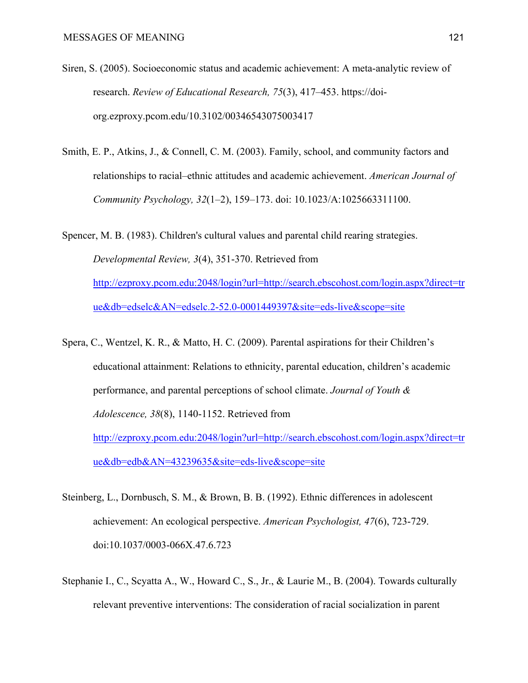- Siren, S. (2005). Socioeconomic status and academic achievement: A meta-analytic review of research. *Review of Educational Research, 75*(3), 417–453. https://doiorg.ezproxy.pcom.edu/10.3102/00346543075003417
- Smith, E. P., Atkins, J., & Connell, C. M. (2003). Family, school, and community factors and relationships to racial–ethnic attitudes and academic achievement. *American Journal of Community Psychology, 32*(1–2), 159–173. doi: 10.1023/A:1025663311100.

Spencer, M. B. (1983). Children's cultural values and parental child rearing strategies. *Developmental Review, 3*(4), 351-370. Retrieved from [http://ezproxy.pcom.edu:2048/login?url=http://search.ebscohost.com/login.aspx?direct=tr](http://ezproxy.pcom.edu:2048/login?url=http://search.ebscohost.com/login.aspx?direct=true&db=edselc&AN=edselc.2-52.0-0001449397&site=eds-live&scope=site) [ue&db=edselc&AN=edselc.2-52.0-0001449397&site=eds-live&scope=site](http://ezproxy.pcom.edu:2048/login?url=http://search.ebscohost.com/login.aspx?direct=true&db=edselc&AN=edselc.2-52.0-0001449397&site=eds-live&scope=site)

- Spera, C., Wentzel, K. R., & Matto, H. C. (2009). Parental aspirations for their Children's educational attainment: Relations to ethnicity, parental education, children's academic performance, and parental perceptions of school climate. *Journal of Youth & Adolescence, 38*(8), 1140-1152. Retrieved from [http://ezproxy.pcom.edu:2048/login?url=http://search.ebscohost.com/login.aspx?direct=tr](http://ezproxy.pcom.edu:2048/login?url=http://search.ebscohost.com/login.aspx?direct=true&db=edb&AN=43239635&site=eds-live&scope=site) [ue&db=edb&AN=43239635&site=eds-live&scope=site](http://ezproxy.pcom.edu:2048/login?url=http://search.ebscohost.com/login.aspx?direct=true&db=edb&AN=43239635&site=eds-live&scope=site)
- Steinberg, L., Dornbusch, S. M., & Brown, B. B. (1992). Ethnic differences in adolescent achievement: An ecological perspective. *American Psychologist, 47*(6), 723-729. doi:10.1037/0003-066X.47.6.723
- Stephanie I., C., Scyatta A., W., Howard C., S., Jr., & Laurie M., B. (2004). Towards culturally relevant preventive interventions: The consideration of racial socialization in parent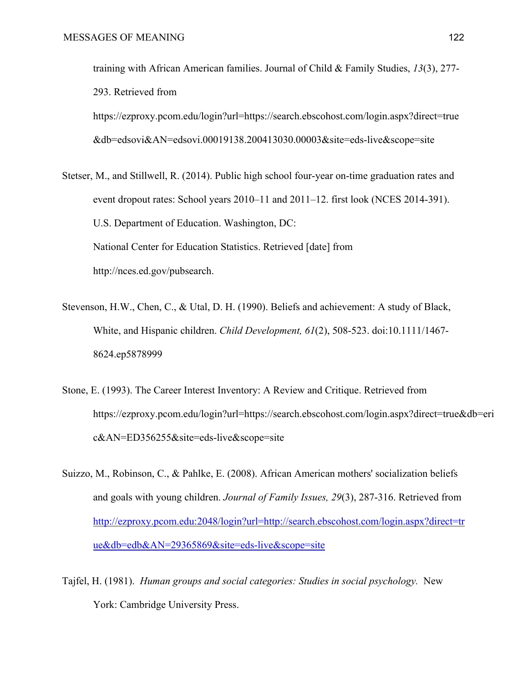training with African American families. Journal of Child & Family Studies, *13*(3), 277- 293. Retrieved from

https://ezproxy.pcom.edu/login?url=https://search.ebscohost.com/login.aspx?direct=true &db=edsovi&AN=edsovi.00019138.200413030.00003&site=eds-live&scope=site

Stetser, M., and Stillwell, R. (2014). Public high school four-year on-time graduation rates and event dropout rates: School years 2010–11 and 2011–12. first look (NCES 2014-391). U.S. Department of Education. Washington, DC: National Center for Education Statistics. Retrieved [date] from http://nces.ed.gov/pubsearch.

- Stevenson, H.W., Chen, C., & Utal, D. H. (1990). Beliefs and achievement: A study of Black, White, and Hispanic children. *Child Development, 61*(2), 508-523. doi:10.1111/1467- 8624.ep5878999
- Stone, E. (1993). The Career Interest Inventory: A Review and Critique. Retrieved from https://ezproxy.pcom.edu/login?url=https://search.ebscohost.com/login.aspx?direct=true&db=eri c&AN=ED356255&site=eds-live&scope=site
- Suizzo, M., Robinson, C., & Pahlke, E. (2008). African American mothers' socialization beliefs and goals with young children. *Journal of Family Issues, 29*(3), 287-316. Retrieved from [http://ezproxy.pcom.edu:2048/login?url=http://search.ebscohost.com/login.aspx?direct=tr](http://ezproxy.pcom.edu:2048/login?url=http://search.ebscohost.com/login.aspx?direct=true&db=edb&AN=29365869&site=eds-live&scope=site) [ue&db=edb&AN=29365869&site=eds-live&scope=site](http://ezproxy.pcom.edu:2048/login?url=http://search.ebscohost.com/login.aspx?direct=true&db=edb&AN=29365869&site=eds-live&scope=site)
- Tajfel, H. (1981). *Human groups and social categories: Studies in social psychology.* New York: Cambridge University Press.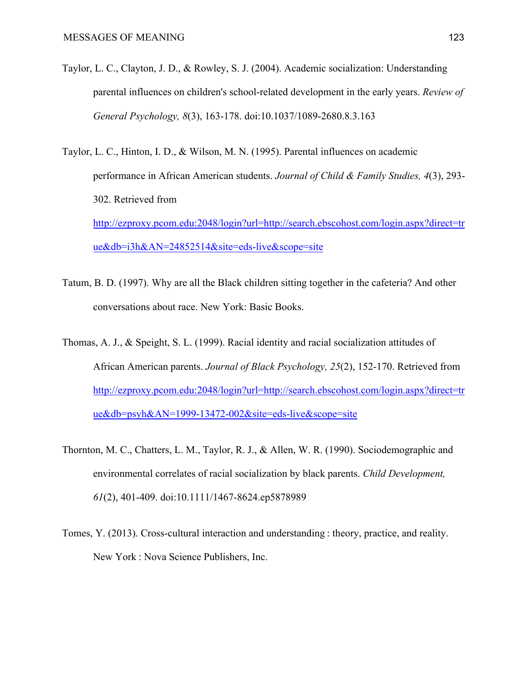- Taylor, L. C., Clayton, J. D., & Rowley, S. J. (2004). Academic socialization: Understanding parental influences on children's school-related development in the early years. *Review of General Psychology, 8*(3), 163-178. doi:10.1037/1089-2680.8.3.163
- Taylor, L. C., Hinton, I. D., & Wilson, M. N. (1995). Parental influences on academic performance in African American students. *Journal of Child & Family Studies, 4*(3), 293- 302. Retrieved from [http://ezproxy.pcom.edu:2048/login?url=http://search.ebscohost.com/login.aspx?direct=tr](http://ezproxy.pcom.edu:2048/login?url=http://search.ebscohost.com/login.aspx?direct=true&db=i3h&AN=24852514&site=eds-live&scope=site) [ue&db=i3h&AN=24852514&site=eds-live&scope=site](http://ezproxy.pcom.edu:2048/login?url=http://search.ebscohost.com/login.aspx?direct=true&db=i3h&AN=24852514&site=eds-live&scope=site)
- Tatum, B. D. (1997). Why are all the Black children sitting together in the cafeteria? And other conversations about race. New York: Basic Books.
- Thomas, A. J., & Speight, S. L. (1999). Racial identity and racial socialization attitudes of African American parents. *Journal of Black Psychology, 25*(2), 152-170. Retrieved from [http://ezproxy.pcom.edu:2048/login?url=http://search.ebscohost.com/login.aspx?direct=tr](http://ezproxy.pcom.edu:2048/login?url=http://search.ebscohost.com/login.aspx?direct=true&db=psyh&AN=1999-13472-002&site=eds-live&scope=site) [ue&db=psyh&AN=1999-13472-002&site=eds-live&scope=site](http://ezproxy.pcom.edu:2048/login?url=http://search.ebscohost.com/login.aspx?direct=true&db=psyh&AN=1999-13472-002&site=eds-live&scope=site)
- Thornton, M. C., Chatters, L. M., Taylor, R. J., & Allen, W. R. (1990). Sociodemographic and environmental correlates of racial socialization by black parents. *Child Development, 61*(2), 401-409. doi:10.1111/1467-8624.ep5878989
- Tomes, Y. (2013). Cross-cultural interaction and understanding : theory, practice, and reality. New York : Nova Science Publishers, Inc.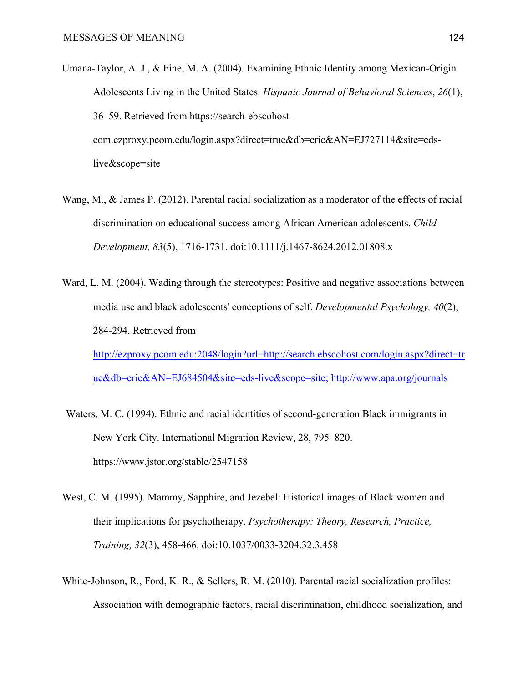- Umana-Taylor, A. J., & Fine, M. A. (2004). Examining Ethnic Identity among Mexican-Origin Adolescents Living in the United States. *Hispanic Journal of Behavioral Sciences*, *26*(1), 36–59. Retrieved from https://search-ebscohostcom.ezproxy.pcom.edu/login.aspx?direct=true&db=eric&AN=EJ727114&site=edslive&scope=site
- Wang, M., & James P. (2012). Parental racial socialization as a moderator of the effects of racial discrimination on educational success among African American adolescents. *Child Development, 83*(5), 1716-1731. doi:10.1111/j.1467-8624.2012.01808.x
- Ward, L. M. (2004). Wading through the stereotypes: Positive and negative associations between media use and black adolescents' conceptions of self. *Developmental Psychology, 40*(2), 284-294. Retrieved from [http://ezproxy.pcom.edu:2048/login?url=http://search.ebscohost.com/login.aspx?direct=tr](http://ezproxy.pcom.edu:2048/login?url=http://search.ebscohost.com/login.aspx?direct=true&db=eric&AN=EJ684504&site=eds-live&scope=site;) [ue&db=eric&AN=EJ684504&site=eds-live&scope=site;](http://ezproxy.pcom.edu:2048/login?url=http://search.ebscohost.com/login.aspx?direct=true&db=eric&AN=EJ684504&site=eds-live&scope=site;) <http://www.apa.org/journals>
- Waters, M. C. (1994). Ethnic and racial identities of second-generation Black immigrants in New York City. International Migration Review, 28, 795–820. https://www.jstor.org/stable/2547158
- West, C. M. (1995). Mammy, Sapphire, and Jezebel: Historical images of Black women and their implications for psychotherapy. *Psychotherapy: Theory, Research, Practice, Training, 32*(3), 458-466. doi:10.1037/0033-3204.32.3.458
- White-Johnson, R., Ford, K. R., & Sellers, R. M. (2010). Parental racial socialization profiles: Association with demographic factors, racial discrimination, childhood socialization, and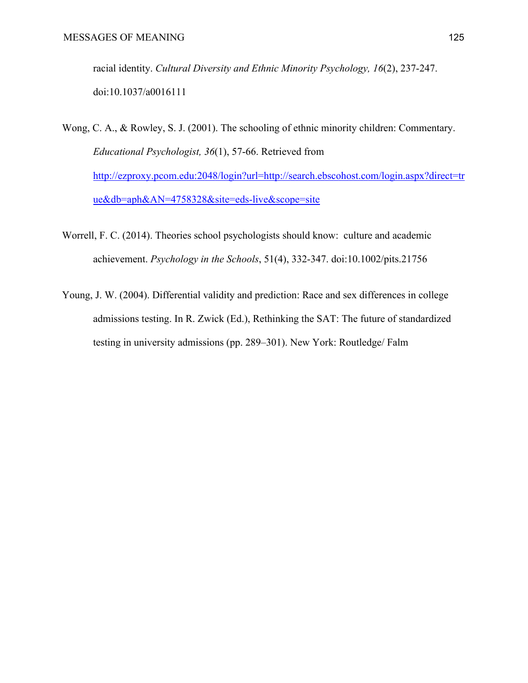racial identity. *Cultural Diversity and Ethnic Minority Psychology, 16*(2), 237-247. doi:10.1037/a0016111

Wong, C. A., & Rowley, S. J. (2001). The schooling of ethnic minority children: Commentary. *Educational Psychologist, 36*(1), 57-66. Retrieved from [http://ezproxy.pcom.edu:2048/login?url=http://search.ebscohost.com/login.aspx?direct=tr](http://ezproxy.pcom.edu:2048/login?url=http://search.ebscohost.com/login.aspx?direct=true&db=aph&AN=4758328&site=eds-live&scope=site) [ue&db=aph&AN=4758328&site=eds-live&scope=site](http://ezproxy.pcom.edu:2048/login?url=http://search.ebscohost.com/login.aspx?direct=true&db=aph&AN=4758328&site=eds-live&scope=site)

- Worrell, F. C. (2014). Theories school psychologists should know: culture and academic achievement. *Psychology in the Schools*, 51(4), 332-347. doi:10.1002/pits.21756
- Young, J. W. (2004). Differential validity and prediction: Race and sex differences in college admissions testing. In R. Zwick (Ed.), Rethinking the SAT: The future of standardized testing in university admissions (pp. 289–301). New York: Routledge/ Falm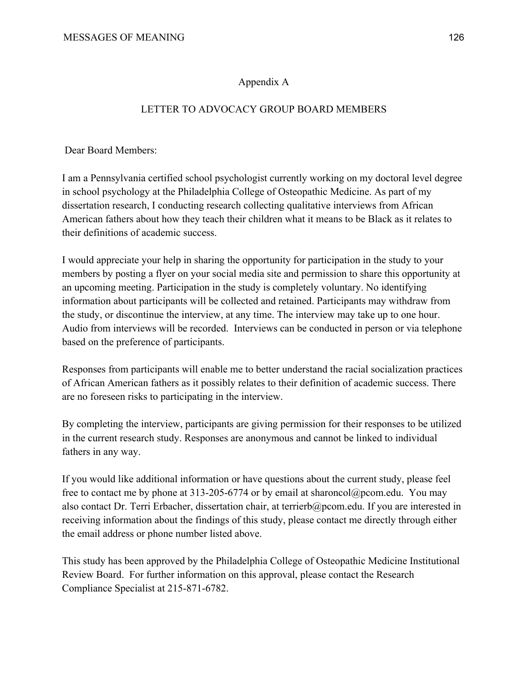# Appendix A

# LETTER TO ADVOCACY GROUP BOARD MEMBERS

Dear Board Members:

I am a Pennsylvania certified school psychologist currently working on my doctoral level degree in school psychology at the Philadelphia College of Osteopathic Medicine. As part of my dissertation research, I conducting research collecting qualitative interviews from African American fathers about how they teach their children what it means to be Black as it relates to their definitions of academic success.

I would appreciate your help in sharing the opportunity for participation in the study to your members by posting a flyer on your social media site and permission to share this opportunity at an upcoming meeting. Participation in the study is completely voluntary. No identifying information about participants will be collected and retained. Participants may withdraw from the study, or discontinue the interview, at any time. The interview may take up to one hour. Audio from interviews will be recorded. Interviews can be conducted in person or via telephone based on the preference of participants.

Responses from participants will enable me to better understand the racial socialization practices of African American fathers as it possibly relates to their definition of academic success. There are no foreseen risks to participating in the interview.

By completing the interview, participants are giving permission for their responses to be utilized in the current research study. Responses are anonymous and cannot be linked to individual fathers in any way.

If you would like additional information or have questions about the current study, please feel free to contact me by phone at 313-205-6774 or by email at sharoncol@pcom.edu. You may also contact Dr. Terri Erbacher, dissertation chair, at terrierb@pcom.edu. If you are interested in receiving information about the findings of this study, please contact me directly through either the email address or phone number listed above.

This study has been approved by the Philadelphia College of Osteopathic Medicine Institutional Review Board. For further information on this approval, please contact the Research Compliance Specialist at 215-871-6782.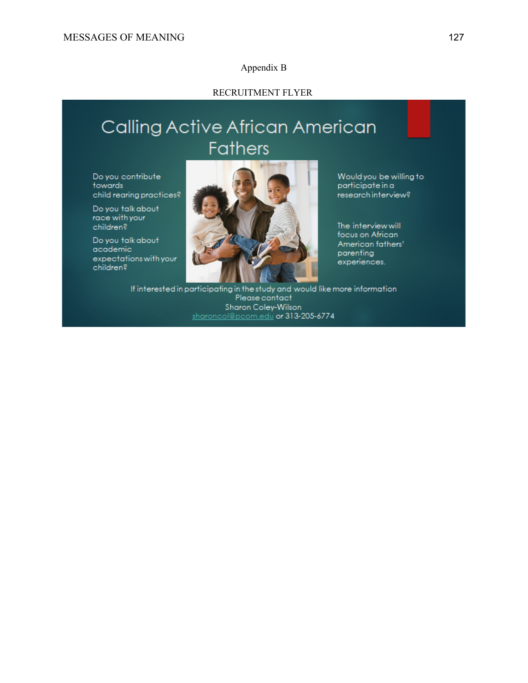#### Appendix B

### RECRUITMENT FLYER

# Calling Active African American **Fathers**

Do you contribute towards child rearing practices?

Do you talk about race with your children?

Do you talk about academic expectations with your children?



Would you be willing to participate in a research interview?

The interview will focus on African American fathers' parenting experiences.

If interested in participating in the study and would like more information Please contact Sharon Coley-Wilson sharoncol@pcom.edu or 313-205-6774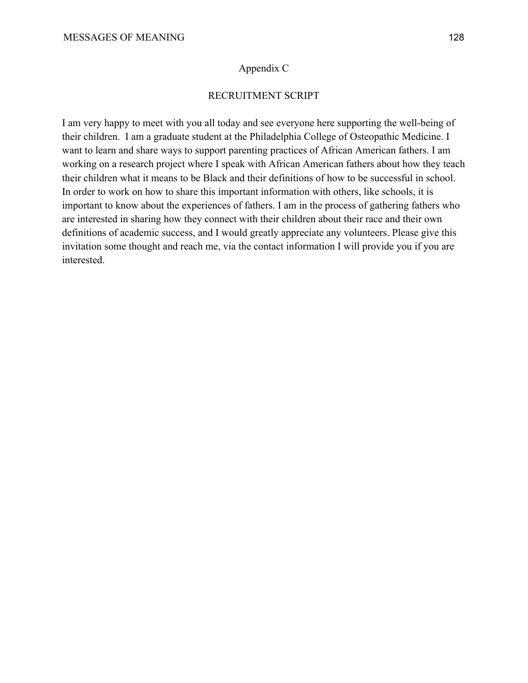## Appendix C

# RECRUITMENT SCRIPT

I am very happy to meet with you all today and see everyone here supporting the well-being of their children. I am a graduate student at the Philadelphia College of Osteopathic Medicine. I want to learn and share ways to support parenting practices of African American fathers. I am working on a research project where I speak with African American fathers about how they teach their children what it means to be Black and their definitions of how to be successful in school. In order to work on how to share this important information with others, like schools, it is important to know about the experiences of fathers. I am in the process of gathering fathers who are interested in sharing how they connect with their children about their race and their own definitions of academic success, and I would greatly appreciate any volunteers. Please give this invitation some thought and reach me, via the contact information I will provide you if you are interested.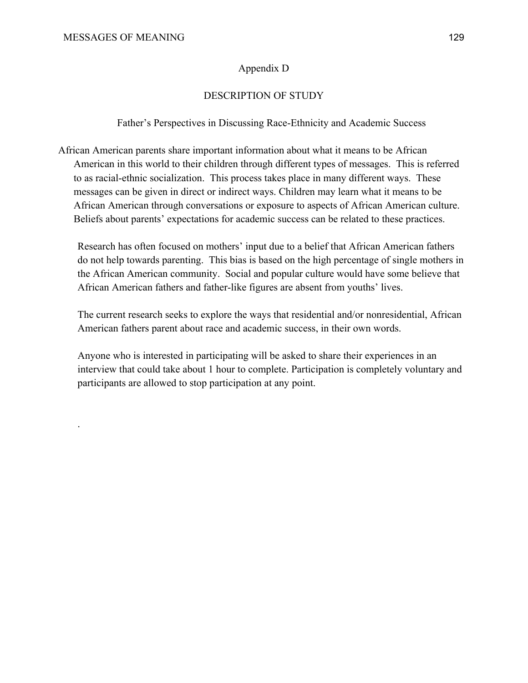.

## Appendix D

## DESCRIPTION OF STUDY

Father's Perspectives in Discussing Race-Ethnicity and Academic Success

African American parents share important information about what it means to be African American in this world to their children through different types of messages. This is referred to as racial-ethnic socialization. This process takes place in many different ways. These messages can be given in direct or indirect ways. Children may learn what it means to be African American through conversations or exposure to aspects of African American culture. Beliefs about parents' expectations for academic success can be related to these practices.

Research has often focused on mothers' input due to a belief that African American fathers do not help towards parenting. This bias is based on the high percentage of single mothers in the African American community. Social and popular culture would have some believe that African American fathers and father-like figures are absent from youths' lives.

The current research seeks to explore the ways that residential and/or nonresidential, African American fathers parent about race and academic success, in their own words.

Anyone who is interested in participating will be asked to share their experiences in an interview that could take about 1 hour to complete. Participation is completely voluntary and participants are allowed to stop participation at any point.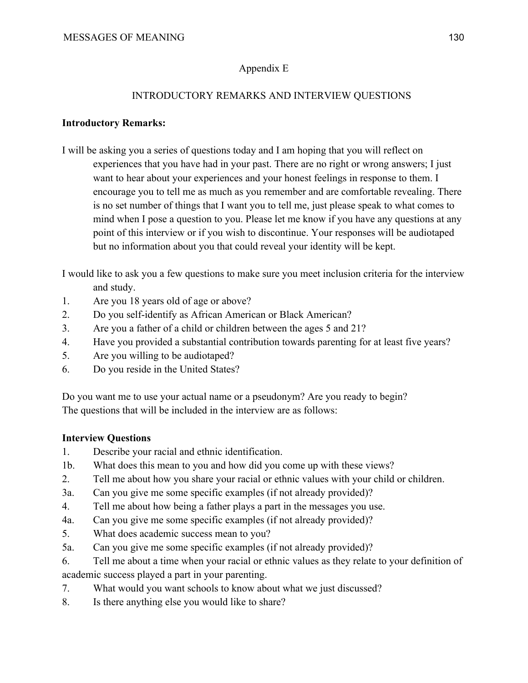# Appendix E

# INTRODUCTORY REMARKS AND INTERVIEW QUESTIONS

# **Introductory Remarks:**

I will be asking you a series of questions today and I am hoping that you will reflect on experiences that you have had in your past. There are no right or wrong answers; I just want to hear about your experiences and your honest feelings in response to them. I encourage you to tell me as much as you remember and are comfortable revealing. There is no set number of things that I want you to tell me, just please speak to what comes to mind when I pose a question to you. Please let me know if you have any questions at any point of this interview or if you wish to discontinue. Your responses will be audiotaped but no information about you that could reveal your identity will be kept.

I would like to ask you a few questions to make sure you meet inclusion criteria for the interview and study.

- 1. Are you 18 years old of age or above?
- 2. Do you self-identify as African American or Black American?
- 3. Are you a father of a child or children between the ages 5 and 21?
- 4. Have you provided a substantial contribution towards parenting for at least five years?
- 5. Are you willing to be audiotaped?
- 6. Do you reside in the United States?

Do you want me to use your actual name or a pseudonym? Are you ready to begin? The questions that will be included in the interview are as follows:

# **Interview Questions**

- 1. Describe your racial and ethnic identification.
- 1b. What does this mean to you and how did you come up with these views?
- 2. Tell me about how you share your racial or ethnic values with your child or children.
- 3a. Can you give me some specific examples (if not already provided)?
- 4. Tell me about how being a father plays a part in the messages you use.
- 4a. Can you give me some specific examples (if not already provided)?
- 5. What does academic success mean to you?
- 5a. Can you give me some specific examples (if not already provided)?
- 6. Tell me about a time when your racial or ethnic values as they relate to your definition of academic success played a part in your parenting.
- 7. What would you want schools to know about what we just discussed?
- 8. Is there anything else you would like to share?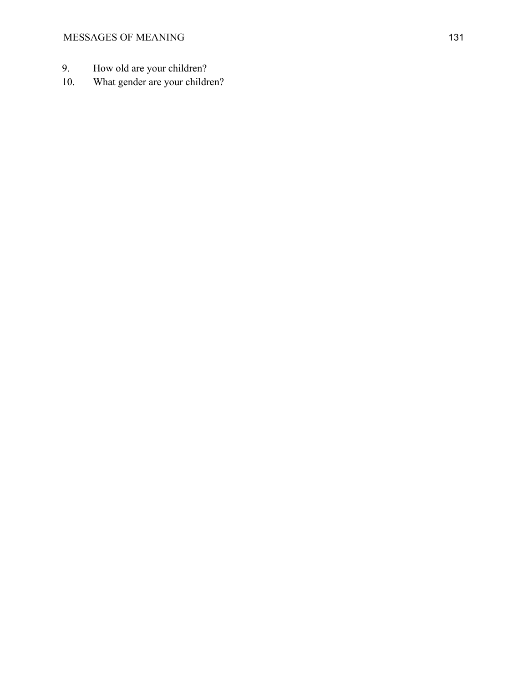- 9. How old are your children?
- 10. What gender are your children?